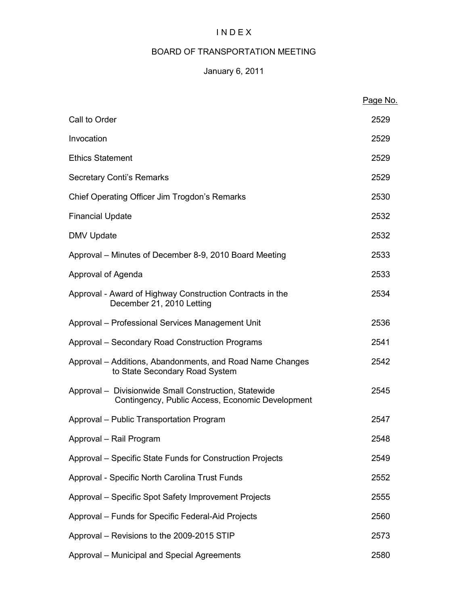# I N D E X

# BOARD OF TRANSPORTATION MEETING

# January 6, 2011

|                                                                                                           | Page No. |
|-----------------------------------------------------------------------------------------------------------|----------|
| Call to Order                                                                                             | 2529     |
| Invocation                                                                                                | 2529     |
| <b>Ethics Statement</b>                                                                                   | 2529     |
| <b>Secretary Conti's Remarks</b>                                                                          | 2529     |
| Chief Operating Officer Jim Trogdon's Remarks                                                             | 2530     |
| <b>Financial Update</b>                                                                                   | 2532     |
| <b>DMV Update</b>                                                                                         | 2532     |
| Approval – Minutes of December 8-9, 2010 Board Meeting                                                    | 2533     |
| Approval of Agenda                                                                                        | 2533     |
| Approval - Award of Highway Construction Contracts in the<br>December 21, 2010 Letting                    | 2534     |
| Approval - Professional Services Management Unit                                                          | 2536     |
| Approval - Secondary Road Construction Programs                                                           | 2541     |
| Approval – Additions, Abandonments, and Road Name Changes<br>to State Secondary Road System               | 2542     |
| Approval - Divisionwide Small Construction, Statewide<br>Contingency, Public Access, Economic Development | 2545     |
| Approval - Public Transportation Program                                                                  | 2547     |
| Approval - Rail Program                                                                                   | 2548     |
| Approval - Specific State Funds for Construction Projects                                                 | 2549     |
| Approval - Specific North Carolina Trust Funds                                                            | 2552     |
| Approval - Specific Spot Safety Improvement Projects                                                      | 2555     |
| Approval - Funds for Specific Federal-Aid Projects                                                        | 2560     |
| Approval - Revisions to the 2009-2015 STIP                                                                | 2573     |
| Approval - Municipal and Special Agreements                                                               | 2580     |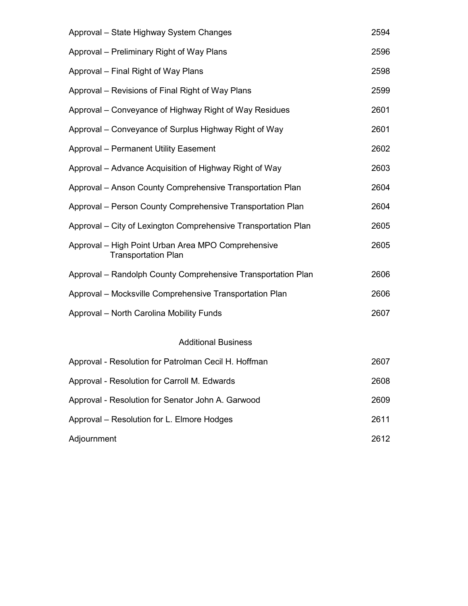| Approval - State Highway System Changes                                          | 2594 |
|----------------------------------------------------------------------------------|------|
| Approval – Preliminary Right of Way Plans                                        | 2596 |
| Approval – Final Right of Way Plans                                              | 2598 |
| Approval – Revisions of Final Right of Way Plans                                 | 2599 |
| Approval – Conveyance of Highway Right of Way Residues                           | 2601 |
| Approval – Conveyance of Surplus Highway Right of Way                            | 2601 |
| <b>Approval - Permanent Utility Easement</b>                                     | 2602 |
| Approval – Advance Acquisition of Highway Right of Way                           | 2603 |
| Approval - Anson County Comprehensive Transportation Plan                        | 2604 |
| Approval - Person County Comprehensive Transportation Plan                       | 2604 |
| Approval – City of Lexington Comprehensive Transportation Plan                   | 2605 |
| Approval – High Point Urban Area MPO Comprehensive<br><b>Transportation Plan</b> | 2605 |
| Approval - Randolph County Comprehensive Transportation Plan                     | 2606 |
| Approval – Mocksville Comprehensive Transportation Plan                          | 2606 |
| Approval - North Carolina Mobility Funds                                         | 2607 |
| <b>Additional Business</b>                                                       |      |
| Approval - Resolution for Patrolman Cecil H. Hoffman                             | 2607 |
| Approval - Resolution for Carroll M. Edwards                                     | 2608 |
| Approval - Resolution for Senator John A. Garwood                                | 2609 |
| Approval - Resolution for L. Elmore Hodges                                       | 2611 |
| Adjournment                                                                      | 2612 |
|                                                                                  |      |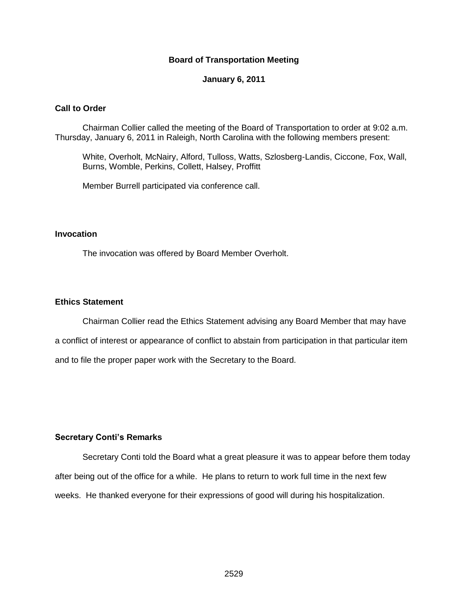#### **Board of Transportation Meeting**

#### **January 6, 2011**

#### **Call to Order**

Chairman Collier called the meeting of the Board of Transportation to order at 9:02 a.m. Thursday, January 6, 2011 in Raleigh, North Carolina with the following members present:

White, Overholt, McNairy, Alford, Tulloss, Watts, Szlosberg-Landis, Ciccone, Fox, Wall, Burns, Womble, Perkins, Collett, Halsey, Proffitt

Member Burrell participated via conference call.

#### **Invocation**

The invocation was offered by Board Member Overholt.

#### **Ethics Statement**

Chairman Collier read the Ethics Statement advising any Board Member that may have a conflict of interest or appearance of conflict to abstain from participation in that particular item and to file the proper paper work with the Secretary to the Board.

#### **Secretary Conti's Remarks**

Secretary Conti told the Board what a great pleasure it was to appear before them today after being out of the office for a while. He plans to return to work full time in the next few weeks. He thanked everyone for their expressions of good will during his hospitalization.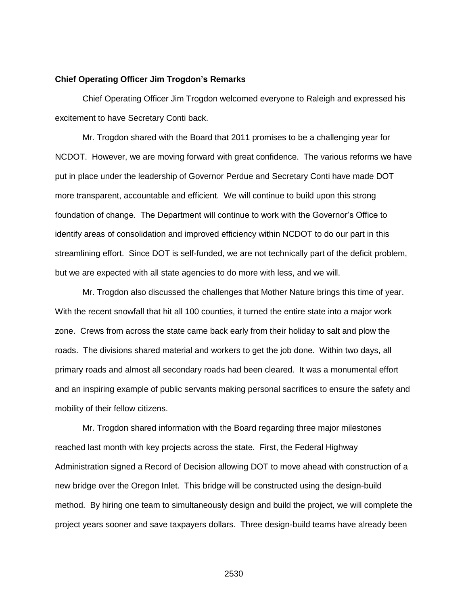#### **Chief Operating Officer Jim Trogdon's Remarks**

Chief Operating Officer Jim Trogdon welcomed everyone to Raleigh and expressed his excitement to have Secretary Conti back.

Mr. Trogdon shared with the Board that 2011 promises to be a challenging year for NCDOT. However, we are moving forward with great confidence. The various reforms we have put in place under the leadership of Governor Perdue and Secretary Conti have made DOT more transparent, accountable and efficient. We will continue to build upon this strong foundation of change. The Department will continue to work with the Governor's Office to identify areas of consolidation and improved efficiency within NCDOT to do our part in this streamlining effort. Since DOT is self-funded, we are not technically part of the deficit problem, but we are expected with all state agencies to do more with less, and we will.

Mr. Trogdon also discussed the challenges that Mother Nature brings this time of year. With the recent snowfall that hit all 100 counties, it turned the entire state into a major work zone. Crews from across the state came back early from their holiday to salt and plow the roads. The divisions shared material and workers to get the job done. Within two days, all primary roads and almost all secondary roads had been cleared. It was a monumental effort and an inspiring example of public servants making personal sacrifices to ensure the safety and mobility of their fellow citizens.

Mr. Trogdon shared information with the Board regarding three major milestones reached last month with key projects across the state. First, the Federal Highway Administration signed a Record of Decision allowing DOT to move ahead with construction of a new bridge over the Oregon Inlet. This bridge will be constructed using the design-build method. By hiring one team to simultaneously design and build the project, we will complete the project years sooner and save taxpayers dollars. Three design-build teams have already been

2530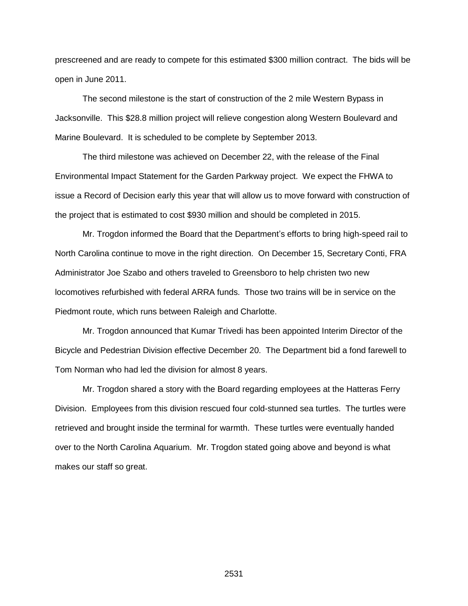prescreened and are ready to compete for this estimated \$300 million contract. The bids will be open in June 2011.

The second milestone is the start of construction of the 2 mile Western Bypass in Jacksonville. This \$28.8 million project will relieve congestion along Western Boulevard and Marine Boulevard. It is scheduled to be complete by September 2013.

The third milestone was achieved on December 22, with the release of the Final Environmental Impact Statement for the Garden Parkway project. We expect the FHWA to issue a Record of Decision early this year that will allow us to move forward with construction of the project that is estimated to cost \$930 million and should be completed in 2015.

Mr. Trogdon informed the Board that the Department's efforts to bring high-speed rail to North Carolina continue to move in the right direction. On December 15, Secretary Conti, FRA Administrator Joe Szabo and others traveled to Greensboro to help christen two new locomotives refurbished with federal ARRA funds. Those two trains will be in service on the Piedmont route, which runs between Raleigh and Charlotte.

Mr. Trogdon announced that Kumar Trivedi has been appointed Interim Director of the Bicycle and Pedestrian Division effective December 20. The Department bid a fond farewell to Tom Norman who had led the division for almost 8 years.

Mr. Trogdon shared a story with the Board regarding employees at the Hatteras Ferry Division. Employees from this division rescued four cold-stunned sea turtles. The turtles were retrieved and brought inside the terminal for warmth. These turtles were eventually handed over to the North Carolina Aquarium. Mr. Trogdon stated going above and beyond is what makes our staff so great.

2531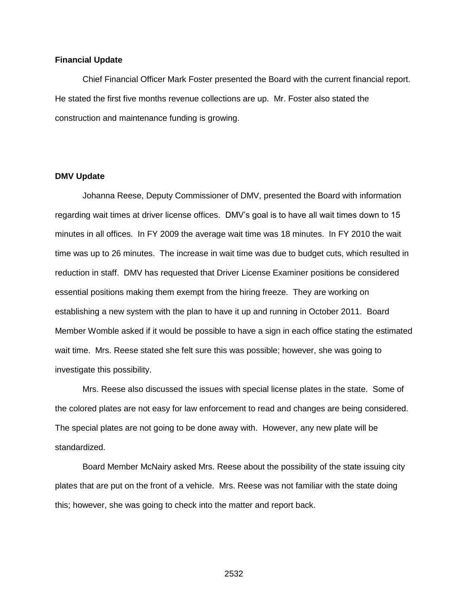#### **Financial Update**

Chief Financial Officer Mark Foster presented the Board with the current financial report. He stated the first five months revenue collections are up. Mr. Foster also stated the construction and maintenance funding is growing.

#### **DMV Update**

Johanna Reese, Deputy Commissioner of DMV, presented the Board with information regarding wait times at driver license offices. DMV's goal is to have all wait times down to 15 minutes in all offices. In FY 2009 the average wait time was 18 minutes. In FY 2010 the wait time was up to 26 minutes. The increase in wait time was due to budget cuts, which resulted in reduction in staff. DMV has requested that Driver License Examiner positions be considered essential positions making them exempt from the hiring freeze. They are working on establishing a new system with the plan to have it up and running in October 2011. Board Member Womble asked if it would be possible to have a sign in each office stating the estimated wait time. Mrs. Reese stated she felt sure this was possible; however, she was going to investigate this possibility.

Mrs. Reese also discussed the issues with special license plates in the state. Some of the colored plates are not easy for law enforcement to read and changes are being considered. The special plates are not going to be done away with. However, any new plate will be standardized.

Board Member McNairy asked Mrs. Reese about the possibility of the state issuing city plates that are put on the front of a vehicle. Mrs. Reese was not familiar with the state doing this; however, she was going to check into the matter and report back.

2532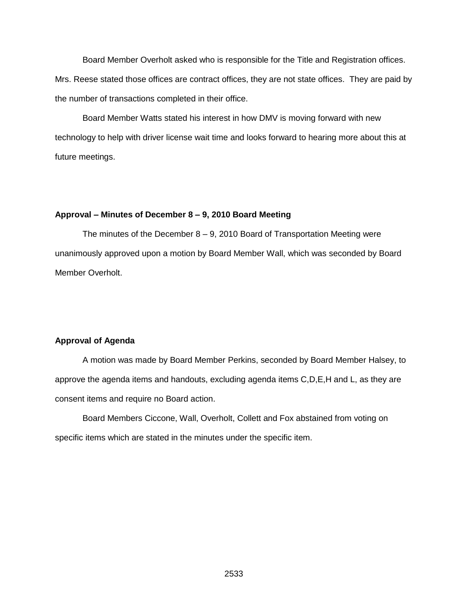Board Member Overholt asked who is responsible for the Title and Registration offices. Mrs. Reese stated those offices are contract offices, they are not state offices. They are paid by the number of transactions completed in their office.

Board Member Watts stated his interest in how DMV is moving forward with new technology to help with driver license wait time and looks forward to hearing more about this at future meetings.

#### **Approval – Minutes of December 8 – 9, 2010 Board Meeting**

The minutes of the December  $8 - 9$ , 2010 Board of Transportation Meeting were unanimously approved upon a motion by Board Member Wall, which was seconded by Board Member Overholt.

#### **Approval of Agenda**

A motion was made by Board Member Perkins, seconded by Board Member Halsey, to approve the agenda items and handouts, excluding agenda items C,D,E,H and L, as they are consent items and require no Board action.

Board Members Ciccone, Wall, Overholt, Collett and Fox abstained from voting on specific items which are stated in the minutes under the specific item.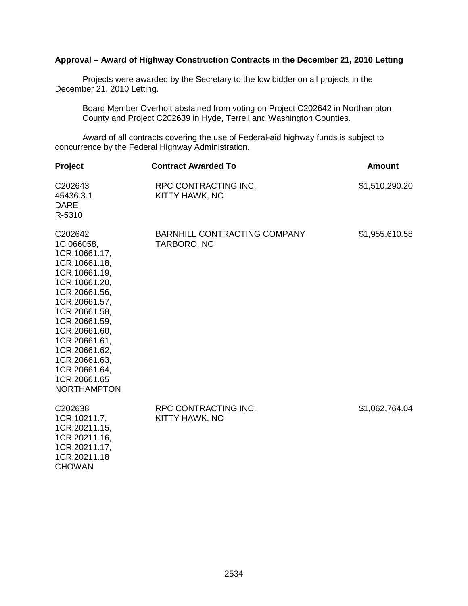## **Approval – Award of Highway Construction Contracts in the December 21, 2010 Letting**

Projects were awarded by the Secretary to the low bidder on all projects in the December 21, 2010 Letting.

Board Member Overholt abstained from voting on Project C202642 in Northampton County and Project C202639 in Hyde, Terrell and Washington Counties.

Award of all contracts covering the use of Federal-aid highway funds is subject to concurrence by the Federal Highway Administration.

| Project                                                                                                                                                                                                                                                                                  | <b>Contract Awarded To</b>                  | <b>Amount</b>  |
|------------------------------------------------------------------------------------------------------------------------------------------------------------------------------------------------------------------------------------------------------------------------------------------|---------------------------------------------|----------------|
| C202643<br>45436.3.1<br><b>DARE</b><br>R-5310                                                                                                                                                                                                                                            | RPC CONTRACTING INC.<br>KITTY HAWK, NC      | \$1,510,290.20 |
| C202642<br>1C.066058,<br>1CR.10661.17,<br>1CR.10661.18,<br>1CR.10661.19,<br>1CR.10661.20,<br>1CR.20661.56,<br>1CR.20661.57,<br>1CR.20661.58,<br>1CR.20661.59,<br>1CR.20661.60,<br>1CR.20661.61,<br>1CR.20661.62,<br>1CR.20661.63,<br>1CR.20661.64,<br>1CR.20661.65<br><b>NORTHAMPTON</b> | BARNHILL CONTRACTING COMPANY<br>TARBORO, NC | \$1,955,610.58 |
| C202638<br>1CR.10211.7,<br>1CR.20211.15,<br>1CR.20211.16,<br>1CR.20211.17,<br>1CR.20211.18<br><b>CHOWAN</b>                                                                                                                                                                              | RPC CONTRACTING INC.<br>KITTY HAWK, NC      | \$1,062,764.04 |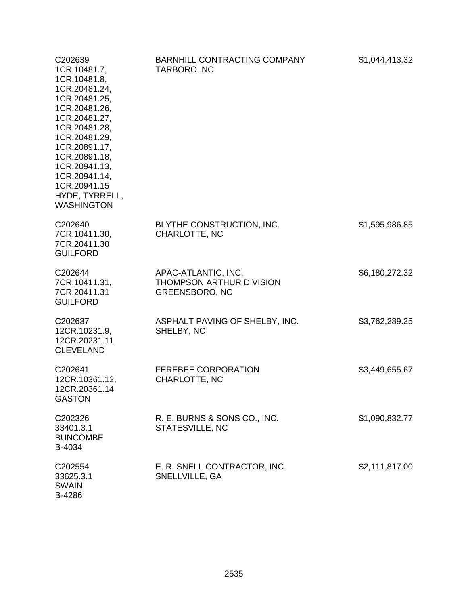| C202639<br>1CR.10481.7,<br>1CR.10481.8,<br>1CR.20481.24,<br>1CR.20481.25,<br>1CR.20481.26,<br>1CR.20481.27,<br>1CR.20481.28,<br>1CR.20481.29,<br>1CR.20891.17,<br>1CR.20891.18,<br>1CR.20941.13,<br>1CR.20941.14,<br>1CR.20941.15<br>HYDE, TYRRELL,<br><b>WASHINGTON</b> | BARNHILL CONTRACTING COMPANY<br>TARBORO, NC                              | \$1,044,413.32 |
|--------------------------------------------------------------------------------------------------------------------------------------------------------------------------------------------------------------------------------------------------------------------------|--------------------------------------------------------------------------|----------------|
| C202640<br>7CR.10411.30,<br>7CR.20411.30<br><b>GUILFORD</b>                                                                                                                                                                                                              | BLYTHE CONSTRUCTION, INC.<br>CHARLOTTE, NC                               | \$1,595,986.85 |
| C202644<br>7CR.10411.31,<br>7CR.20411.31<br><b>GUILFORD</b>                                                                                                                                                                                                              | APAC-ATLANTIC, INC.<br>THOMPSON ARTHUR DIVISION<br><b>GREENSBORO, NC</b> | \$6,180,272.32 |
| C202637<br>12CR.10231.9,<br>12CR.20231.11<br><b>CLEVELAND</b>                                                                                                                                                                                                            | ASPHALT PAVING OF SHELBY, INC.<br>SHELBY, NC                             | \$3,762,289.25 |
| C202641<br>12CR.10361.12,<br>12CR.20361.14<br><b>GASTON</b>                                                                                                                                                                                                              | FEREBEE CORPORATION<br><b>CHARLOTTE, NC</b>                              | \$3,449,655.67 |
| C202326<br>33401.3.1<br><b>BUNCOMBE</b><br>B-4034                                                                                                                                                                                                                        | R. E. BURNS & SONS CO., INC.<br>STATESVILLE, NC                          | \$1,090,832.77 |
| C202554<br>33625.3.1<br><b>SWAIN</b><br>B-4286                                                                                                                                                                                                                           | E. R. SNELL CONTRACTOR, INC.<br>SNELLVILLE, GA                           | \$2,111,817.00 |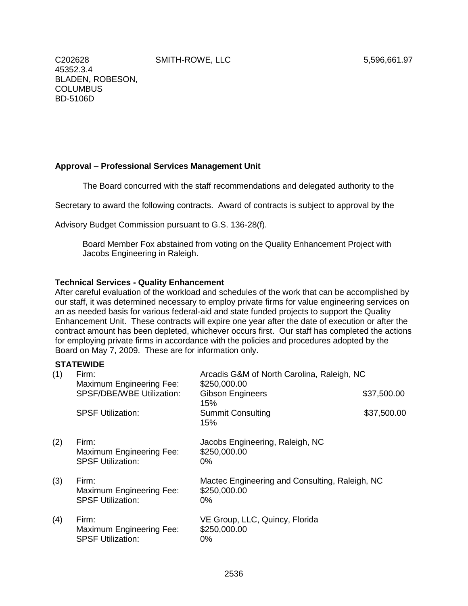SMITH-ROWE, LLC 5,596,661.97

C202628 45352.3.4 BLADEN, ROBESON, **COLUMBUS** BD-5106D

## **Approval – Professional Services Management Unit**

The Board concurred with the staff recommendations and delegated authority to the

Secretary to award the following contracts. Award of contracts is subject to approval by the

Advisory Budget Commission pursuant to G.S. 136-28(f).

Board Member Fox abstained from voting on the Quality Enhancement Project with Jacobs Engineering in Raleigh.

#### **Technical Services - Quality Enhancement**

After careful evaluation of the workload and schedules of the work that can be accomplished by our staff, it was determined necessary to employ private firms for value engineering services on an as needed basis for various federal-aid and state funded projects to support the Quality Enhancement Unit. These contracts will expire one year after the date of execution or after the contract amount has been depleted, whichever occurs first. Our staff has completed the actions for employing private firms in accordance with the policies and procedures adopted by the Board on May 7, 2009. These are for information only.

## **STATEWIDE**

| (1) | Firm:<br>Maximum Engineering Fee:                                    | Arcadis G&M of North Carolina, Raleigh, NC<br>\$250,000.00              |             |
|-----|----------------------------------------------------------------------|-------------------------------------------------------------------------|-------------|
|     | <b>SPSF/DBE/WBE Utilization:</b>                                     | <b>Gibson Engineers</b><br>15%                                          | \$37,500.00 |
|     | <b>SPSF Utilization:</b>                                             | <b>Summit Consulting</b><br>15%                                         | \$37,500.00 |
| (2) | Firm:<br>Maximum Engineering Fee:<br><b>SPSF Utilization:</b>        | Jacobs Engineering, Raleigh, NC<br>\$250,000.00<br>$0\%$                |             |
| (3) | Firm:<br>Maximum Engineering Fee:<br><b>SPSF Utilization:</b>        | Mactec Engineering and Consulting, Raleigh, NC<br>\$250,000.00<br>$0\%$ |             |
| (4) | Firm:<br><b>Maximum Engineering Fee:</b><br><b>SPSF Utilization:</b> | VE Group, LLC, Quincy, Florida<br>\$250,000.00<br>0%                    |             |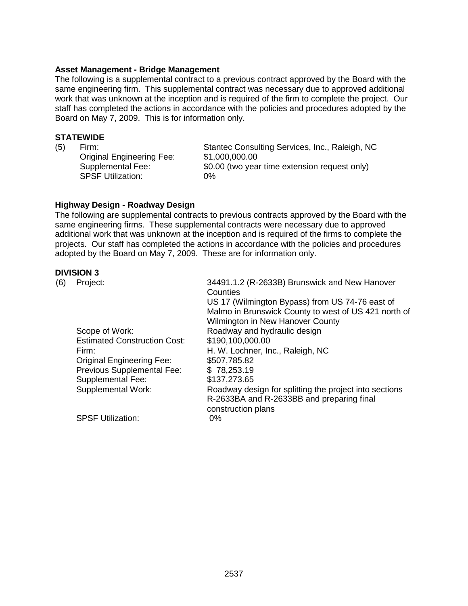#### **Asset Management - Bridge Management**

The following is a supplemental contract to a previous contract approved by the Board with the same engineering firm. This supplemental contract was necessary due to approved additional work that was unknown at the inception and is required of the firm to complete the project. Our staff has completed the actions in accordance with the policies and procedures adopted by the Board on May 7, 2009. This is for information only.

## **STATEWIDE**

Original Engineering Fee: \$1,000,000.00 SPSF Utilization: 0%

(5) Firm: Stantec Consulting Services, Inc., Raleigh, NC Supplemental Fee: \$0.00 (two year time extension request only)

#### **Highway Design - Roadway Design**

The following are supplemental contracts to previous contracts approved by the Board with the same engineering firms. These supplemental contracts were necessary due to approved additional work that was unknown at the inception and is required of the firms to complete the projects. Our staff has completed the actions in accordance with the policies and procedures adopted by the Board on May 7, 2009. These are for information only.

#### **DIVISION 3**

| (6) | Project:                            | 34491.1.2 (R-2633B) Brunswick and New Hanover<br>Counties |
|-----|-------------------------------------|-----------------------------------------------------------|
|     |                                     | US 17 (Wilmington Bypass) from US 74-76 east of           |
|     |                                     | Malmo in Brunswick County to west of US 421 north of      |
|     |                                     | Wilmington in New Hanover County                          |
|     | Scope of Work:                      | Roadway and hydraulic design                              |
|     | <b>Estimated Construction Cost:</b> | \$190,100,000.00                                          |
|     | Firm:                               | H. W. Lochner, Inc., Raleigh, NC                          |
|     | <b>Original Engineering Fee:</b>    | \$507,785.82                                              |
|     | Previous Supplemental Fee:          | \$78,253.19                                               |
|     | Supplemental Fee:                   | \$137,273.65                                              |
|     | Supplemental Work:                  | Roadway design for splitting the project into sections    |
|     |                                     | R-2633BA and R-2633BB and preparing final                 |
|     |                                     | construction plans                                        |
|     | <b>SPSF Utilization:</b>            | 0%                                                        |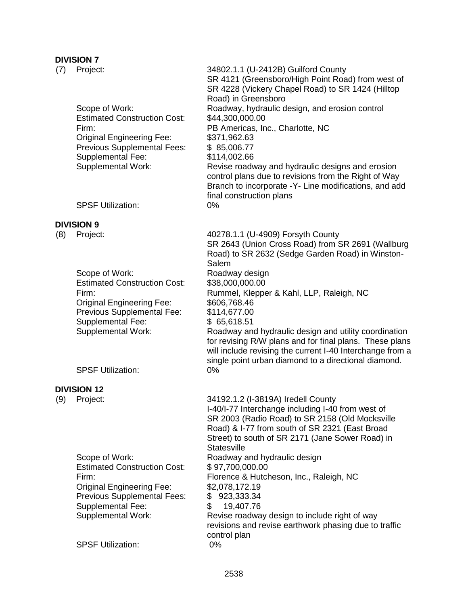## **DIVISION 7**

| (7) | Project:                                                                                                                                                                                          | 34802.1.1 (U-2412B) Guilford County<br>SR 4121 (Greensboro/High Point Road) from west of<br>SR 4228 (Vickery Chapel Road) to SR 1424 (Hilltop<br>Road) in Greensboro                                                                                                                                                                                  |
|-----|---------------------------------------------------------------------------------------------------------------------------------------------------------------------------------------------------|-------------------------------------------------------------------------------------------------------------------------------------------------------------------------------------------------------------------------------------------------------------------------------------------------------------------------------------------------------|
|     | Scope of Work:<br><b>Estimated Construction Cost:</b><br>Firm:<br><b>Original Engineering Fee:</b><br><b>Previous Supplemental Fees:</b><br><b>Supplemental Fee:</b><br><b>Supplemental Work:</b> | Roadway, hydraulic design, and erosion control<br>\$44,300,000.00<br>PB Americas, Inc., Charlotte, NC<br>\$371,962.63<br>\$85,006.77<br>\$114,002.66<br>Revise roadway and hydraulic designs and erosion<br>control plans due to revisions from the Right of Way<br>Branch to incorporate -Y- Line modifications, and add<br>final construction plans |
|     | <b>SPSF Utilization:</b>                                                                                                                                                                          | 0%                                                                                                                                                                                                                                                                                                                                                    |
|     | <b>DIVISION 9</b>                                                                                                                                                                                 |                                                                                                                                                                                                                                                                                                                                                       |
| (8) | Project:                                                                                                                                                                                          | 40278.1.1 (U-4909) Forsyth County<br>SR 2643 (Union Cross Road) from SR 2691 (Wallburg<br>Road) to SR 2632 (Sedge Garden Road) in Winston-<br>Salem                                                                                                                                                                                                   |
|     | Scope of Work:<br><b>Estimated Construction Cost:</b>                                                                                                                                             | Roadway design<br>\$38,000,000.00                                                                                                                                                                                                                                                                                                                     |
|     | Firm:                                                                                                                                                                                             | Rummel, Klepper & Kahl, LLP, Raleigh, NC                                                                                                                                                                                                                                                                                                              |
|     | <b>Original Engineering Fee:</b>                                                                                                                                                                  | \$606,768.46                                                                                                                                                                                                                                                                                                                                          |
|     | Previous Supplemental Fee:<br><b>Supplemental Fee:</b>                                                                                                                                            | \$114,677.00<br>\$65,618.51                                                                                                                                                                                                                                                                                                                           |
|     | <b>Supplemental Work:</b>                                                                                                                                                                         | Roadway and hydraulic design and utility coordination<br>for revising R/W plans and for final plans. These plans<br>will include revising the current I-40 Interchange from a<br>single point urban diamond to a directional diamond.                                                                                                                 |
|     | <b>SPSF Utilization:</b>                                                                                                                                                                          | 0%                                                                                                                                                                                                                                                                                                                                                    |
|     | <b>DIVISION 12</b>                                                                                                                                                                                |                                                                                                                                                                                                                                                                                                                                                       |
| (9) | Project:                                                                                                                                                                                          | 34192.1.2 (I-3819A) Iredell County<br>I-40/I-77 Interchange including I-40 from west of<br>SR 2003 (Radio Road) to SR 2158 (Old Mocksville<br>Road) & I-77 from south of SR 2321 (East Broad<br>Street) to south of SR 2171 (Jane Sower Road) in<br><b>Statesville</b>                                                                                |
|     | Scope of Work:                                                                                                                                                                                    | Roadway and hydraulic design                                                                                                                                                                                                                                                                                                                          |
|     | <b>Estimated Construction Cost:</b><br>Firm:                                                                                                                                                      | \$97,700,000.00<br>Florence & Hutcheson, Inc., Raleigh, NC                                                                                                                                                                                                                                                                                            |
|     | <b>Original Engineering Fee:</b>                                                                                                                                                                  | \$2,078,172.19                                                                                                                                                                                                                                                                                                                                        |
|     | <b>Previous Supplemental Fees:</b>                                                                                                                                                                | 923,333.34<br>\$<br>19,407.76                                                                                                                                                                                                                                                                                                                         |
|     | <b>Supplemental Fee:</b><br><b>Supplemental Work:</b>                                                                                                                                             | \$<br>Revise roadway design to include right of way                                                                                                                                                                                                                                                                                                   |
|     |                                                                                                                                                                                                   | revisions and revise earthwork phasing due to traffic<br>control plan                                                                                                                                                                                                                                                                                 |
|     | <b>SPSF Utilization:</b>                                                                                                                                                                          | 0%                                                                                                                                                                                                                                                                                                                                                    |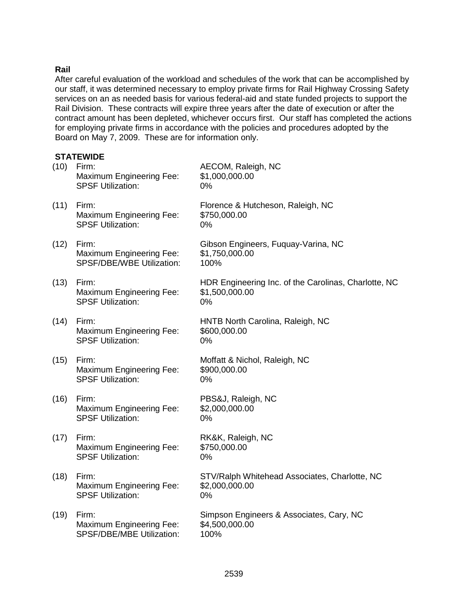## **Rail**

After careful evaluation of the workload and schedules of the work that can be accomplished by our staff, it was determined necessary to employ private firms for Rail Highway Crossing Safety services on an as needed basis for various federal-aid and state funded projects to support the Rail Division. These contracts will expire three years after the date of execution or after the contract amount has been depleted, whichever occurs first. Our staff has completed the actions for employing private firms in accordance with the policies and procedures adopted by the Board on May 7, 2009. These are for information only.

## **STATEWIDE**

| (10) | Firm:<br><b>Maximum Engineering Fee:</b><br><b>SPSF Utilization:</b> | AECOM, Raleigh, NC<br>\$1,000,000.00<br>0%                                   |
|------|----------------------------------------------------------------------|------------------------------------------------------------------------------|
| (11) | Firm:<br><b>Maximum Engineering Fee:</b><br><b>SPSF Utilization:</b> | Florence & Hutcheson, Raleigh, NC<br>\$750,000.00<br>0%                      |
| (12) | Firm:<br>Maximum Engineering Fee:<br>SPSF/DBE/WBE Utilization:       | Gibson Engineers, Fuquay-Varina, NC<br>\$1,750,000.00<br>100%                |
| (13) | Firm:<br><b>Maximum Engineering Fee:</b><br><b>SPSF Utilization:</b> | HDR Engineering Inc. of the Carolinas, Charlotte, NC<br>\$1,500,000.00<br>0% |
| (14) | Firm:<br>Maximum Engineering Fee:<br><b>SPSF Utilization:</b>        | HNTB North Carolina, Raleigh, NC<br>\$600,000.00<br>0%                       |
| (15) | Firm:<br><b>Maximum Engineering Fee:</b><br><b>SPSF Utilization:</b> | Moffatt & Nichol, Raleigh, NC<br>\$900,000.00<br>0%                          |
| (16) | Firm:<br>Maximum Engineering Fee:<br><b>SPSF Utilization:</b>        | PBS&J, Raleigh, NC<br>\$2,000,000.00<br>0%                                   |
| (17) | Firm:<br>Maximum Engineering Fee:<br><b>SPSF Utilization:</b>        | RK&K, Raleigh, NC<br>\$750,000.00<br>0%                                      |
| (18) | Firm:<br>Maximum Engineering Fee:<br><b>SPSF Utilization:</b>        | STV/Ralph Whitehead Associates, Charlotte, NC<br>\$2,000,000.00<br>0%        |
| (19) | Firm:<br>Maximum Engineering Fee:<br>SPSF/DBE/MBE Utilization:       | Simpson Engineers & Associates, Cary, NC<br>\$4,500,000.00<br>100%           |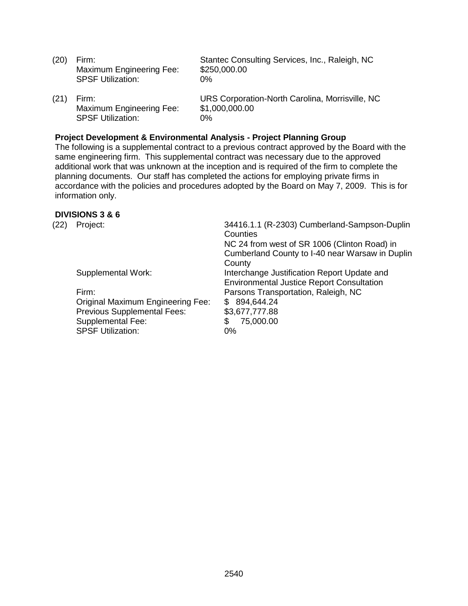Maximum Engineering Fee: \$250,000.00 SPSF Utilization: 0%

Maximum Engineering Fee: \$1,000,000.00 SPSF Utilization: 0%

(20) Firm: Stantec Consulting Services, Inc., Raleigh, NC

(21) Firm: URS Corporation-North Carolina, Morrisville, NC

#### **Project Development & Environmental Analysis - Project Planning Group**

The following is a supplemental contract to a previous contract approved by the Board with the same engineering firm. This supplemental contract was necessary due to the approved additional work that was unknown at the inception and is required of the firm to complete the planning documents. Our staff has completed the actions for employing private firms in accordance with the policies and procedures adopted by the Board on May 7, 2009. This is for information only.

#### **DIVISIONS 3 & 6**

| (22) | Project:                                 | 34416.1.1 (R-2303) Cumberland-Sampson-Duplin<br>Counties<br>NC 24 from west of SR 1006 (Clinton Road) in<br>Cumberland County to I-40 near Warsaw in Duplin<br>County |
|------|------------------------------------------|-----------------------------------------------------------------------------------------------------------------------------------------------------------------------|
|      | Supplemental Work:                       | Interchange Justification Report Update and<br><b>Environmental Justice Report Consultation</b>                                                                       |
|      | Firm:                                    | Parsons Transportation, Raleigh, NC                                                                                                                                   |
|      | <b>Original Maximum Engineering Fee:</b> | 894,644.24<br>\$.                                                                                                                                                     |
|      | <b>Previous Supplemental Fees:</b>       | \$3,677,777.88                                                                                                                                                        |
|      | <b>Supplemental Fee:</b>                 | 75,000.00<br>\$                                                                                                                                                       |
|      | <b>SPSF Utilization:</b>                 | $0\%$                                                                                                                                                                 |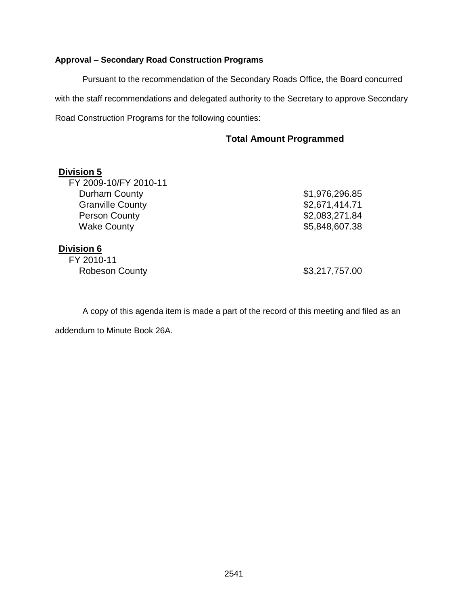## **Approval – Secondary Road Construction Programs**

Pursuant to the recommendation of the Secondary Roads Office, the Board concurred with the staff recommendations and delegated authority to the Secretary to approve Secondary Road Construction Programs for the following counties:

## **Total Amount Programmed**

| <b>Division 5</b>       |                |
|-------------------------|----------------|
| FY 2009-10/FY 2010-11   |                |
| Durham County           | \$1,976,296.85 |
| <b>Granville County</b> | \$2,671,414.71 |
| <b>Person County</b>    | \$2,083,271.84 |
| <b>Wake County</b>      | \$5,848,607.38 |
| <b>Division 6</b>       |                |
| FY 2010-11              |                |
| <b>Robeson County</b>   | \$3,217,757.00 |

A copy of this agenda item is made a part of the record of this meeting and filed as an addendum to Minute Book 26A.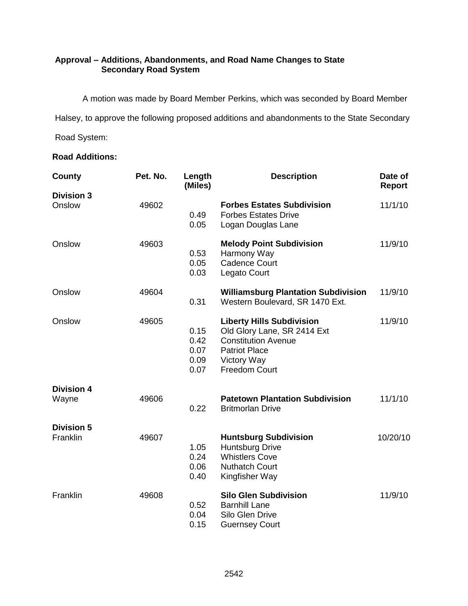## **Approval – Additions, Abandonments, and Road Name Changes to State Secondary Road System**

A motion was made by Board Member Perkins, which was seconded by Board Member

Halsey, to approve the following proposed additions and abandonments to the State Secondary

Road System:

## **Road Additions:**

| County                        | Pet. No. | Length<br>(Miles)                    | <b>Description</b>                                                                                                                                           | Date of<br><b>Report</b> |
|-------------------------------|----------|--------------------------------------|--------------------------------------------------------------------------------------------------------------------------------------------------------------|--------------------------|
| <b>Division 3</b>             |          |                                      |                                                                                                                                                              |                          |
| Onslow                        | 49602    | 0.49<br>0.05                         | <b>Forbes Estates Subdivision</b><br><b>Forbes Estates Drive</b><br>Logan Douglas Lane                                                                       | 11/1/10                  |
| Onslow                        | 49603    | 0.53<br>0.05<br>0.03                 | <b>Melody Point Subdivision</b><br>Harmony Way<br><b>Cadence Court</b><br>Legato Court                                                                       | 11/9/10                  |
| Onslow                        | 49604    | 0.31                                 | <b>Williamsburg Plantation Subdivision</b><br>Western Boulevard, SR 1470 Ext.                                                                                | 11/9/10                  |
| Onslow                        | 49605    | 0.15<br>0.42<br>0.07<br>0.09<br>0.07 | <b>Liberty Hills Subdivision</b><br>Old Glory Lane, SR 2414 Ext<br><b>Constitution Avenue</b><br><b>Patriot Place</b><br>Victory Way<br><b>Freedom Court</b> | 11/9/10                  |
| <b>Division 4</b><br>Wayne    | 49606    | 0.22                                 | <b>Patetown Plantation Subdivision</b><br><b>Britmorlan Drive</b>                                                                                            | 11/1/10                  |
| <b>Division 5</b><br>Franklin | 49607    | 1.05<br>0.24<br>0.06<br>0.40         | <b>Huntsburg Subdivision</b><br><b>Huntsburg Drive</b><br><b>Whistlers Cove</b><br><b>Nuthatch Court</b><br>Kingfisher Way                                   | 10/20/10                 |
| Franklin                      | 49608    | 0.52<br>0.04<br>0.15                 | <b>Silo Glen Subdivision</b><br><b>Barnhill Lane</b><br>Silo Glen Drive<br><b>Guernsey Court</b>                                                             | 11/9/10                  |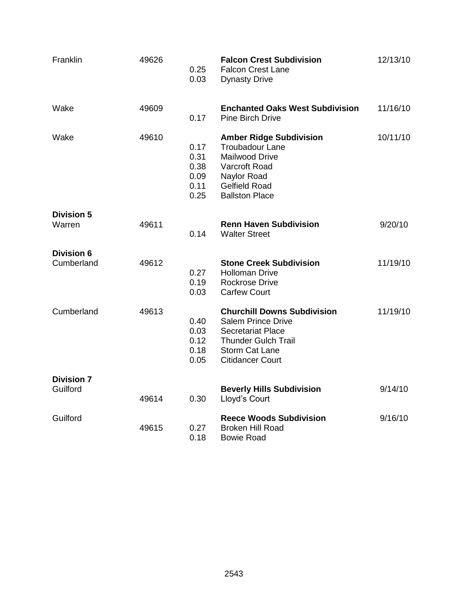| Franklin                        | 49626 | 0.25<br>0.03                                 | <b>Falcon Crest Subdivision</b><br><b>Falcon Crest Lane</b><br><b>Dynasty Drive</b>                                                                                           | 12/13/10 |
|---------------------------------|-------|----------------------------------------------|-------------------------------------------------------------------------------------------------------------------------------------------------------------------------------|----------|
| Wake                            | 49609 | 0.17                                         | <b>Enchanted Oaks West Subdivision</b><br><b>Pine Birch Drive</b>                                                                                                             | 11/16/10 |
| Wake                            | 49610 | 0.17<br>0.31<br>0.38<br>0.09<br>0.11<br>0.25 | <b>Amber Ridge Subdivision</b><br><b>Troubadour Lane</b><br>Mailwood Drive<br>Varcroft Road<br>Naylor Road<br><b>Gelfield Road</b><br><b>Ballston Place</b>                   | 10/11/10 |
| <b>Division 5</b><br>Warren     | 49611 | 0.14                                         | <b>Renn Haven Subdivision</b><br><b>Walter Street</b>                                                                                                                         | 9/20/10  |
| <b>Division 6</b><br>Cumberland | 49612 | 0.27<br>0.19<br>0.03                         | <b>Stone Creek Subdivision</b><br><b>Holloman Drive</b><br><b>Rockrose Drive</b><br><b>Carfew Court</b>                                                                       | 11/19/10 |
| Cumberland                      | 49613 | 0.40<br>0.03<br>0.12<br>0.18<br>0.05         | <b>Churchill Downs Subdivision</b><br><b>Salem Prince Drive</b><br><b>Secretariat Place</b><br><b>Thunder Gulch Trail</b><br><b>Storm Cat Lane</b><br><b>Citidancer Court</b> | 11/19/10 |
| <b>Division 7</b><br>Guilford   | 49614 | 0.30                                         | <b>Beverly Hills Subdivision</b><br>Lloyd's Court                                                                                                                             | 9/14/10  |
| Guilford                        | 49615 | 0.27<br>0.18                                 | <b>Reece Woods Subdivision</b><br><b>Broken Hill Road</b><br><b>Bowie Road</b>                                                                                                | 9/16/10  |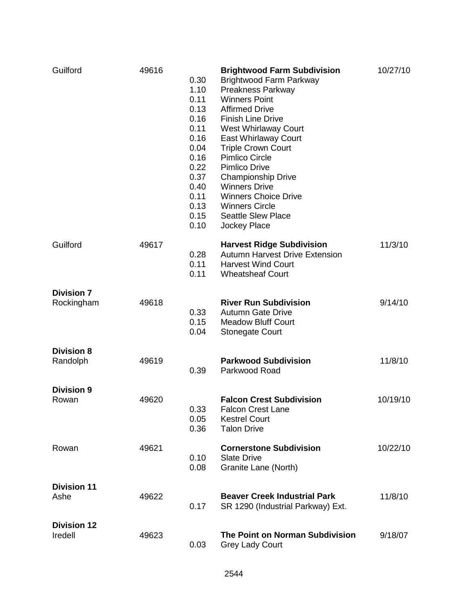| Guilford                        | 49616 | 0.30<br>1.10<br>0.11<br>0.13<br>0.16<br>0.11<br>0.16<br>0.04<br>0.16<br>0.22<br>0.37<br>0.40<br>0.11<br>0.13<br>0.15<br>0.10 | <b>Brightwood Farm Subdivision</b><br><b>Brightwood Farm Parkway</b><br><b>Preakness Parkway</b><br><b>Winners Point</b><br><b>Affirmed Drive</b><br><b>Finish Line Drive</b><br>West Whirlaway Court<br>East Whirlaway Court<br><b>Triple Crown Court</b><br><b>Pimlico Circle</b><br><b>Pimlico Drive</b><br><b>Championship Drive</b><br><b>Winners Drive</b><br><b>Winners Choice Drive</b><br><b>Winners Circle</b><br><b>Seattle Slew Place</b><br>Jockey Place | 10/27/10 |
|---------------------------------|-------|------------------------------------------------------------------------------------------------------------------------------|-----------------------------------------------------------------------------------------------------------------------------------------------------------------------------------------------------------------------------------------------------------------------------------------------------------------------------------------------------------------------------------------------------------------------------------------------------------------------|----------|
| Guilford                        | 49617 | 0.28<br>0.11<br>0.11                                                                                                         | <b>Harvest Ridge Subdivision</b><br><b>Autumn Harvest Drive Extension</b><br><b>Harvest Wind Court</b><br><b>Wheatsheaf Court</b>                                                                                                                                                                                                                                                                                                                                     | 11/3/10  |
| <b>Division 7</b><br>Rockingham | 49618 | 0.33<br>0.15<br>0.04                                                                                                         | <b>River Run Subdivision</b><br><b>Autumn Gate Drive</b><br><b>Meadow Bluff Court</b><br><b>Stonegate Court</b>                                                                                                                                                                                                                                                                                                                                                       | 9/14/10  |
| <b>Division 8</b><br>Randolph   | 49619 | 0.39                                                                                                                         | <b>Parkwood Subdivision</b><br>Parkwood Road                                                                                                                                                                                                                                                                                                                                                                                                                          | 11/8/10  |
| <b>Division 9</b><br>Rowan      | 49620 | 0.33<br>0.05<br>0.36                                                                                                         | <b>Falcon Crest Subdivision</b><br><b>Falcon Crest Lane</b><br><b>Kestrel Court</b><br><b>Talon Drive</b>                                                                                                                                                                                                                                                                                                                                                             | 10/19/10 |
| Rowan                           | 49621 | 0.10<br>0.08                                                                                                                 | <b>Cornerstone Subdivision</b><br><b>Slate Drive</b><br>Granite Lane (North)                                                                                                                                                                                                                                                                                                                                                                                          | 10/22/10 |
| <b>Division 11</b><br>Ashe      | 49622 | 0.17                                                                                                                         | <b>Beaver Creek Industrial Park</b><br>SR 1290 (Industrial Parkway) Ext.                                                                                                                                                                                                                                                                                                                                                                                              | 11/8/10  |
| <b>Division 12</b><br>Iredell   | 49623 | 0.03                                                                                                                         | The Point on Norman Subdivision<br><b>Grey Lady Court</b>                                                                                                                                                                                                                                                                                                                                                                                                             | 9/18/07  |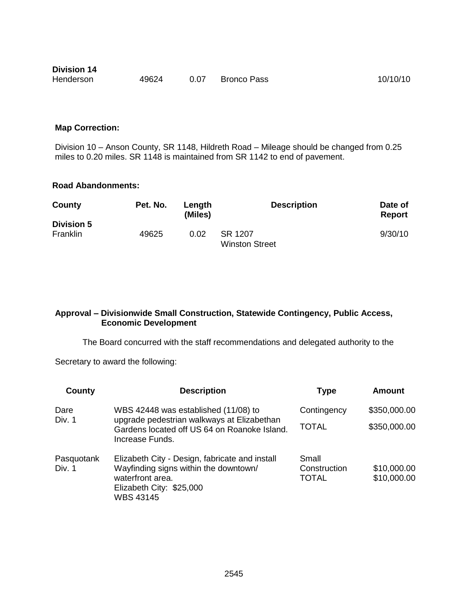| <b>Division 14</b> |       |      |                    |          |
|--------------------|-------|------|--------------------|----------|
| Henderson          | 49624 | 0.07 | <b>Bronco Pass</b> | 10/10/10 |

#### **Map Correction:**

Division 10 – Anson County, SR 1148, Hildreth Road – Mileage should be changed from 0.25 miles to 0.20 miles. SR 1148 is maintained from SR 1142 to end of pavement.

## **Road Abandonments:**

| County            | Pet. No. | Lenath<br>(Miles) | <b>Description</b>               | Date of<br><b>Report</b> |
|-------------------|----------|-------------------|----------------------------------|--------------------------|
| <b>Division 5</b> |          |                   |                                  |                          |
| Franklin          | 49625    | 0.02              | SR 1207<br><b>Winston Street</b> | 9/30/10                  |

#### **Approval – Divisionwide Small Construction, Statewide Contingency, Public Access, Economic Development**

The Board concurred with the staff recommendations and delegated authority to the

Secretary to award the following:

| County               | <b>Description</b>                                                                                                                                          | <b>Type</b>                           | Amount                     |
|----------------------|-------------------------------------------------------------------------------------------------------------------------------------------------------------|---------------------------------------|----------------------------|
| Dare                 | WBS 42448 was established (11/08) to                                                                                                                        | Contingency                           | \$350,000.00               |
| Div. 1               | upgrade pedestrian walkways at Elizabethan<br>Gardens located off US 64 on Roanoke Island.<br>Increase Funds.                                               | <b>TOTAL</b>                          | \$350,000.00               |
| Pasquotank<br>Div. 1 | Elizabeth City - Design, fabricate and install<br>Wayfinding signs within the downtown/<br>waterfront area.<br>Elizabeth City: \$25,000<br><b>WBS 43145</b> | Small<br>Construction<br><b>TOTAL</b> | \$10,000.00<br>\$10,000.00 |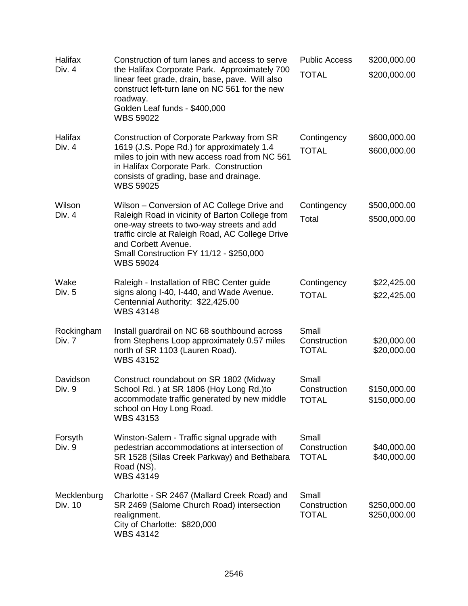| Halifax<br>Div. 4      | Construction of turn lanes and access to serve<br>the Halifax Corporate Park. Approximately 700<br>linear feet grade, drain, base, pave. Will also<br>construct left-turn lane on NC 561 for the new<br>roadway.<br>Golden Leaf funds - \$400,000<br><b>WBS 59022</b>                  | <b>Public Access</b><br><b>TOTAL</b>  | \$200,000.00<br>\$200,000.00 |
|------------------------|----------------------------------------------------------------------------------------------------------------------------------------------------------------------------------------------------------------------------------------------------------------------------------------|---------------------------------------|------------------------------|
| Halifax<br>Div. 4      | Construction of Corporate Parkway from SR<br>1619 (J.S. Pope Rd.) for approximately 1.4<br>miles to join with new access road from NC 561<br>in Halifax Corporate Park. Construction<br>consists of grading, base and drainage.<br><b>WBS 59025</b>                                    | Contingency<br><b>TOTAL</b>           | \$600,000.00<br>\$600,000.00 |
| Wilson<br>Div. 4       | Wilson – Conversion of AC College Drive and<br>Raleigh Road in vicinity of Barton College from<br>one-way streets to two-way streets and add<br>traffic circle at Raleigh Road, AC College Drive<br>and Corbett Avenue.<br>Small Construction FY 11/12 - \$250,000<br><b>WBS 59024</b> | Contingency<br>Total                  | \$500,000.00<br>\$500,000.00 |
| Wake<br>Div. 5         | Raleigh - Installation of RBC Center guide<br>signs along I-40, I-440, and Wade Avenue.<br>Centennial Authority: \$22,425.00<br><b>WBS 43148</b>                                                                                                                                       | Contingency<br><b>TOTAL</b>           | \$22,425.00<br>\$22,425.00   |
| Rockingham<br>Div. 7   | Install guardrail on NC 68 southbound across<br>from Stephens Loop approximately 0.57 miles<br>north of SR 1103 (Lauren Road).<br><b>WBS 43152</b>                                                                                                                                     | Small<br>Construction<br><b>TOTAL</b> | \$20,000.00<br>\$20,000.00   |
| Davidson<br>Div. 9     | Construct roundabout on SR 1802 (Midway<br>School Rd.) at SR 1806 (Hoy Long Rd.) to<br>accommodate traffic generated by new middle<br>school on Hoy Long Road.<br><b>WBS 43153</b>                                                                                                     | Small<br>Construction<br><b>TOTAL</b> | \$150,000.00<br>\$150,000.00 |
| Forsyth<br>Div. 9      | Winston-Salem - Traffic signal upgrade with<br>pedestrian accommodations at intersection of<br>SR 1528 (Silas Creek Parkway) and Bethabara<br>Road (NS).<br><b>WBS 43149</b>                                                                                                           | Small<br>Construction<br><b>TOTAL</b> | \$40,000.00<br>\$40,000.00   |
| Mecklenburg<br>Div. 10 | Charlotte - SR 2467 (Mallard Creek Road) and<br>SR 2469 (Salome Church Road) intersection<br>realignment.<br>City of Charlotte: \$820,000<br>WBS 43142                                                                                                                                 | Small<br>Construction<br><b>TOTAL</b> | \$250,000.00<br>\$250,000.00 |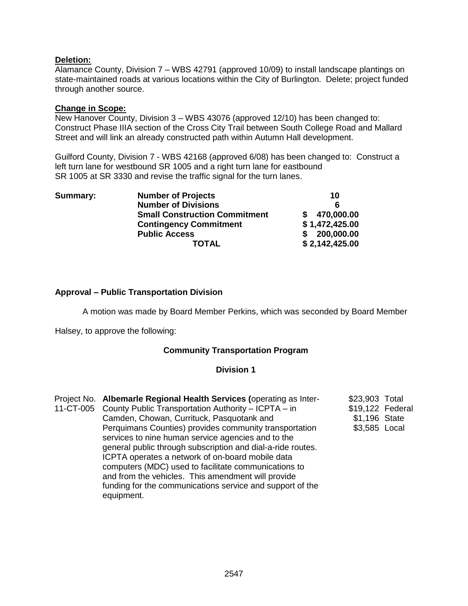## **Deletion:**

Alamance County, Division 7 – WBS 42791 (approved 10/09) to install landscape plantings on state-maintained roads at various locations within the City of Burlington. Delete; project funded through another source.

#### **Change in Scope:**

New Hanover County, Division 3 – WBS 43076 (approved 12/10) has been changed to: Construct Phase IIIA section of the Cross City Trail between South College Road and Mallard Street and will link an already constructed path within Autumn Hall development.

Guilford County, Division 7 - WBS 42168 (approved 6/08) has been changed to: Construct a left turn lane for westbound SR 1005 and a right turn lane for eastbound SR 1005 at SR 3330 and revise the traffic signal for the turn lanes.

| Summary: | <b>Number of Projects</b>            | 10             |
|----------|--------------------------------------|----------------|
|          | <b>Number of Divisions</b>           |                |
|          | <b>Small Construction Commitment</b> | \$ 470,000.00  |
|          | <b>Contingency Commitment</b>        | \$1,472,425.00 |
|          | <b>Public Access</b>                 | \$200,000.00   |
|          | TOTAL                                | \$2,142,425.00 |

## **Approval – Public Transportation Division**

A motion was made by Board Member Perkins, which was seconded by Board Member

Halsey, to approve the following:

#### **Community Transportation Program**

#### **Division 1**

| Project No. Albemarle Regional Health Services (operating as Inter-<br>11-CT-005 County Public Transportation Authority - ICPTA - in<br>Camden, Chowan, Currituck, Pasquotank and<br>Perquimans Counties) provides community transportation<br>services to nine human service agencies and to the<br>general public through subscription and dial-a-ride routes.<br>ICPTA operates a network of on-board mobile data<br>computers (MDC) used to facilitate communications to<br>and from the vehicles. This amendment will provide<br>funding for the communications service and support of the | \$23,903 Total<br>\$19,122 Federal<br>\$1,196 State<br>\$3,585 Local |  |
|-------------------------------------------------------------------------------------------------------------------------------------------------------------------------------------------------------------------------------------------------------------------------------------------------------------------------------------------------------------------------------------------------------------------------------------------------------------------------------------------------------------------------------------------------------------------------------------------------|----------------------------------------------------------------------|--|
| equipment.                                                                                                                                                                                                                                                                                                                                                                                                                                                                                                                                                                                      |                                                                      |  |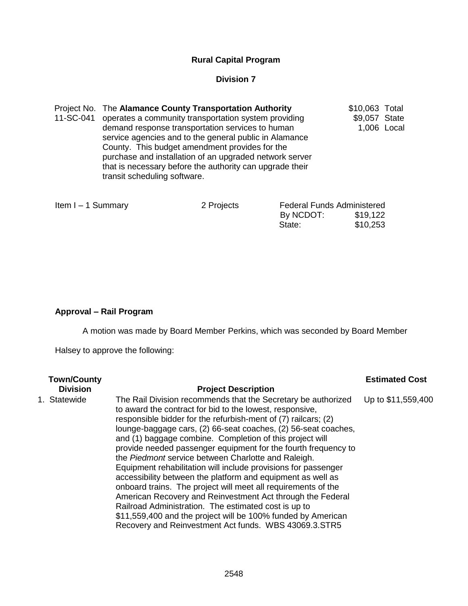## **Rural Capital Program**

## **Division 7**

| Project No. The Alamance County Transportation Authority       | \$10,063 Total |  |
|----------------------------------------------------------------|----------------|--|
| 11-SC-041 operates a community transportation system providing | \$9,057 State  |  |
| demand response transportation services to human               | 1,006 Local    |  |
| service agencies and to the general public in Alamance         |                |  |
| County. This budget amendment provides for the                 |                |  |
| purchase and installation of an upgraded network server        |                |  |
| that is necessary before the authority can upgrade their       |                |  |
| transit scheduling software.                                   |                |  |
|                                                                |                |  |

| Item I - 1 Summary | 2 Projects | <b>Federal Funds Administered</b> |          |  |
|--------------------|------------|-----------------------------------|----------|--|
|                    |            | By NCDOT:                         | \$19,122 |  |
|                    |            | State:                            | \$10,253 |  |

## **Approval – Rail Program**

A motion was made by Board Member Perkins, which was seconded by Board Member

Halsey to approve the following:

| <b>Town/County</b><br><b>Division</b> | <b>Project Description</b>                                                                                                                                                                                                                                                                                                                                                                                                                                                                                                                                                                                                                                                                                                                                                                                                                                                                          | <b>Estimated Cost</b> |
|---------------------------------------|-----------------------------------------------------------------------------------------------------------------------------------------------------------------------------------------------------------------------------------------------------------------------------------------------------------------------------------------------------------------------------------------------------------------------------------------------------------------------------------------------------------------------------------------------------------------------------------------------------------------------------------------------------------------------------------------------------------------------------------------------------------------------------------------------------------------------------------------------------------------------------------------------------|-----------------------|
| 1. Statewide                          | The Rail Division recommends that the Secretary be authorized<br>to award the contract for bid to the lowest, responsive,<br>responsible bidder for the refurbish-ment of (7) railcars; (2)<br>lounge-baggage cars, (2) 66-seat coaches, (2) 56-seat coaches,<br>and (1) baggage combine. Completion of this project will<br>provide needed passenger equipment for the fourth frequency to<br>the Piedmont service between Charlotte and Raleigh.<br>Equipment rehabilitation will include provisions for passenger<br>accessibility between the platform and equipment as well as<br>onboard trains. The project will meet all requirements of the<br>American Recovery and Reinvestment Act through the Federal<br>Railroad Administration. The estimated cost is up to<br>\$11,559,400 and the project will be 100% funded by American<br>Recovery and Reinvestment Act funds. WBS 43069.3.STR5 | Up to \$11,559,400    |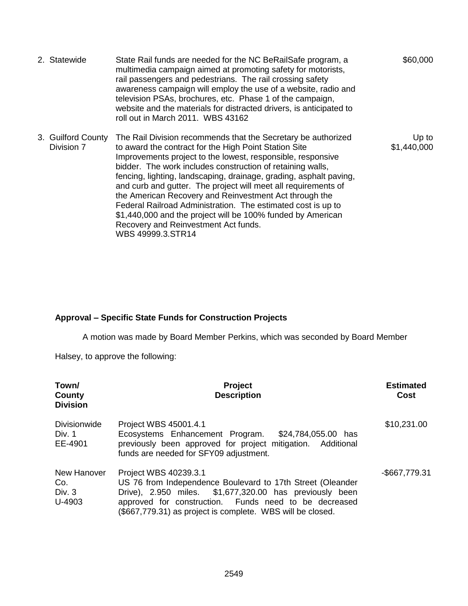| 2. Statewide                     | State Rail funds are needed for the NC BeRailSafe program, a<br>multimedia campaign aimed at promoting safety for motorists,<br>rail passengers and pedestrians. The rail crossing safety<br>awareness campaign will employ the use of a website, radio and<br>television PSAs, brochures, etc. Phase 1 of the campaign,<br>website and the materials for distracted drivers, is anticipated to<br>roll out in March 2011. WBS 43162                                                                                                                                                                                                              | \$60,000             |
|----------------------------------|---------------------------------------------------------------------------------------------------------------------------------------------------------------------------------------------------------------------------------------------------------------------------------------------------------------------------------------------------------------------------------------------------------------------------------------------------------------------------------------------------------------------------------------------------------------------------------------------------------------------------------------------------|----------------------|
| 3. Guilford County<br>Division 7 | The Rail Division recommends that the Secretary be authorized<br>to award the contract for the High Point Station Site<br>Improvements project to the lowest, responsible, responsive<br>bidder. The work includes construction of retaining walls,<br>fencing, lighting, landscaping, drainage, grading, asphalt paving,<br>and curb and gutter. The project will meet all requirements of<br>the American Recovery and Reinvestment Act through the<br>Federal Railroad Administration. The estimated cost is up to<br>\$1,440,000 and the project will be 100% funded by American<br>Recovery and Reinvestment Act funds.<br>WBS 49999.3.STR14 | Up to<br>\$1,440,000 |

# **Approval – Specific State Funds for Construction Projects**

A motion was made by Board Member Perkins, which was seconded by Board Member

Halsey, to approve the following:

| Town/<br>County<br><b>Division</b>       | <b>Project</b><br><b>Description</b>                                                                                                                                                                                                                                  | <b>Estimated</b><br>Cost |
|------------------------------------------|-----------------------------------------------------------------------------------------------------------------------------------------------------------------------------------------------------------------------------------------------------------------------|--------------------------|
| <b>Divisionwide</b><br>Div. 1<br>EE-4901 | Project WBS 45001.4.1<br>Ecosystems Enhancement Program.<br>\$24,784,055.00 has<br>previously been approved for project mitigation. Additional<br>funds are needed for SFY09 adjustment.                                                                              | \$10,231.00              |
| New Hanover<br>Co.<br>Div. 3<br>U-4903   | Project WBS 40239.3.1<br>US 76 from Independence Boulevard to 17th Street (Oleander<br>Drive), 2.950 miles. \$1,677,320.00 has previously been<br>approved for construction. Funds need to be decreased<br>(\$667,779.31) as project is complete. WBS will be closed. | -\$667,779.31            |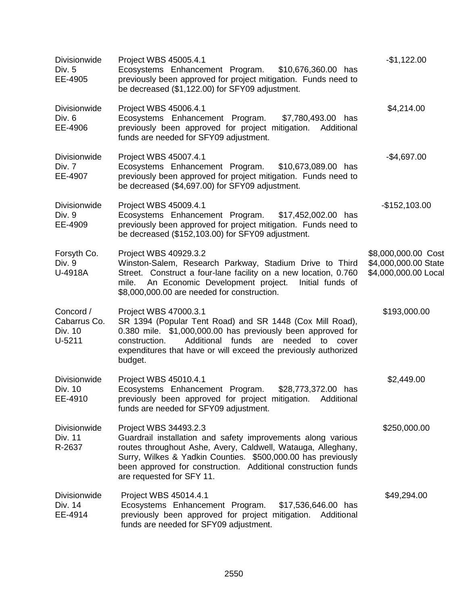| <b>Divisionwide</b><br>Div. 5<br>EE-4905         | Project WBS 45005.4.1<br>Ecosystems Enhancement Program. \$10,676,360.00 has<br>previously been approved for project mitigation. Funds need to<br>be decreased (\$1,122.00) for SFY09 adjustment.                                                                                                                   | $-$1,122.00$                                                        |
|--------------------------------------------------|---------------------------------------------------------------------------------------------------------------------------------------------------------------------------------------------------------------------------------------------------------------------------------------------------------------------|---------------------------------------------------------------------|
| Divisionwide<br>Div. 6<br>EE-4906                | Project WBS 45006.4.1<br>\$7,780,493.00 has<br>Ecosystems Enhancement Program.<br>previously been approved for project mitigation.<br>Additional<br>funds are needed for SFY09 adjustment.                                                                                                                          | \$4,214.00                                                          |
| Divisionwide<br>Div. 7<br>EE-4907                | Project WBS 45007.4.1<br>Ecosystems Enhancement Program.<br>\$10,673,089.00 has<br>previously been approved for project mitigation. Funds need to<br>be decreased (\$4,697.00) for SFY09 adjustment.                                                                                                                | $-$4,697.00$                                                        |
| Divisionwide<br>Div. 9<br>EE-4909                | Project WBS 45009.4.1<br>Ecosystems Enhancement Program.<br>\$17,452,002.00 has<br>previously been approved for project mitigation. Funds need to<br>be decreased (\$152,103.00) for SFY09 adjustment.                                                                                                              | $-$152,103.00$                                                      |
| Forsyth Co.<br>Div. 9<br>U-4918A                 | Project WBS 40929.3.2<br>Winston-Salem, Research Parkway, Stadium Drive to Third<br>Street. Construct a four-lane facility on a new location, 0.760<br>An Economic Development project. Initial funds of<br>mile.<br>\$8,000,000.00 are needed for construction.                                                    | \$8,000,000.00 Cost<br>\$4,000,000.00 State<br>\$4,000,000.00 Local |
| Concord /<br>Cabarrus Co.<br>Div. 10<br>$U-5211$ | Project WBS 47000.3.1<br>SR 1394 (Popular Tent Road) and SR 1448 (Cox Mill Road),<br>0.380 mile. \$1,000,000.00 has previously been approved for<br>construction.<br>Additional funds<br>are needed to<br>cover<br>expenditures that have or will exceed the previously authorized<br>budget.                       | \$193,000.00                                                        |
| <b>Divisionwide</b><br>Div. 10<br>EE-4910        | Project WBS 45010.4.1<br>Ecosystems Enhancement Program.<br>\$28,773,372.00 has<br>previously been approved for project mitigation.<br>Additional<br>funds are needed for SFY09 adjustment.                                                                                                                         | \$2,449.00                                                          |
| Divisionwide<br>Div. 11<br>R-2637                | Project WBS 34493.2.3<br>Guardrail installation and safety improvements along various<br>routes throughout Ashe, Avery, Caldwell, Watauga, Alleghany,<br>Surry, Wilkes & Yadkin Counties. \$500,000.00 has previously<br>been approved for construction. Additional construction funds<br>are requested for SFY 11. | \$250,000.00                                                        |
| Divisionwide<br>Div. 14<br>EE-4914               | Project WBS 45014.4.1<br>Ecosystems Enhancement Program.<br>\$17,536,646.00 has<br>previously been approved for project mitigation. Additional<br>funds are needed for SFY09 adjustment.                                                                                                                            | \$49,294.00                                                         |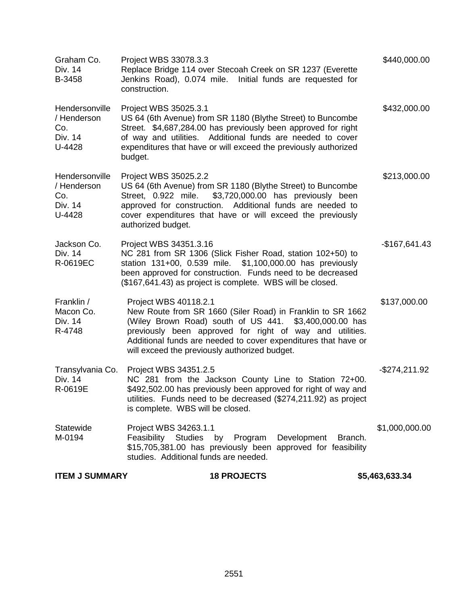| <b>ITEM J SUMMARY</b>                                     | <b>18 PROJECTS</b>                                                                                                                                                                                                                                                                                                           | \$5,463,633.34 |
|-----------------------------------------------------------|------------------------------------------------------------------------------------------------------------------------------------------------------------------------------------------------------------------------------------------------------------------------------------------------------------------------------|----------------|
| Statewide<br>M-0194                                       | Project WBS 34263.1.1<br>Feasibility<br><b>Studies</b><br>by<br>Program<br>Development<br>Branch.<br>\$15,705,381.00 has previously been approved for feasibility<br>studies. Additional funds are needed.                                                                                                                   | \$1,000,000.00 |
| Transylvania Co.<br>Div. 14<br>R-0619E                    | Project WBS 34351.2.5<br>NC 281 from the Jackson County Line to Station 72+00.<br>\$492,502.00 has previously been approved for right of way and<br>utilities. Funds need to be decreased (\$274,211.92) as project<br>is complete. WBS will be closed.                                                                      | $-$274,211.92$ |
| Franklin /<br>Macon Co.<br>Div. 14<br>R-4748              | Project WBS 40118.2.1<br>New Route from SR 1660 (Siler Road) in Franklin to SR 1662<br>(Wiley Brown Road) south of US 441. \$3,400,000.00 has<br>previously been approved for right of way and utilities.<br>Additional funds are needed to cover expenditures that have or<br>will exceed the previously authorized budget. | \$137,000.00   |
| Jackson Co.<br>Div. 14<br>R-0619EC                        | Project WBS 34351.3.16<br>NC 281 from SR 1306 (Slick Fisher Road, station 102+50) to<br>station 131+00, 0.539 mile. \$1,100,000.00 has previously<br>been approved for construction. Funds need to be decreased<br>(\$167,641.43) as project is complete. WBS will be closed.                                                | $-$167,641.43$ |
| Hendersonville<br>/ Henderson<br>Co.<br>Div. 14<br>U-4428 | Project WBS 35025.2.2<br>US 64 (6th Avenue) from SR 1180 (Blythe Street) to Buncombe<br>Street, 0.922 mile. \$3,720,000.00 has previously been<br>approved for construction. Additional funds are needed to<br>cover expenditures that have or will exceed the previously<br>authorized budget.                              | \$213,000.00   |
| Hendersonville<br>/ Henderson<br>Co.<br>Div. 14<br>U-4428 | Project WBS 35025.3.1<br>US 64 (6th Avenue) from SR 1180 (Blythe Street) to Buncombe<br>Street. \$4,687,284.00 has previously been approved for right<br>of way and utilities. Additional funds are needed to cover<br>expenditures that have or will exceed the previously authorized<br>budget.                            | \$432,000.00   |
| Graham Co.<br>Div. 14<br>B-3458                           | Project WBS 33078.3.3<br>Replace Bridge 114 over Stecoah Creek on SR 1237 (Everette<br>Jenkins Road), 0.074 mile. Initial funds are requested for<br>construction.                                                                                                                                                           | \$440,000.00   |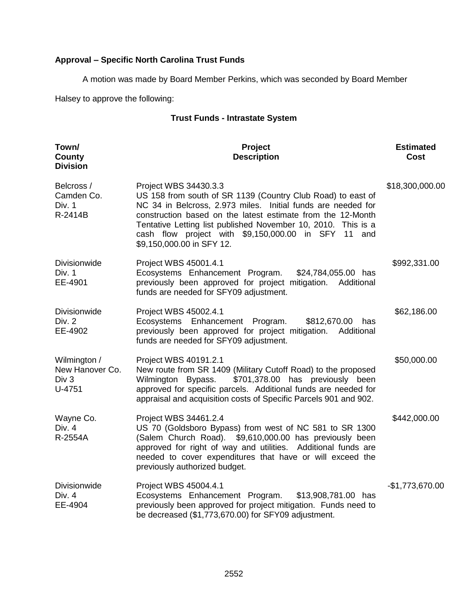# **Approval – Specific North Carolina Trust Funds**

A motion was made by Board Member Perkins, which was seconded by Board Member

Halsey to approve the following:

## **Trust Funds - Intrastate System**

| Town/<br>County<br><b>Division</b>                 | Project<br><b>Description</b>                                                                                                                                                                                                                                                                                                                                            | <b>Estimated</b><br><b>Cost</b> |
|----------------------------------------------------|--------------------------------------------------------------------------------------------------------------------------------------------------------------------------------------------------------------------------------------------------------------------------------------------------------------------------------------------------------------------------|---------------------------------|
| Belcross /<br>Camden Co.<br>Div. 1<br>R-2414B      | Project WBS 34430.3.3<br>US 158 from south of SR 1139 (Country Club Road) to east of<br>NC 34 in Belcross, 2.973 miles. Initial funds are needed for<br>construction based on the latest estimate from the 12-Month<br>Tentative Letting list published November 10, 2010. This is a<br>cash flow project with \$9,150,000.00 in SFY 11 and<br>\$9,150,000.00 in SFY 12. | \$18,300,000.00                 |
| <b>Divisionwide</b><br>Div. 1<br>EE-4901           | Project WBS 45001.4.1<br>Ecosystems Enhancement Program.<br>\$24,784,055.00 has<br>previously been approved for project mitigation. Additional<br>funds are needed for SFY09 adjustment.                                                                                                                                                                                 | \$992,331.00                    |
| <b>Divisionwide</b><br>Div. 2<br>EE-4902           | Project WBS 45002.4.1<br>Ecosystems Enhancement Program.<br>\$812,670.00<br>has<br>previously been approved for project mitigation. Additional<br>funds are needed for SFY09 adjustment.                                                                                                                                                                                 | \$62,186.00                     |
| Wilmington /<br>New Hanover Co.<br>Div 3<br>U-4751 | Project WBS 40191.2.1<br>New route from SR 1409 (Military Cutoff Road) to the proposed<br>\$701,378.00 has previously been<br>Wilmington Bypass.<br>approved for specific parcels. Additional funds are needed for<br>appraisal and acquisition costs of Specific Parcels 901 and 902.                                                                                   | \$50,000.00                     |
| Wayne Co.<br>Div. 4<br>R-2554A                     | Project WBS 34461.2.4<br>US 70 (Goldsboro Bypass) from west of NC 581 to SR 1300<br>(Salem Church Road). \$9,610,000.00 has previously been<br>approved for right of way and utilities. Additional funds are<br>needed to cover expenditures that have or will exceed the<br>previously authorized budget.                                                               | \$442,000.00                    |
| Divisionwide<br>Div. 4<br>EE-4904                  | Project WBS 45004.4.1<br>Ecosystems Enhancement Program.<br>\$13,908,781.00 has<br>previously been approved for project mitigation. Funds need to<br>be decreased (\$1,773,670.00) for SFY09 adjustment.                                                                                                                                                                 | $-$1,773,670.00$                |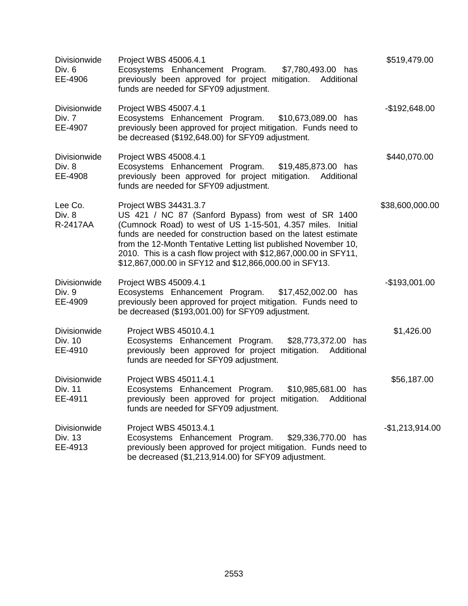| <b>Divisionwide</b><br>Div. 6<br>EE-4906  | Project WBS 45006.4.1<br>Ecosystems Enhancement Program.<br>\$7,780,493.00 has<br>previously been approved for project mitigation. Additional<br>funds are needed for SFY09 adjustment.                                                                                                                                                                                                                         | \$519,479.00     |
|-------------------------------------------|-----------------------------------------------------------------------------------------------------------------------------------------------------------------------------------------------------------------------------------------------------------------------------------------------------------------------------------------------------------------------------------------------------------------|------------------|
| <b>Divisionwide</b><br>Div. 7<br>EE-4907  | Project WBS 45007.4.1<br>Ecosystems Enhancement Program. \$10,673,089.00 has<br>previously been approved for project mitigation. Funds need to<br>be decreased (\$192,648.00) for SFY09 adjustment.                                                                                                                                                                                                             | -\$192,648.00    |
| Divisionwide<br>Div. 8<br>EE-4908         | Project WBS 45008.4.1<br>Ecosystems Enhancement Program.<br>\$19,485,873.00 has<br>previously been approved for project mitigation. Additional<br>funds are needed for SFY09 adjustment.                                                                                                                                                                                                                        | \$440,070.00     |
| Lee Co.<br>Div. 8<br>R-2417AA             | Project WBS 34431.3.7<br>US 421 / NC 87 (Sanford Bypass) from west of SR 1400<br>(Cumnock Road) to west of US 1-15-501, 4.357 miles. Initial<br>funds are needed for construction based on the latest estimate<br>from the 12-Month Tentative Letting list published November 10,<br>2010. This is a cash flow project with \$12,867,000.00 in SFY11,<br>\$12,867,000.00 in SFY12 and \$12,866,000.00 in SFY13. | \$38,600,000.00  |
| <b>Divisionwide</b><br>Div. 9<br>EE-4909  | Project WBS 45009.4.1<br>Ecosystems Enhancement Program. \$17,452,002.00 has<br>previously been approved for project mitigation. Funds need to<br>be decreased (\$193,001.00) for SFY09 adjustment.                                                                                                                                                                                                             | $-$193,001.00$   |
| Divisionwide<br>Div. 10<br>EE-4910        | Project WBS 45010.4.1<br>Ecosystems Enhancement Program.<br>\$28,773,372.00 has<br>previously been approved for project mitigation. Additional<br>funds are needed for SFY09 adjustment.                                                                                                                                                                                                                        | \$1,426.00       |
| Divisionwide<br>Div. 11<br>EE-4911        | Project WBS 45011.4.1<br>Ecosystems Enhancement Program.<br>\$10,985,681.00 has<br>previously been approved for project mitigation.<br>Additional<br>funds are needed for SFY09 adjustment.                                                                                                                                                                                                                     | \$56,187.00      |
| <b>Divisionwide</b><br>Div. 13<br>EE-4913 | Project WBS 45013.4.1<br>Ecosystems Enhancement Program.<br>\$29,336,770.00 has<br>previously been approved for project mitigation. Funds need to<br>be decreased (\$1,213,914.00) for SFY09 adjustment.                                                                                                                                                                                                        | $-$1,213,914.00$ |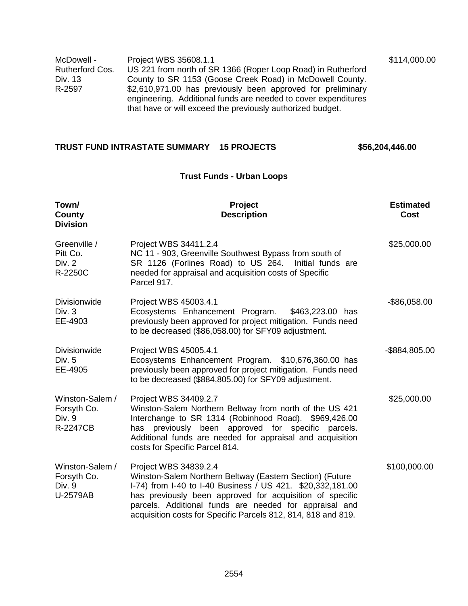| McDowell -      | Project WBS 35608.1.1                                                                                                        | \$114,000.00 |
|-----------------|------------------------------------------------------------------------------------------------------------------------------|--------------|
| Rutherford Cos. | US 221 from north of SR 1366 (Roper Loop Road) in Rutherford                                                                 |              |
| Div. 13         | County to SR 1153 (Goose Creek Road) in McDowell County.                                                                     |              |
| R-2597          | \$2,610,971.00 has previously been approved for preliminary                                                                  |              |
|                 | engineering. Additional funds are needed to cover expenditures<br>that have or will exceed the previously authorized budget. |              |

## **TRUST FUND INTRASTATE SUMMARY 15 PROJECTS \$56,204,446.00**

## **Trust Funds - Urban Loops**

| Town/<br>County<br><b>Division</b>                   | Project<br><b>Description</b>                                                                                                                                                                                                                                                                                                          | <b>Estimated</b><br>Cost |
|------------------------------------------------------|----------------------------------------------------------------------------------------------------------------------------------------------------------------------------------------------------------------------------------------------------------------------------------------------------------------------------------------|--------------------------|
| Greenville /<br>Pitt Co.<br>Div. 2<br>R-2250C        | Project WBS 34411.2.4<br>NC 11 - 903, Greenville Southwest Bypass from south of<br>SR 1126 (Forlines Road) to US 264. Initial funds are<br>needed for appraisal and acquisition costs of Specific<br>Parcel 917.                                                                                                                       | \$25,000.00              |
| Divisionwide<br>Div. 3<br>EE-4903                    | Project WBS 45003.4.1<br>Ecosystems Enhancement Program.<br>\$463,223.00 has<br>previously been approved for project mitigation. Funds need<br>to be decreased (\$86,058.00) for SFY09 adjustment.                                                                                                                                     | $-$ \$86,058.00          |
| Divisionwide<br>Div. 5<br>EE-4905                    | Project WBS 45005.4.1<br>Ecosystems Enhancement Program. \$10,676,360.00 has<br>previously been approved for project mitigation. Funds need<br>to be decreased (\$884,805.00) for SFY09 adjustment.                                                                                                                                    | -\$884,805.00            |
| Winston-Salem /<br>Forsyth Co.<br>Div. 9<br>R-2247CB | Project WBS 34409.2.7<br>Winston-Salem Northern Beltway from north of the US 421<br>Interchange to SR 1314 (Robinhood Road). \$969,426.00<br>has previously been approved for specific parcels.<br>Additional funds are needed for appraisal and acquisition<br>costs for Specific Parcel 814.                                         | \$25,000.00              |
| Winston-Salem /<br>Forsyth Co.<br>Div. 9<br>U-2579AB | Project WBS 34839.2.4<br>Winston-Salem Northern Beltway (Eastern Section) (Future<br>I-74) from I-40 to I-40 Business / US 421. \$20,332,181.00<br>has previously been approved for acquisition of specific<br>parcels. Additional funds are needed for appraisal and<br>acquisition costs for Specific Parcels 812, 814, 818 and 819. | \$100,000.00             |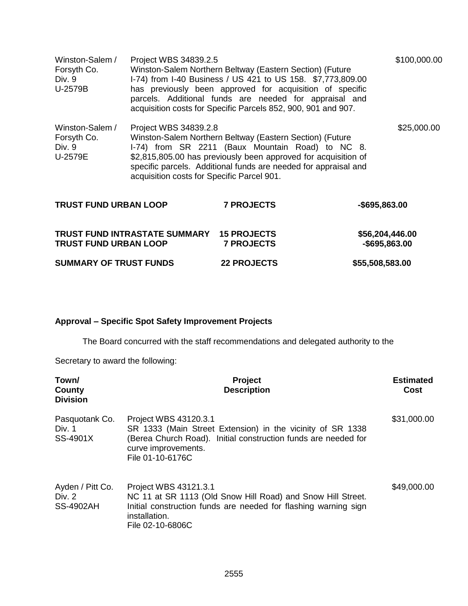| Winston-Salem /<br>Forsyth Co.<br>Div. 9<br>U-2579B | Project WBS 34839.2.5                                               | Winston-Salem Northern Beltway (Eastern Section) (Future<br>I-74) from I-40 Business / US 421 to US 158. \$7,773,809.00<br>has previously been approved for acquisition of specific<br>parcels. Additional funds are needed for appraisal and<br>acquisition costs for Specific Parcels 852, 900, 901 and 907. | \$100,000.00                     |
|-----------------------------------------------------|---------------------------------------------------------------------|----------------------------------------------------------------------------------------------------------------------------------------------------------------------------------------------------------------------------------------------------------------------------------------------------------------|----------------------------------|
| Winston-Salem /<br>Forsyth Co.<br>Div. 9<br>U-2579E | Project WBS 34839.2.8<br>acquisition costs for Specific Parcel 901. | Winston-Salem Northern Beltway (Eastern Section) (Future<br>I-74) from SR 2211 (Baux Mountain Road) to NC 8.<br>\$2,815,805.00 has previously been approved for acquisition of<br>specific parcels. Additional funds are needed for appraisal and                                                              | \$25,000.00                      |
| <b>TRUST FUND URBAN LOOP</b>                        |                                                                     | <b>7 PROJECTS</b>                                                                                                                                                                                                                                                                                              | -\$695,863.00                    |
| <b>TRUST FUND URBAN LOOP</b>                        | TRUST FUND INTRASTATE SUMMARY 15 PROJECTS                           | <b>7 PROJECTS</b>                                                                                                                                                                                                                                                                                              | \$56,204,446.00<br>-\$695,863.00 |
| <b>SUMMARY OF TRUST FUNDS</b>                       |                                                                     | <b>22 PROJECTS</b>                                                                                                                                                                                                                                                                                             | \$55,508,583.00                  |

# **Approval – Specific Spot Safety Improvement Projects**

The Board concurred with the staff recommendations and delegated authority to the

Secretary to award the following:

| Town/<br>County<br><b>Division</b>             | <b>Project</b><br><b>Description</b>                                                                                                                                                             | <b>Estimated</b><br>Cost |
|------------------------------------------------|--------------------------------------------------------------------------------------------------------------------------------------------------------------------------------------------------|--------------------------|
| Pasquotank Co.<br>Div. 1<br>SS-4901X           | Project WBS 43120.3.1<br>SR 1333 (Main Street Extension) in the vicinity of SR 1338<br>(Berea Church Road). Initial construction funds are needed for<br>curve improvements.<br>File 01-10-6176C | \$31,000.00              |
| Ayden / Pitt Co.<br>Div. 2<br><b>SS-4902AH</b> | Project WBS 43121.3.1<br>NC 11 at SR 1113 (Old Snow Hill Road) and Snow Hill Street.<br>Initial construction funds are needed for flashing warning sign<br>installation.<br>File 02-10-6806C     | \$49,000.00              |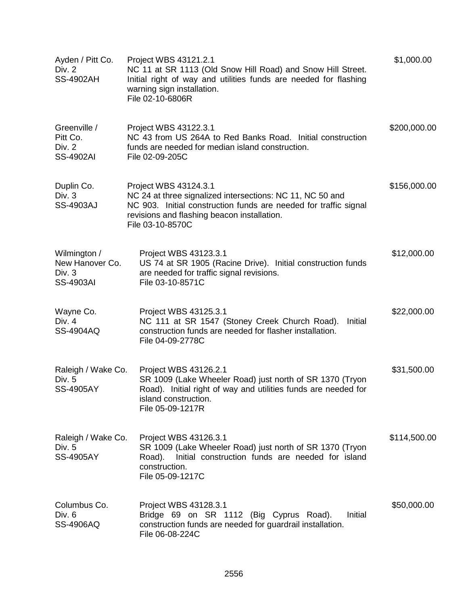| Ayden / Pitt Co.<br>Div. 2<br><b>SS-4902AH</b>                | Project WBS 43121.2.1<br>NC 11 at SR 1113 (Old Snow Hill Road) and Snow Hill Street.<br>Initial right of way and utilities funds are needed for flashing<br>warning sign installation.<br>File 02-10-6806R                | \$1,000.00   |
|---------------------------------------------------------------|---------------------------------------------------------------------------------------------------------------------------------------------------------------------------------------------------------------------------|--------------|
| Greenville /<br>Pitt Co.<br><b>Div. 2</b><br><b>SS-4902AI</b> | Project WBS 43122.3.1<br>NC 43 from US 264A to Red Banks Road. Initial construction<br>funds are needed for median island construction.<br>File 02-09-205C                                                                | \$200,000.00 |
| Duplin Co.<br>Div. 3<br><b>SS-4903AJ</b>                      | Project WBS 43124.3.1<br>NC 24 at three signalized intersections: NC 11, NC 50 and<br>NC 903. Initial construction funds are needed for traffic signal<br>revisions and flashing beacon installation.<br>File 03-10-8570C | \$156,000.00 |
| Wilmington /<br>New Hanover Co.<br>Div. 3<br><b>SS-4903AI</b> | Project WBS 43123.3.1<br>US 74 at SR 1905 (Racine Drive). Initial construction funds<br>are needed for traffic signal revisions.<br>File 03-10-8571C                                                                      | \$12,000.00  |
| Wayne Co.<br>Div. 4<br><b>SS-4904AQ</b>                       | Project WBS 43125.3.1<br>NC 111 at SR 1547 (Stoney Creek Church Road).<br>Initial<br>construction funds are needed for flasher installation.<br>File 04-09-2778C                                                          | \$22,000.00  |
| Raleigh / Wake Co.<br>Div. 5<br><b>SS-4905AY</b>              | Project WBS 43126.2.1<br>SR 1009 (Lake Wheeler Road) just north of SR 1370 (Tryon<br>Road). Initial right of way and utilities funds are needed for<br>island construction.<br>File 05-09-1217R                           | \$31,500.00  |
| Raleigh / Wake Co.<br>Div. 5<br><b>SS-4905AY</b>              | Project WBS 43126.3.1<br>SR 1009 (Lake Wheeler Road) just north of SR 1370 (Tryon<br>Initial construction funds are needed for island<br>Road).<br>construction.<br>File 05-09-1217C                                      | \$114,500.00 |
| Columbus Co.<br>Div. 6<br><b>SS-4906AQ</b>                    | Project WBS 43128.3.1<br>Bridge 69 on SR 1112 (Big Cyprus Road).<br>Initial<br>construction funds are needed for guardrail installation.<br>File 06-08-224C                                                               | \$50,000.00  |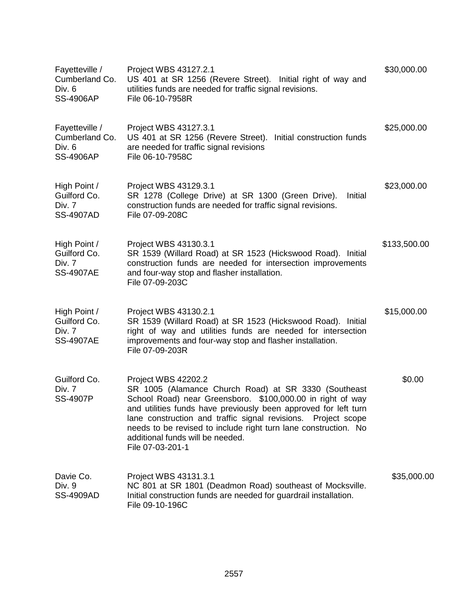| Fayetteville /<br>Cumberland Co.<br>Div. 6<br><b>SS-4906AP</b> | Project WBS 43127.2.1<br>US 401 at SR 1256 (Revere Street). Initial right of way and<br>utilities funds are needed for traffic signal revisions.<br>File 06-10-7958R                                                                                                                                                                                                                                        | \$30,000.00  |
|----------------------------------------------------------------|-------------------------------------------------------------------------------------------------------------------------------------------------------------------------------------------------------------------------------------------------------------------------------------------------------------------------------------------------------------------------------------------------------------|--------------|
| Fayetteville /<br>Cumberland Co.<br>Div. 6<br><b>SS-4906AP</b> | Project WBS 43127.3.1<br>US 401 at SR 1256 (Revere Street). Initial construction funds<br>are needed for traffic signal revisions<br>File 06-10-7958C                                                                                                                                                                                                                                                       | \$25,000.00  |
| High Point /<br>Guilford Co.<br>Div. 7<br><b>SS-4907AD</b>     | Project WBS 43129.3.1<br>SR 1278 (College Drive) at SR 1300 (Green Drive).<br>Initial<br>construction funds are needed for traffic signal revisions.<br>File 07-09-208C                                                                                                                                                                                                                                     | \$23,000.00  |
| High Point /<br>Guilford Co.<br>Div. 7<br><b>SS-4907AE</b>     | Project WBS 43130.3.1<br>SR 1539 (Willard Road) at SR 1523 (Hickswood Road). Initial<br>construction funds are needed for intersection improvements<br>and four-way stop and flasher installation.<br>File 07-09-203C                                                                                                                                                                                       | \$133,500.00 |
| High Point /<br>Guilford Co.<br>Div. 7<br><b>SS-4907AE</b>     | Project WBS 43130.2.1<br>SR 1539 (Willard Road) at SR 1523 (Hickswood Road). Initial<br>right of way and utilities funds are needed for intersection<br>improvements and four-way stop and flasher installation.<br>File 07-09-203R                                                                                                                                                                         | \$15,000.00  |
| Guilford Co.<br>Div. 7<br><b>SS-4907P</b>                      | Project WBS 42202.2<br>SR 1005 (Alamance Church Road) at SR 3330 (Southeast<br>School Road) near Greensboro. \$100,000.00 in right of way<br>and utilities funds have previously been approved for left turn<br>lane construction and traffic signal revisions.<br>Project scope<br>needs to be revised to include right turn lane construction. No<br>additional funds will be needed.<br>File 07-03-201-1 | \$0.00       |
| Davie Co.<br>Div. 9<br><b>SS-4909AD</b>                        | Project WBS 43131.3.1<br>NC 801 at SR 1801 (Deadmon Road) southeast of Mocksville.<br>Initial construction funds are needed for guardrail installation.<br>File 09-10-196C                                                                                                                                                                                                                                  | \$35,000.00  |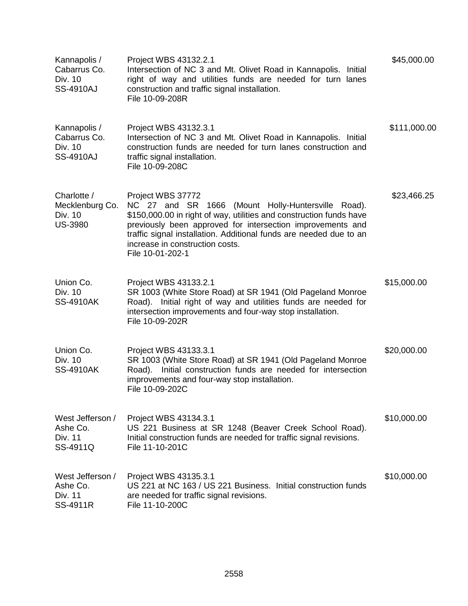| Kannapolis /<br>Cabarrus Co.<br>Div. 10<br><b>SS-4910AJ</b> | Project WBS 43132.2.1<br>Intersection of NC 3 and Mt. Olivet Road in Kannapolis. Initial<br>right of way and utilities funds are needed for turn lanes<br>construction and traffic signal installation.<br>File 10-09-208R                                                                                                                | \$45,000.00  |
|-------------------------------------------------------------|-------------------------------------------------------------------------------------------------------------------------------------------------------------------------------------------------------------------------------------------------------------------------------------------------------------------------------------------|--------------|
| Kannapolis /<br>Cabarrus Co.<br>Div. 10<br><b>SS-4910AJ</b> | Project WBS 43132.3.1<br>Intersection of NC 3 and Mt. Olivet Road in Kannapolis. Initial<br>construction funds are needed for turn lanes construction and<br>traffic signal installation.<br>File 10-09-208C                                                                                                                              | \$111,000.00 |
| Charlotte /<br>Mecklenburg Co.<br>Div. 10<br><b>US-3980</b> | Project WBS 37772<br>NC 27 and SR 1666 (Mount Holly-Huntersville Road).<br>\$150,000.00 in right of way, utilities and construction funds have<br>previously been approved for intersection improvements and<br>traffic signal installation. Additional funds are needed due to an<br>increase in construction costs.<br>File 10-01-202-1 | \$23,466.25  |
| Union Co.<br>Div. 10<br><b>SS-4910AK</b>                    | Project WBS 43133.2.1<br>SR 1003 (White Store Road) at SR 1941 (Old Pageland Monroe<br>Road). Initial right of way and utilities funds are needed for<br>intersection improvements and four-way stop installation.<br>File 10-09-202R                                                                                                     | \$15,000.00  |
| Union Co.<br>Div. 10<br><b>SS-4910AK</b>                    | Project WBS 43133.3.1<br>SR 1003 (White Store Road) at SR 1941 (Old Pageland Monroe<br>Road). Initial construction funds are needed for intersection<br>improvements and four-way stop installation.<br>File 10-09-202C                                                                                                                   | \$20,000.00  |
| West Jefferson /<br>Ashe Co.<br>Div. 11<br>SS-4911Q         | Project WBS 43134.3.1<br>US 221 Business at SR 1248 (Beaver Creek School Road).<br>Initial construction funds are needed for traffic signal revisions.<br>File 11-10-201C                                                                                                                                                                 | \$10,000.00  |
| West Jefferson /<br>Ashe Co.<br>Div. 11<br>SS-4911R         | Project WBS 43135.3.1<br>US 221 at NC 163 / US 221 Business. Initial construction funds<br>are needed for traffic signal revisions.<br>File 11-10-200C                                                                                                                                                                                    | \$10,000.00  |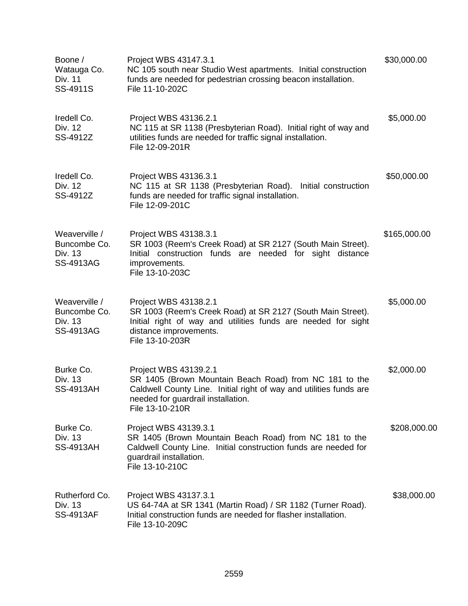| Boone /<br>Watauga Co.<br>Div. 11<br>SS-4911S         | Project WBS 43147.3.1<br>NC 105 south near Studio West apartments. Initial construction<br>funds are needed for pedestrian crossing beacon installation.<br>File 11-10-202C                                    | \$30,000.00  |
|-------------------------------------------------------|----------------------------------------------------------------------------------------------------------------------------------------------------------------------------------------------------------------|--------------|
| Iredell Co.<br>Div. 12<br>SS-4912Z                    | Project WBS 43136.2.1<br>NC 115 at SR 1138 (Presbyterian Road). Initial right of way and<br>utilities funds are needed for traffic signal installation.<br>File 12-09-201R                                     | \$5,000.00   |
| Iredell Co.<br>Div. 12<br>SS-4912Z                    | Project WBS 43136.3.1<br>NC 115 at SR 1138 (Presbyterian Road). Initial construction<br>funds are needed for traffic signal installation.<br>File 12-09-201C                                                   | \$50,000.00  |
| Weaverville /<br>Buncombe Co.<br>Div. 13<br>SS-4913AG | Project WBS 43138.3.1<br>SR 1003 (Reem's Creek Road) at SR 2127 (South Main Street).<br>Initial construction funds are needed for sight distance<br>improvements.<br>File 13-10-203C                           | \$165,000.00 |
| Weaverville /<br>Buncombe Co.<br>Div. 13<br>SS-4913AG | Project WBS 43138.2.1<br>SR 1003 (Reem's Creek Road) at SR 2127 (South Main Street).<br>Initial right of way and utilities funds are needed for sight<br>distance improvements.<br>File 13-10-203R             | \$5,000.00   |
| Burke Co.<br>Div. 13<br><b>SS-4913AH</b>              | Project WBS 43139.2.1<br>SR 1405 (Brown Mountain Beach Road) from NC 181 to the<br>Caldwell County Line. Initial right of way and utilities funds are<br>needed for guardrail installation.<br>File 13-10-210R | \$2,000.00   |
| Burke Co.<br>Div. 13<br><b>SS-4913AH</b>              | Project WBS 43139.3.1<br>SR 1405 (Brown Mountain Beach Road) from NC 181 to the<br>Caldwell County Line. Initial construction funds are needed for<br>guardrail installation.<br>File 13-10-210C               | \$208,000.00 |
| Rutherford Co.<br>Div. 13<br><b>SS-4913AF</b>         | Project WBS 43137.3.1<br>US 64-74A at SR 1341 (Martin Road) / SR 1182 (Turner Road).<br>Initial construction funds are needed for flasher installation.<br>File 13-10-209C                                     | \$38,000.00  |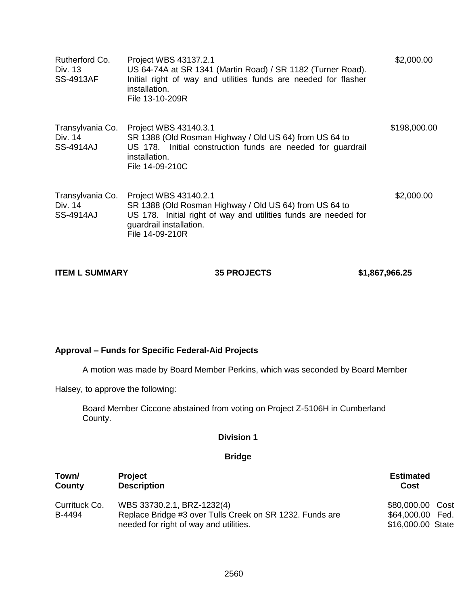| Rutherford Co.<br>Div. 13<br><b>SS-4913AF</b>   | Project WBS 43137.2.1<br>US 64-74A at SR 1341 (Martin Road) / SR 1182 (Turner Road).<br>Initial right of way and utilities funds are needed for flasher<br>installation.<br>File 13-10-209R      | \$2,000.00   |
|-------------------------------------------------|--------------------------------------------------------------------------------------------------------------------------------------------------------------------------------------------------|--------------|
| Transylvania Co.<br>Div. 14<br><b>SS-4914AJ</b> | Project WBS 43140.3.1<br>SR 1388 (Old Rosman Highway / Old US 64) from US 64 to<br>US 178. Initial construction funds are needed for guardrail<br>installation.<br>File 14-09-210C               | \$198,000.00 |
| Transylvania Co.<br>Div. 14<br><b>SS-4914AJ</b> | Project WBS 43140.2.1<br>SR 1388 (Old Rosman Highway / Old US 64) from US 64 to<br>US 178. Initial right of way and utilities funds are needed for<br>guardrail installation.<br>File 14-09-210R | \$2,000.00   |

## **Approval – Funds for Specific Federal-Aid Projects**

A motion was made by Board Member Perkins, which was seconded by Board Member

Halsey, to approve the following:

Board Member Ciccone abstained from voting on Project Z-5106H in Cumberland County.

## **Division 1**

## **Bridge**

| Town/                   | <b>Project</b>                                                                                                                   | <b>Estimated</b>                                          |  |
|-------------------------|----------------------------------------------------------------------------------------------------------------------------------|-----------------------------------------------------------|--|
| County                  | <b>Description</b>                                                                                                               | Cost                                                      |  |
| Currituck Co.<br>B-4494 | WBS 33730.2.1, BRZ-1232(4)<br>Replace Bridge #3 over Tulls Creek on SR 1232. Funds are<br>needed for right of way and utilities. | \$80,000.00 Cost<br>\$64,000.00 Fed.<br>\$16,000.00 State |  |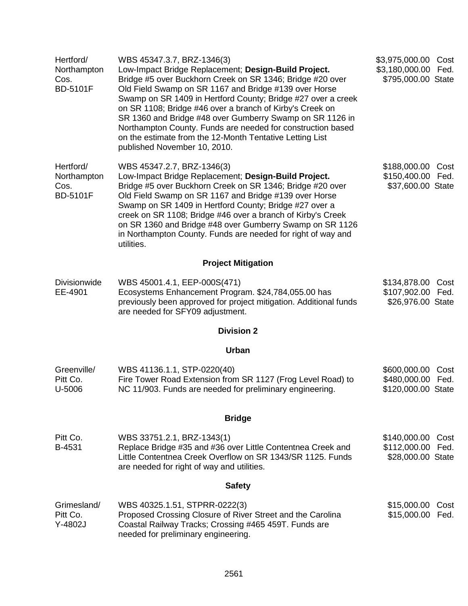| Hertford/<br>Northampton<br>Cos.<br><b>BD-5101F</b> | WBS 45347.3.7, BRZ-1346(3)<br>Low-Impact Bridge Replacement; Design-Build Project.<br>Bridge #5 over Buckhorn Creek on SR 1346; Bridge #20 over<br>Old Field Swamp on SR 1167 and Bridge #139 over Horse<br>Swamp on SR 1409 in Hertford County; Bridge #27 over a creek<br>on SR 1108; Bridge #46 over a branch of Kirby's Creek on<br>SR 1360 and Bridge #48 over Gumberry Swamp on SR 1126 in<br>Northampton County. Funds are needed for construction based<br>on the estimate from the 12-Month Tentative Letting List<br>published November 10, 2010. | \$3,975,000.00<br>\$3,180,000.00 Fed.<br>\$795,000.00 State | Cost         |  |  |
|-----------------------------------------------------|-------------------------------------------------------------------------------------------------------------------------------------------------------------------------------------------------------------------------------------------------------------------------------------------------------------------------------------------------------------------------------------------------------------------------------------------------------------------------------------------------------------------------------------------------------------|-------------------------------------------------------------|--------------|--|--|
| Hertford/<br>Northampton<br>Cos.<br><b>BD-5101F</b> | WBS 45347.2.7, BRZ-1346(3)<br>Low-Impact Bridge Replacement; Design-Build Project.<br>Bridge #5 over Buckhorn Creek on SR 1346; Bridge #20 over<br>Old Field Swamp on SR 1167 and Bridge #139 over Horse<br>Swamp on SR 1409 in Hertford County; Bridge #27 over a<br>creek on SR 1108; Bridge #46 over a branch of Kirby's Creek<br>on SR 1360 and Bridge #48 over Gumberry Swamp on SR 1126<br>in Northampton County. Funds are needed for right of way and<br>utilities.                                                                                 | \$188,000.00<br>\$150,400.00<br>\$37,600.00 State           | Cost<br>Fed. |  |  |
|                                                     | <b>Project Mitigation</b>                                                                                                                                                                                                                                                                                                                                                                                                                                                                                                                                   |                                                             |              |  |  |
| <b>Divisionwide</b><br>EE-4901                      | WBS 45001.4.1, EEP-000S(471)<br>Ecosystems Enhancement Program. \$24,784,055.00 has<br>previously been approved for project mitigation. Additional funds<br>are needed for SFY09 adjustment.                                                                                                                                                                                                                                                                                                                                                                | \$134,878.00 Cost<br>\$107,902.00 Fed.<br>\$26,976.00 State |              |  |  |
|                                                     | <b>Division 2</b>                                                                                                                                                                                                                                                                                                                                                                                                                                                                                                                                           |                                                             |              |  |  |
|                                                     | <b>Urban</b>                                                                                                                                                                                                                                                                                                                                                                                                                                                                                                                                                |                                                             |              |  |  |
| Greenville/<br>Pitt Co.<br>U-5006                   | WBS 41136.1.1, STP-0220(40)<br>Fire Tower Road Extension from SR 1127 (Frog Level Road) to<br>NC 11/903. Funds are needed for preliminary engineering.                                                                                                                                                                                                                                                                                                                                                                                                      | \$600,000.00<br>\$480,000.00<br>\$120,000.00 State          | Cost<br>Fed. |  |  |
|                                                     | <b>Bridge</b>                                                                                                                                                                                                                                                                                                                                                                                                                                                                                                                                               |                                                             |              |  |  |
| Pitt Co.<br>B-4531                                  | WBS 33751.2.1, BRZ-1343(1)<br>Replace Bridge #35 and #36 over Little Contentnea Creek and<br>Little Contentnea Creek Overflow on SR 1343/SR 1125. Funds<br>are needed for right of way and utilities.                                                                                                                                                                                                                                                                                                                                                       | \$140,000.00<br>\$112,000.00 Fed.<br>\$28,000.00 State      | Cost         |  |  |
| <b>Safety</b>                                       |                                                                                                                                                                                                                                                                                                                                                                                                                                                                                                                                                             |                                                             |              |  |  |
| Grimesland/<br>Pitt Co.<br>$Y-4802J$                | WBS 40325.1.51, STPRR-0222(3)<br>Proposed Crossing Closure of River Street and the Carolina<br>Coastal Railway Tracks; Crossing #465 459T. Funds are<br>needed for preliminary engineering.                                                                                                                                                                                                                                                                                                                                                                 | \$15,000.00<br>\$15,000.00 Fed.                             | Cost         |  |  |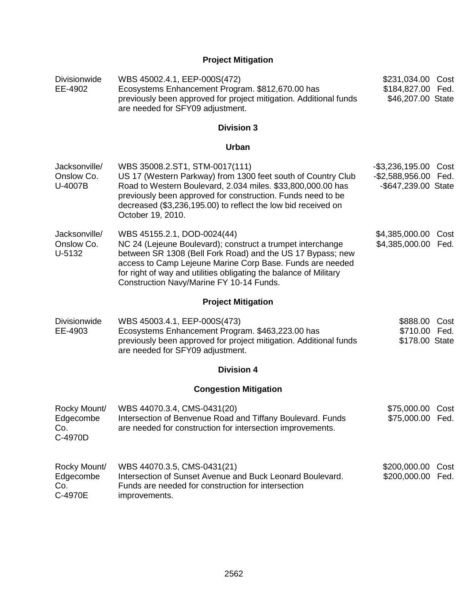# **Project Mitigation**

| <b>Divisionwide</b><br>EE-4902              | WBS 45002.4.1, EEP-000S(472)<br>Ecosystems Enhancement Program. \$812,670.00 has<br>previously been approved for project mitigation. Additional funds<br>are needed for SFY09 adjustment.                                                                                                                                             | \$231,034.00 Cost<br>\$184,827.00 Fed.<br>\$46,207.00 State       |              |
|---------------------------------------------|---------------------------------------------------------------------------------------------------------------------------------------------------------------------------------------------------------------------------------------------------------------------------------------------------------------------------------------|-------------------------------------------------------------------|--------------|
|                                             | <b>Division 3</b>                                                                                                                                                                                                                                                                                                                     |                                                                   |              |
|                                             | <b>Urban</b>                                                                                                                                                                                                                                                                                                                          |                                                                   |              |
| Jacksonville/<br>Onslow Co.<br>U-4007B      | WBS 35008.2.ST1, STM-0017(111)<br>US 17 (Western Parkway) from 1300 feet south of Country Club<br>Road to Western Boulevard, 2.034 miles. \$33,800,000.00 has<br>previously been approved for construction. Funds need to be<br>decreased (\$3,236,195.00) to reflect the low bid received on<br>October 19, 2010.                    | $-$ \$3,236,195.00<br>-\$2,588,956.00 Fed.<br>-\$647,239.00 State | Cost         |
| Jacksonville/<br>Onslow Co.<br>U-5132       | WBS 45155.2.1, DOD-0024(44)<br>NC 24 (Lejeune Boulevard); construct a trumpet interchange<br>between SR 1308 (Bell Fork Road) and the US 17 Bypass; new<br>access to Camp Lejeune Marine Corp Base. Funds are needed<br>for right of way and utilities obligating the balance of Military<br>Construction Navy/Marine FY 10-14 Funds. | \$4,385,000.00<br>\$4,385,000.00                                  | Cost<br>Fed. |
|                                             | <b>Project Mitigation</b>                                                                                                                                                                                                                                                                                                             |                                                                   |              |
| <b>Divisionwide</b><br>EE-4903              | WBS 45003.4.1, EEP-000S(473)<br>Ecosystems Enhancement Program. \$463,223.00 has<br>previously been approved for project mitigation. Additional funds<br>are needed for SFY09 adjustment.                                                                                                                                             | \$888.00<br>\$710.00 Fed.<br>\$178.00 State                       | Cost         |
|                                             | <b>Division 4</b>                                                                                                                                                                                                                                                                                                                     |                                                                   |              |
|                                             | <b>Congestion Mitigation</b>                                                                                                                                                                                                                                                                                                          |                                                                   |              |
| Rocky Mount/<br>Edgecombe<br>Co.<br>C-4970D | WBS 44070.3.4, CMS-0431(20)<br>Intersection of Benvenue Road and Tiffany Boulevard. Funds<br>are needed for construction for intersection improvements.                                                                                                                                                                               | \$75,000.00 Cost<br>\$75,000.00 Fed.                              |              |
| Rocky Mount/<br>Edgecombe<br>Co.<br>C-4970E | WBS 44070.3.5, CMS-0431(21)<br>Intersection of Sunset Avenue and Buck Leonard Boulevard.<br>Funds are needed for construction for intersection<br>improvements.                                                                                                                                                                       | \$200,000.00<br>\$200,000.00 Fed.                                 | Cost         |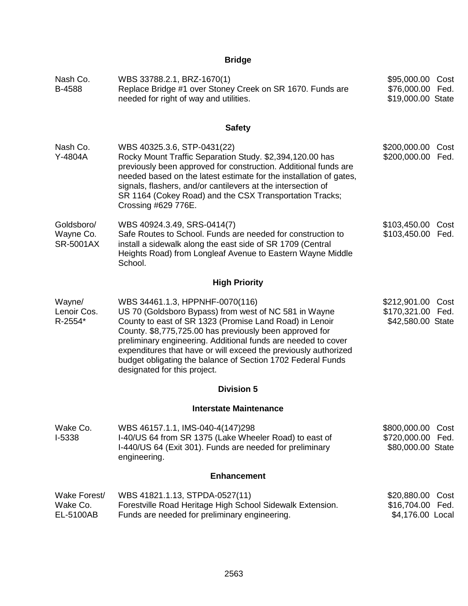# **Bridge**

| Nash Co.<br>B-4588                          | WBS 33788.2.1, BRZ-1670(1)<br>Replace Bridge #1 over Stoney Creek on SR 1670. Funds are<br>needed for right of way and utilities.                                                                                                                                                                                                                                                                                                                 |                                                        | Cost<br>\$76,000.00 Fed.<br>\$19,000.00 State |
|---------------------------------------------|---------------------------------------------------------------------------------------------------------------------------------------------------------------------------------------------------------------------------------------------------------------------------------------------------------------------------------------------------------------------------------------------------------------------------------------------------|--------------------------------------------------------|-----------------------------------------------|
|                                             | <b>Safety</b>                                                                                                                                                                                                                                                                                                                                                                                                                                     |                                                        |                                               |
| Nash Co.<br>Y-4804A                         | WBS 40325.3.6, STP-0431(22)<br>Rocky Mount Traffic Separation Study. \$2,394,120.00 has<br>previously been approved for construction. Additional funds are<br>needed based on the latest estimate for the installation of gates,<br>signals, flashers, and/or cantilevers at the intersection of<br>SR 1164 (Cokey Road) and the CSX Transportation Tracks;<br>Crossing #629 776E.                                                                | \$200,000.00<br>\$200,000.00 Fed.                      | Cost                                          |
| Goldsboro/<br>Wayne Co.<br><b>SR-5001AX</b> | \$103,450.00<br>WBS 40924.3.49, SRS-0414(7)<br>Safe Routes to School. Funds are needed for construction to<br>\$103,450.00<br>install a sidewalk along the east side of SR 1709 (Central<br>Heights Road) from Longleaf Avenue to Eastern Wayne Middle<br>School.                                                                                                                                                                                 |                                                        | Cost<br>Fed.                                  |
|                                             | <b>High Priority</b>                                                                                                                                                                                                                                                                                                                                                                                                                              |                                                        |                                               |
| Wayne/<br>Lenoir Cos.<br>R-2554*            | WBS 34461.1.3, HPPNHF-0070(116)<br>US 70 (Goldsboro Bypass) from west of NC 581 in Wayne<br>County to east of SR 1323 (Promise Land Road) in Lenoir<br>County. \$8,775,725.00 has previously been approved for<br>preliminary engineering. Additional funds are needed to cover<br>expenditures that have or will exceed the previously authorized<br>budget obligating the balance of Section 1702 Federal Funds<br>designated for this project. | \$212,901.00<br>\$170,321.00 Fed.<br>\$42,580.00 State | Cost                                          |
|                                             | <b>Division 5</b>                                                                                                                                                                                                                                                                                                                                                                                                                                 |                                                        |                                               |
|                                             | <b>Interstate Maintenance</b>                                                                                                                                                                                                                                                                                                                                                                                                                     |                                                        |                                               |
| Wake Co.<br>I-5338                          | WBS 46157.1.1, IMS-040-4(147)298<br>I-40/US 64 from SR 1375 (Lake Wheeler Road) to east of<br>I-440/US 64 (Exit 301). Funds are needed for preliminary<br>engineering.                                                                                                                                                                                                                                                                            | \$800,000.00<br>\$720,000.00<br>\$80,000.00 State      | Cost<br>Fed.                                  |
|                                             | <b>Enhancement</b>                                                                                                                                                                                                                                                                                                                                                                                                                                |                                                        |                                               |
| Wake Forest/<br>Wake Co.<br>EL-5100AB       | WBS 41821.1.13, STPDA-0527(11)<br>Forestville Road Heritage High School Sidewalk Extension.<br>Funds are needed for preliminary engineering.                                                                                                                                                                                                                                                                                                      | \$20,880.00<br>\$16,704.00<br>\$4,176.00 Local         | Cost<br>Fed.                                  |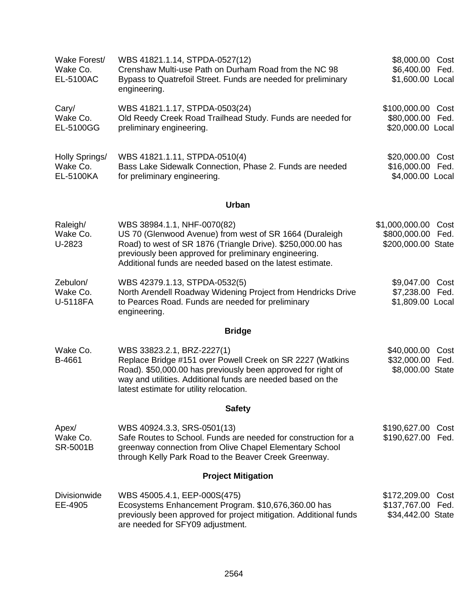| Wake Forest/<br>Wake Co.<br>EL-5100AC   | WBS 41821.1.14, STPDA-0527(12)<br>Crenshaw Multi-use Path on Durham Road from the NC 98<br>Bypass to Quatrefoil Street. Funds are needed for preliminary<br>engineering.                                                                                                    | \$8,000.00 Cost<br>\$6,400.00<br>Fed.<br>\$1,600.00 Local            |  |
|-----------------------------------------|-----------------------------------------------------------------------------------------------------------------------------------------------------------------------------------------------------------------------------------------------------------------------------|----------------------------------------------------------------------|--|
| Cary/<br>Wake Co.<br>EL-5100GG          | WBS 41821.1.17, STPDA-0503(24)<br>Old Reedy Creek Road Trailhead Study. Funds are needed for<br>preliminary engineering.                                                                                                                                                    | \$100,000.00<br>Cost<br>\$80,000.00<br>Fed.<br>\$20,000.00 Local     |  |
| Holly Springs/<br>Wake Co.<br>EL-5100KA | WBS 41821.1.11, STPDA-0510(4)<br>Bass Lake Sidewalk Connection, Phase 2. Funds are needed<br>for preliminary engineering.                                                                                                                                                   | \$20,000.00 Cost<br>\$16,000.00 Fed.<br>\$4,000.00 Local             |  |
|                                         | <b>Urban</b>                                                                                                                                                                                                                                                                |                                                                      |  |
| Raleigh/<br>Wake Co.<br>U-2823          | WBS 38984.1.1, NHF-0070(82)<br>US 70 (Glenwood Avenue) from west of SR 1664 (Duraleigh<br>Road) to west of SR 1876 (Triangle Drive). \$250,000.00 has<br>previously been approved for preliminary engineering.<br>Additional funds are needed based on the latest estimate. | \$1,000,000.00<br>Cost<br>\$800,000.00<br>Fed.<br>\$200,000.00 State |  |
| Zebulon/<br>Wake Co.<br>U-5118FA        | WBS 42379.1.13, STPDA-0532(5)<br>North Arendell Roadway Widening Project from Hendricks Drive<br>to Pearces Road. Funds are needed for preliminary<br>engineering.                                                                                                          | \$9,047.00<br>Cost<br>\$7,238.00<br>Fed.<br>\$1,809.00 Local         |  |
|                                         | <b>Bridge</b>                                                                                                                                                                                                                                                               |                                                                      |  |
| Wake Co.<br>B-4661                      | WBS 33823.2.1, BRZ-2227(1)<br>Replace Bridge #151 over Powell Creek on SR 2227 (Watkins<br>Road). \$50,000.00 has previously been approved for right of<br>way and utilities. Additional funds are needed based on the<br>latest estimate for utility relocation.           | \$40,000.00 Cost<br>\$32,000.00 Fed.<br>\$8,000.00 State             |  |
|                                         | <b>Safety</b>                                                                                                                                                                                                                                                               |                                                                      |  |
| Apex/<br>Wake Co.<br><b>SR-5001B</b>    | WBS 40924.3.3, SRS-0501(13)<br>Safe Routes to School. Funds are needed for construction for a<br>greenway connection from Olive Chapel Elementary School<br>through Kelly Park Road to the Beaver Creek Greenway.                                                           | \$190,627.00 Cost<br>\$190,627.00 Fed.                               |  |
| <b>Project Mitigation</b>               |                                                                                                                                                                                                                                                                             |                                                                      |  |
| <b>Divisionwide</b><br>EE-4905          | WBS 45005.4.1, EEP-000S(475)<br>Ecosystems Enhancement Program. \$10,676,360.00 has<br>previously been approved for project mitigation. Additional funds<br>are needed for SFY09 adjustment.                                                                                | \$172,209.00<br>Cost<br>\$137,767.00<br>Fed.<br>\$34,442.00 State    |  |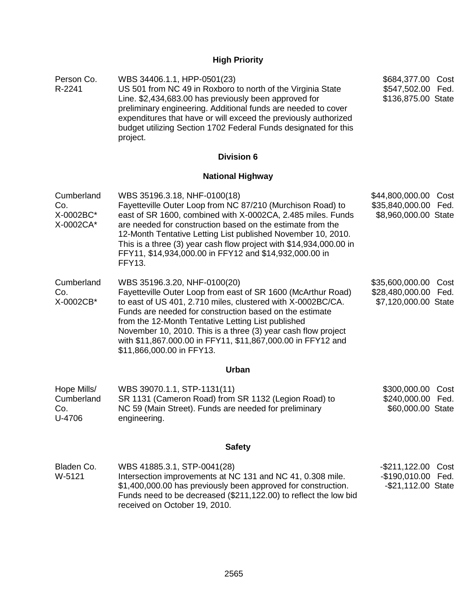# **High Priority**

| Person Co.<br>R-2241                        | WBS 34406.1.1, HPP-0501(23)<br>US 501 from NC 49 in Roxboro to north of the Virginia State<br>Line. \$2,434,683.00 has previously been approved for<br>preliminary engineering. Additional funds are needed to cover<br>expenditures that have or will exceed the previously authorized<br>budget utilizing Section 1702 Federal Funds designated for this<br>project.                                                                    | \$684,377.00 Cost<br>\$547,502.00 Fed.<br>\$136,875.00 State               |
|---------------------------------------------|-------------------------------------------------------------------------------------------------------------------------------------------------------------------------------------------------------------------------------------------------------------------------------------------------------------------------------------------------------------------------------------------------------------------------------------------|----------------------------------------------------------------------------|
|                                             | <b>Division 6</b>                                                                                                                                                                                                                                                                                                                                                                                                                         |                                                                            |
|                                             | <b>National Highway</b>                                                                                                                                                                                                                                                                                                                                                                                                                   |                                                                            |
| Cumberland<br>Co.<br>X-0002BC*<br>X-0002CA* | WBS 35196.3.18, NHF-0100(18)<br>Fayetteville Outer Loop from NC 87/210 (Murchison Road) to<br>east of SR 1600, combined with X-0002CA, 2.485 miles. Funds<br>are needed for construction based on the estimate from the<br>12-Month Tentative Letting List published November 10, 2010.<br>This is a three (3) year cash flow project with \$14,934,000.00 in<br>FFY11, \$14,934,000.00 in FFY12 and \$14,932,000.00 in<br><b>FFY13.</b>  | \$44,800,000.00<br>Cost<br>\$35,840,000.00<br>Fed.<br>\$8,960,000.00 State |
| Cumberland<br>Co.<br>X-0002CB*              | WBS 35196.3.20, NHF-0100(20)<br>Fayetteville Outer Loop from east of SR 1600 (McArthur Road)<br>to east of US 401, 2.710 miles, clustered with X-0002BC/CA.<br>Funds are needed for construction based on the estimate<br>from the 12-Month Tentative Letting List published<br>November 10, 2010. This is a three (3) year cash flow project<br>with \$11,867.000.00 in FFY11, \$11,867,000.00 in FFY12 and<br>\$11,866,000.00 in FFY13. | \$35,600,000.00<br>Cost<br>\$28,480,000.00 Fed.<br>\$7,120,000.00 State    |
|                                             | Urban                                                                                                                                                                                                                                                                                                                                                                                                                                     |                                                                            |
| Hope Mills/<br>Cumberland<br>Co.<br>U-4706  | WBS 39070.1.1, STP-1131(11)<br>SR 1131 (Cameron Road) from SR 1132 (Legion Road) to<br>NC 59 (Main Street). Funds are needed for preliminary<br>engineering.                                                                                                                                                                                                                                                                              | \$300,000.00<br>Cost<br>\$240,000.00 Fed.<br>\$60,000.00 State             |
|                                             | <b>Safety</b>                                                                                                                                                                                                                                                                                                                                                                                                                             |                                                                            |
| Bladen Co.<br>W-5121                        | WBS 41885.3.1, STP-0041(28)<br>Intersection improvements at NC 131 and NC 41, 0.308 mile.<br>\$1,400,000.00 has previously been approved for construction.<br>Funds need to be decreased (\$211,122.00) to reflect the low bid<br>received on October 19, 2010.                                                                                                                                                                           | -\$211,122.00<br>Cost<br>$-$ \$190,010.00<br>Fed.<br>-\$21,112.00 State    |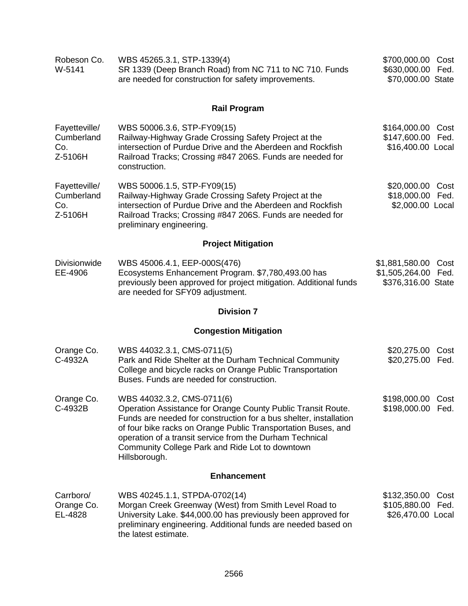| Robeson Co.<br>W-5141                         | WBS 45265.3.1, STP-1339(4)<br>SR 1339 (Deep Branch Road) from NC 711 to NC 710. Funds<br>are needed for construction for safety improvements.                                                                                                                                                                                                                    | \$700,000.00 Cost<br>\$630,000.00 Fed.<br>\$70,000.00 State      |                                                             |
|-----------------------------------------------|------------------------------------------------------------------------------------------------------------------------------------------------------------------------------------------------------------------------------------------------------------------------------------------------------------------------------------------------------------------|------------------------------------------------------------------|-------------------------------------------------------------|
|                                               | <b>Rail Program</b>                                                                                                                                                                                                                                                                                                                                              |                                                                  |                                                             |
| Fayetteville/<br>Cumberland<br>Co.<br>Z-5106H | WBS 50006.3.6, STP-FY09(15)<br>Railway-Highway Grade Crossing Safety Project at the<br>intersection of Purdue Drive and the Aberdeen and Rockfish<br>Railroad Tracks; Crossing #847 206S. Funds are needed for<br>construction.                                                                                                                                  |                                                                  | \$164,000.00 Cost<br>\$147,600.00 Fed.<br>\$16,400.00 Local |
| Fayetteville/<br>Cumberland<br>Co.<br>Z-5106H | WBS 50006.1.5, STP-FY09(15)<br>Railway-Highway Grade Crossing Safety Project at the<br>intersection of Purdue Drive and the Aberdeen and Rockfish<br>Railroad Tracks; Crossing #847 206S. Funds are needed for<br>preliminary engineering.                                                                                                                       | \$20,000.00 Cost<br>\$18,000.00 Fed.<br>\$2,000.00 Local         |                                                             |
|                                               | <b>Project Mitigation</b>                                                                                                                                                                                                                                                                                                                                        |                                                                  |                                                             |
| Divisionwide<br>EE-4906                       | WBS 45006.4.1, EEP-000S(476)<br>Ecosystems Enhancement Program. \$7,780,493.00 has<br>previously been approved for project mitigation. Additional funds<br>are needed for SFY09 adjustment.                                                                                                                                                                      | \$1,881,580.00 Cost<br>\$1,505,264.00 Fed.<br>\$376,316.00 State |                                                             |
|                                               | <b>Division 7</b>                                                                                                                                                                                                                                                                                                                                                |                                                                  |                                                             |
|                                               | <b>Congestion Mitigation</b>                                                                                                                                                                                                                                                                                                                                     |                                                                  |                                                             |
| Orange Co.<br>C-4932A                         | WBS 44032.3.1, CMS-0711(5)<br>Park and Ride Shelter at the Durham Technical Community<br>College and bicycle racks on Orange Public Transportation<br>Buses. Funds are needed for construction.                                                                                                                                                                  | \$20,275.00<br>\$20,275.00 Fed.                                  | Cost                                                        |
| Orange Co.<br>C-4932B                         | WBS 44032.3.2, CMS-0711(6)<br>Operation Assistance for Orange County Public Transit Route.<br>Funds are needed for construction for a bus shelter, installation<br>of four bike racks on Orange Public Transportation Buses, and<br>operation of a transit service from the Durham Technical<br>Community College Park and Ride Lot to downtown<br>Hillsborough. | \$198,000.00 Cost<br>\$198,000.00 Fed.                           |                                                             |
|                                               | <b>Enhancement</b>                                                                                                                                                                                                                                                                                                                                               |                                                                  |                                                             |
| Carrboro/<br>Orange Co.<br>EL-4828            | WBS 40245.1.1, STPDA-0702(14)<br>Morgan Creek Greenway (West) from Smith Level Road to<br>University Lake. \$44,000.00 has previously been approved for<br>preliminary engineering. Additional funds are needed based on<br>the latest estimate.                                                                                                                 | \$132,350.00 Cost<br>\$105,880.00 Fed.<br>\$26,470.00 Local      |                                                             |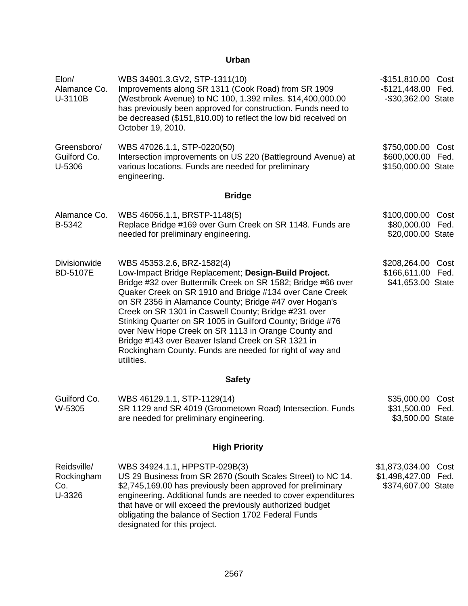# **Urban**

| Elon/<br>Alamance Co.<br>U-3110B           | WBS 34901.3.GV2, STP-1311(10)<br>-\$151,810.00 Cost<br>Improvements along SR 1311 (Cook Road) from SR 1909<br>$-$121,448.00$<br>Fed.<br>(Westbrook Avenue) to NC 100, 1.392 miles. \$14,400,000.00<br>-\$30,362.00 State<br>has previously been approved for construction. Funds need to<br>be decreased (\$151,810.00) to reflect the low bid received on<br>October 19, 2010.                                                                                                                                                                                                                                                                     |                                                                     |
|--------------------------------------------|-----------------------------------------------------------------------------------------------------------------------------------------------------------------------------------------------------------------------------------------------------------------------------------------------------------------------------------------------------------------------------------------------------------------------------------------------------------------------------------------------------------------------------------------------------------------------------------------------------------------------------------------------------|---------------------------------------------------------------------|
| Greensboro/<br>Guilford Co.<br>U-5306      | WBS 47026.1.1, STP-0220(50)<br>Intersection improvements on US 220 (Battleground Avenue) at<br>various locations. Funds are needed for preliminary<br>engineering.                                                                                                                                                                                                                                                                                                                                                                                                                                                                                  | \$750,000.00<br>Cost<br>\$600,000.00<br>Fed.<br>\$150,000.00 State  |
|                                            | <b>Bridge</b>                                                                                                                                                                                                                                                                                                                                                                                                                                                                                                                                                                                                                                       |                                                                     |
| Alamance Co.<br>B-5342                     | WBS 46056.1.1, BRSTP-1148(5)<br>Replace Bridge #169 over Gum Creek on SR 1148. Funds are<br>needed for preliminary engineering.                                                                                                                                                                                                                                                                                                                                                                                                                                                                                                                     | \$100,000.00 Cost<br>\$80,000.00 Fed.<br>\$20,000.00 State          |
| <b>Divisionwide</b><br><b>BD-5107E</b>     | WBS 45353.2.6, BRZ-1582(4)<br>\$208,264.00 Cost<br>Low-Impact Bridge Replacement; Design-Build Project.<br>\$166,611.00 Fed.<br>Bridge #32 over Buttermilk Creek on SR 1582; Bridge #66 over<br>\$41,653.00 State<br>Quaker Creek on SR 1910 and Bridge #134 over Cane Creek<br>on SR 2356 in Alamance County; Bridge #47 over Hogan's<br>Creek on SR 1301 in Caswell County; Bridge #231 over<br>Stinking Quarter on SR 1005 in Guilford County; Bridge #76<br>over New Hope Creek on SR 1113 in Orange County and<br>Bridge #143 over Beaver Island Creek on SR 1321 in<br>Rockingham County. Funds are needed for right of way and<br>utilities. |                                                                     |
|                                            | <b>Safety</b>                                                                                                                                                                                                                                                                                                                                                                                                                                                                                                                                                                                                                                       |                                                                     |
| Guilford Co.<br>W-5305                     | WBS 46129.1.1, STP-1129(14)<br>SR 1129 and SR 4019 (Groometown Road) Intersection. Funds<br>are needed for preliminary engineering.                                                                                                                                                                                                                                                                                                                                                                                                                                                                                                                 | \$35,000.00<br>Cost<br>\$31,500.00 Fed.<br>\$3,500.00 State         |
|                                            | <b>High Priority</b>                                                                                                                                                                                                                                                                                                                                                                                                                                                                                                                                                                                                                                |                                                                     |
| Reidsville/<br>Rockingham<br>Co.<br>U-3326 | WBS 34924.1.1, HPPSTP-029B(3)<br>US 29 Business from SR 2670 (South Scales Street) to NC 14.<br>\$2,745,169.00 has previously been approved for preliminary<br>engineering. Additional funds are needed to cover expenditures<br>that have or will exceed the previously authorized budget<br>obligating the balance of Section 1702 Federal Funds<br>designated for this project.                                                                                                                                                                                                                                                                  | \$1,873,034.00<br>Cost<br>\$1,498,427.00 Fed.<br>\$374,607.00 State |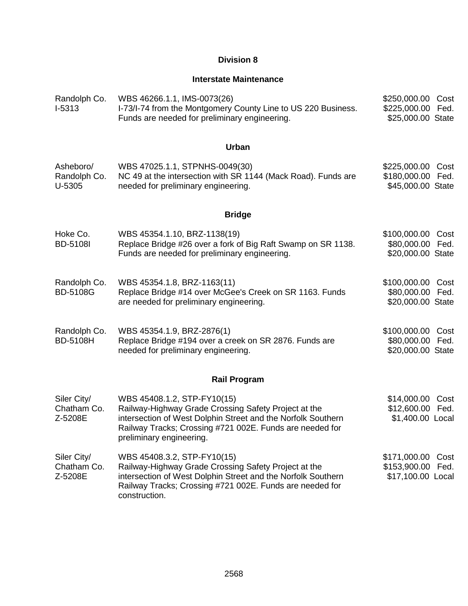# **Division 8**

# **Interstate Maintenance**

| Randolph Co.<br>$I-5313$              | WBS 46266.1.1, IMS-0073(26)<br>I-73/I-74 from the Montgomery County Line to US 220 Business.<br>Funds are needed for preliminary engineering.                                                                                               | \$250,000.00<br>\$225,000.00 Fed.<br>\$25,000.00 State | Cost         |
|---------------------------------------|---------------------------------------------------------------------------------------------------------------------------------------------------------------------------------------------------------------------------------------------|--------------------------------------------------------|--------------|
|                                       | Urban                                                                                                                                                                                                                                       |                                                        |              |
| Asheboro/<br>Randolph Co.<br>U-5305   | WBS 47025.1.1, STPNHS-0049(30)<br>NC 49 at the intersection with SR 1144 (Mack Road). Funds are<br>needed for preliminary engineering.                                                                                                      | \$225,000.00 Cost<br>\$180,000.00<br>\$45,000.00 State | Fed.         |
|                                       | <b>Bridge</b>                                                                                                                                                                                                                               |                                                        |              |
| Hoke Co.<br><b>BD-5108I</b>           | WBS 45354.1.10, BRZ-1138(19)<br>Replace Bridge #26 over a fork of Big Raft Swamp on SR 1138.<br>Funds are needed for preliminary engineering.                                                                                               | \$100,000.00<br>\$80,000.00<br>\$20,000.00 State       | Cost<br>Fed. |
| Randolph Co.<br><b>BD-5108G</b>       | WBS 45354.1.8, BRZ-1163(11)<br>Replace Bridge #14 over McGee's Creek on SR 1163. Funds<br>are needed for preliminary engineering.                                                                                                           | \$100,000.00<br>\$80,000.00<br>\$20,000.00 State       | Cost<br>Fed. |
| Randolph Co.<br><b>BD-5108H</b>       | WBS 45354.1.9, BRZ-2876(1)<br>Replace Bridge #194 over a creek on SR 2876. Funds are<br>needed for preliminary engineering.                                                                                                                 | \$100,000.00<br>\$80,000.00<br>\$20,000.00 State       | Cost<br>Fed. |
|                                       | <b>Rail Program</b>                                                                                                                                                                                                                         |                                                        |              |
| Siler City/<br>Chatham Co.<br>Z-5208E | WBS 45408.1.2, STP-FY10(15)<br>Railway-Highway Grade Crossing Safety Project at the<br>intersection of West Dolphin Street and the Norfolk Southern<br>Railway Tracks; Crossing #721 002E. Funds are needed for<br>preliminary engineering. | \$14,000.00<br>\$12,600.00<br>\$1,400.00 Local         | Cost<br>Fed. |
| Siler City/<br>Chatham Co.<br>Z-5208E | WBS 45408.3.2, STP-FY10(15)<br>Railway-Highway Grade Crossing Safety Project at the<br>intersection of West Dolphin Street and the Norfolk Southern<br>Railway Tracks; Crossing #721 002E. Funds are needed for<br>construction.            | \$171,000.00<br>\$153,900.00<br>\$17,100.00 Local      | Cost<br>Fed. |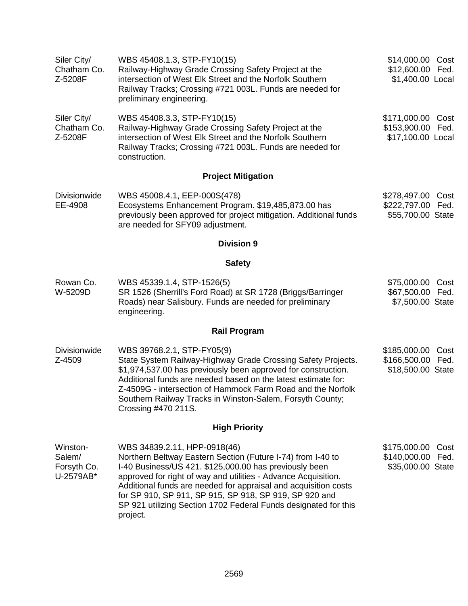| Siler City/<br>Chatham Co.<br>Z-5208F          | WBS 45408.1.3, STP-FY10(15)<br>Railway-Highway Grade Crossing Safety Project at the<br>intersection of West Elk Street and the Norfolk Southern<br>Railway Tracks; Crossing #721 003L. Funds are needed for<br>preliminary engineering.                                                                                                                                                                                             | \$14,000.00 Cost<br>\$12,600.00 Fed.<br>\$1,400.00 Local       |
|------------------------------------------------|-------------------------------------------------------------------------------------------------------------------------------------------------------------------------------------------------------------------------------------------------------------------------------------------------------------------------------------------------------------------------------------------------------------------------------------|----------------------------------------------------------------|
| Siler City/<br>Chatham Co.<br>Z-5208F          | WBS 45408.3.3, STP-FY10(15)<br>Railway-Highway Grade Crossing Safety Project at the<br>intersection of West Elk Street and the Norfolk Southern<br>Railway Tracks; Crossing #721 003L. Funds are needed for<br>construction.                                                                                                                                                                                                        | \$171,000.00 Cost<br>\$153,900.00 Fed.<br>\$17,100.00 Local    |
|                                                | <b>Project Mitigation</b>                                                                                                                                                                                                                                                                                                                                                                                                           |                                                                |
| <b>Divisionwide</b><br>EE-4908                 | WBS 45008.4.1, EEP-000S(478)<br>Ecosystems Enhancement Program. \$19,485,873.00 has<br>previously been approved for project mitigation. Additional funds<br>are needed for SFY09 adjustment.                                                                                                                                                                                                                                        | \$278,497.00 Cost<br>\$222,797.00 Fed.<br>\$55,700.00 State    |
|                                                | <b>Division 9</b>                                                                                                                                                                                                                                                                                                                                                                                                                   |                                                                |
|                                                | <b>Safety</b>                                                                                                                                                                                                                                                                                                                                                                                                                       |                                                                |
| Rowan Co.<br>W-5209D                           | WBS 45339.1.4, STP-1526(5)<br>SR 1526 (Sherrill's Ford Road) at SR 1728 (Briggs/Barringer<br>Roads) near Salisbury. Funds are needed for preliminary<br>engineering.                                                                                                                                                                                                                                                                | \$75,000.00 Cost<br>\$67,500.00 Fed.<br>\$7,500.00 State       |
|                                                | <b>Rail Program</b>                                                                                                                                                                                                                                                                                                                                                                                                                 |                                                                |
| <b>Divisionwide</b><br>Z-4509                  | WBS 39768.2.1, STP-FY05(9)<br>State System Railway-Highway Grade Crossing Safety Projects.<br>\$1,974,537.00 has previously been approved for construction.<br>Additional funds are needed based on the latest estimate for:<br>Z-4509G - intersection of Hammock Farm Road and the Norfolk<br>Southern Railway Tracks in Winston-Salem, Forsyth County;<br>Crossing #470 211S.                                                     | \$185,000.00<br>Cost<br>\$166,500.00 Fed.<br>\$18,500.00 State |
|                                                | <b>High Priority</b>                                                                                                                                                                                                                                                                                                                                                                                                                |                                                                |
| Winston-<br>Salem/<br>Forsyth Co.<br>U-2579AB* | WBS 34839.2.11, HPP-0918(46)<br>Northern Beltway Eastern Section (Future I-74) from I-40 to<br>I-40 Business/US 421. \$125,000.00 has previously been<br>approved for right of way and utilities - Advance Acquisition.<br>Additional funds are needed for appraisal and acquisition costs<br>for SP 910, SP 911, SP 915, SP 918, SP 919, SP 920 and<br>SP 921 utilizing Section 1702 Federal Funds designated for this<br>project. | \$175,000.00<br>Cost<br>\$140,000.00 Fed.<br>\$35,000.00 State |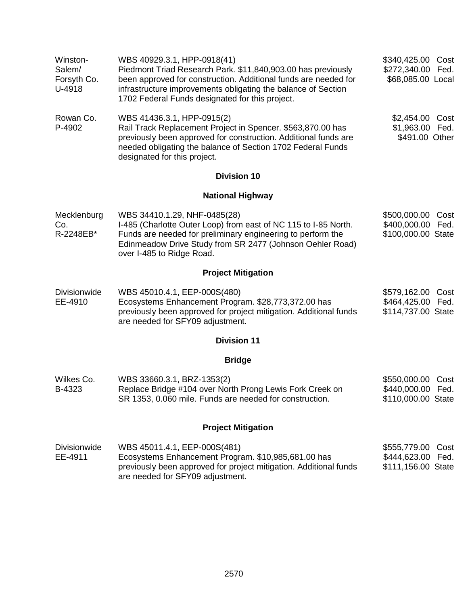| Winston-<br>Salem/<br>Forsyth Co.<br>U-4918 | WBS 40929.3.1, HPP-0918(41)<br>\$340,425.00 Cost<br>Piedmont Triad Research Park. \$11,840,903.00 has previously<br>\$272,340.00 Fed.<br>been approved for construction. Additional funds are needed for<br>\$68,085.00 Local<br>infrastructure improvements obligating the balance of Section<br>1702 Federal Funds designated for this project. |                                                                    |
|---------------------------------------------|---------------------------------------------------------------------------------------------------------------------------------------------------------------------------------------------------------------------------------------------------------------------------------------------------------------------------------------------------|--------------------------------------------------------------------|
| Rowan Co.<br>P-4902                         | WBS 41436.3.1, HPP-0915(2)<br>Rail Track Replacement Project in Spencer. \$563,870.00 has<br>previously been approved for construction. Additional funds are<br>needed obligating the balance of Section 1702 Federal Funds<br>designated for this project.                                                                                       | \$2,454.00 Cost<br>\$1,963.00 Fed.<br>\$491.00 Other               |
|                                             | <b>Division 10</b>                                                                                                                                                                                                                                                                                                                                |                                                                    |
|                                             | <b>National Highway</b>                                                                                                                                                                                                                                                                                                                           |                                                                    |
| Mecklenburg<br>Co.<br>R-2248EB*             | WBS 34410.1.29, NHF-0485(28)<br>I-485 (Charlotte Outer Loop) from east of NC 115 to I-85 North.<br>Funds are needed for preliminary engineering to perform the<br>Edinmeadow Drive Study from SR 2477 (Johnson Oehler Road)<br>over I-485 to Ridge Road.                                                                                          | \$500,000.00 Cost<br>\$400,000.00<br>Fed.<br>\$100,000.00 State    |
|                                             | <b>Project Mitigation</b>                                                                                                                                                                                                                                                                                                                         |                                                                    |
| <b>Divisionwide</b><br>EE-4910              | WBS 45010.4.1, EEP-000S(480)<br>Ecosystems Enhancement Program. \$28,773,372.00 has<br>previously been approved for project mitigation. Additional funds<br>are needed for SFY09 adjustment.                                                                                                                                                      | \$579,162.00 Cost<br>\$464,425.00 Fed.<br>\$114,737.00 State       |
|                                             | <b>Division 11</b>                                                                                                                                                                                                                                                                                                                                |                                                                    |
|                                             | <b>Bridge</b>                                                                                                                                                                                                                                                                                                                                     |                                                                    |
| Wilkes Co.<br>B-4323                        | WBS 33660.3.1, BRZ-1353(2)<br>Replace Bridge #104 over North Prong Lewis Fork Creek on<br>SR 1353, 0.060 mile. Funds are needed for construction.                                                                                                                                                                                                 | \$550,000.00 Cost<br>\$440,000.00 Fed.<br>\$110,000.00 State       |
|                                             | <b>Project Mitigation</b>                                                                                                                                                                                                                                                                                                                         |                                                                    |
| <b>Divisionwide</b><br>EE-4911              | WBS 45011.4.1, EEP-000S(481)<br>Ecosystems Enhancement Program. \$10,985,681.00 has<br>previously been approved for project mitigation. Additional funds<br>are needed for SFY09 adjustment.                                                                                                                                                      | \$555,779.00<br>Cost<br>\$444,623.00<br>Fed.<br>\$111,156.00 State |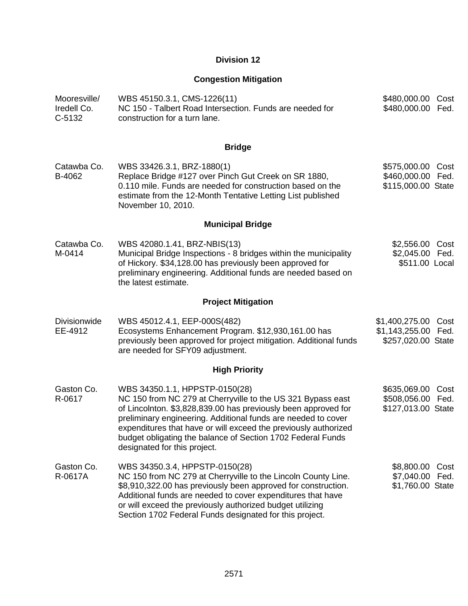# **Division 12**

# **Congestion Mitigation**

| Mooresville/<br>Iredell Co.<br>$C-5132$ | WBS 45150.3.1, CMS-1226(11)<br>NC 150 - Talbert Road Intersection. Funds are needed for<br>construction for a turn lane.                                                                                                                                                                                                                                                                           | \$480,000.00 Cost<br>\$480,000.00<br>Fed.                        |
|-----------------------------------------|----------------------------------------------------------------------------------------------------------------------------------------------------------------------------------------------------------------------------------------------------------------------------------------------------------------------------------------------------------------------------------------------------|------------------------------------------------------------------|
|                                         | <b>Bridge</b>                                                                                                                                                                                                                                                                                                                                                                                      |                                                                  |
| Catawba Co.<br>B-4062                   | WBS 33426.3.1, BRZ-1880(1)<br>Replace Bridge #127 over Pinch Gut Creek on SR 1880,<br>0.110 mile. Funds are needed for construction based on the<br>estimate from the 12-Month Tentative Letting List published<br>November 10, 2010.                                                                                                                                                              | \$575,000.00 Cost<br>\$460,000.00 Fed.<br>\$115,000.00 State     |
|                                         | <b>Municipal Bridge</b>                                                                                                                                                                                                                                                                                                                                                                            |                                                                  |
| Catawba Co.<br>M-0414                   | WBS 42080.1.41, BRZ-NBIS(13)<br>Municipal Bridge Inspections - 8 bridges within the municipality<br>of Hickory. \$34,128.00 has previously been approved for<br>preliminary engineering. Additional funds are needed based on<br>the latest estimate.                                                                                                                                              | \$2,556.00 Cost<br>\$2,045.00 Fed.<br>\$511.00 Local             |
|                                         | <b>Project Mitigation</b>                                                                                                                                                                                                                                                                                                                                                                          |                                                                  |
| <b>Divisionwide</b><br>EE-4912          | WBS 45012.4.1, EEP-000S(482)<br>Ecosystems Enhancement Program. \$12,930,161.00 has<br>previously been approved for project mitigation. Additional funds<br>are needed for SFY09 adjustment.                                                                                                                                                                                                       | \$1,400,275.00 Cost<br>\$1,143,255.00 Fed.<br>\$257,020.00 State |
|                                         | <b>High Priority</b>                                                                                                                                                                                                                                                                                                                                                                               |                                                                  |
| Gaston Co.<br>R-0617                    | WBS 34350.1.1, HPPSTP-0150(28)<br>NC 150 from NC 279 at Cherryville to the US 321 Bypass east<br>of Lincolnton. \$3,828,839.00 has previously been approved for<br>preliminary engineering. Additional funds are needed to cover<br>expenditures that have or will exceed the previously authorized<br>budget obligating the balance of Section 1702 Federal Funds<br>designated for this project. | \$635,069.00 Cost<br>\$508,056.00 Fed.<br>\$127,013.00 State     |
| Gaston Co.<br>R-0617A                   | WBS 34350.3.4, HPPSTP-0150(28)<br>NC 150 from NC 279 at Cherryville to the Lincoln County Line.<br>\$8,910,322.00 has previously been approved for construction.<br>Additional funds are needed to cover expenditures that have<br>or will exceed the previously authorized budget utilizing<br>Section 1702 Federal Funds designated for this project.                                            | \$8,800.00<br>Cost<br>\$7,040.00 Fed.<br>\$1,760.00 State        |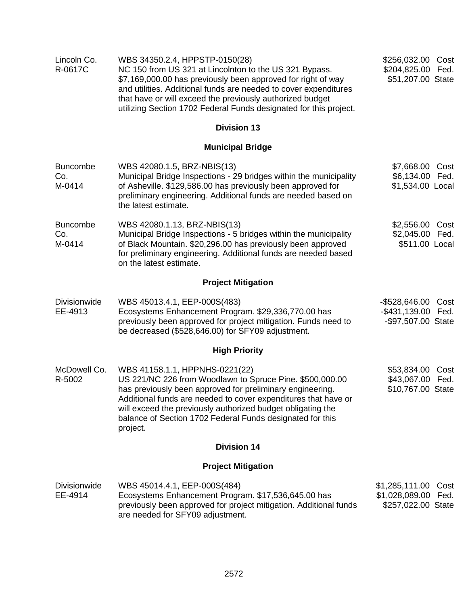| Lincoln Co.<br>R-0617C           | WBS 34350.2.4, HPPSTP-0150(28)<br>NC 150 from US 321 at Lincolnton to the US 321 Bypass.<br>\$7,169,000.00 has previously been approved for right of way<br>and utilities. Additional funds are needed to cover expenditures<br>that have or will exceed the previously authorized budget<br>utilizing Section 1702 Federal Funds designated for this project.    |                                                                     |
|----------------------------------|-------------------------------------------------------------------------------------------------------------------------------------------------------------------------------------------------------------------------------------------------------------------------------------------------------------------------------------------------------------------|---------------------------------------------------------------------|
|                                  | <b>Division 13</b>                                                                                                                                                                                                                                                                                                                                                |                                                                     |
|                                  | <b>Municipal Bridge</b>                                                                                                                                                                                                                                                                                                                                           |                                                                     |
| <b>Buncombe</b><br>Co.<br>M-0414 | WBS 42080.1.5, BRZ-NBIS(13)<br>Municipal Bridge Inspections - 29 bridges within the municipality<br>of Asheville. \$129,586.00 has previously been approved for<br>preliminary engineering. Additional funds are needed based on<br>the latest estimate.                                                                                                          | \$7,668.00<br>Cost<br>\$6,134.00 Fed.<br>\$1,534.00 Local           |
| <b>Buncombe</b><br>Co.<br>M-0414 | WBS 42080.1.13, BRZ-NBIS(13)<br>Municipal Bridge Inspections - 5 bridges within the municipality<br>of Black Mountain. \$20,296.00 has previously been approved<br>for preliminary engineering. Additional funds are needed based<br>on the latest estimate.                                                                                                      | \$2,556.00 Cost<br>\$2,045.00 Fed.<br>\$511.00 Local                |
|                                  | <b>Project Mitigation</b>                                                                                                                                                                                                                                                                                                                                         |                                                                     |
| Divisionwide<br>EE-4913          | WBS 45013.4.1, EEP-000S(483)<br>Ecosystems Enhancement Program. \$29,336,770.00 has<br>previously been approved for project mitigation. Funds need to<br>be decreased (\$528,646.00) for SFY09 adjustment.                                                                                                                                                        | -\$528,646.00<br>Cost<br>-\$431,139.00 Fed.<br>-\$97,507.00 State   |
|                                  | <b>High Priority</b>                                                                                                                                                                                                                                                                                                                                              |                                                                     |
| McDowell Co.<br>R-5002           | WBS 41158.1.1, HPPNHS-0221(22)<br>US 221/NC 226 from Woodlawn to Spruce Pine. \$500,000.00<br>has previously been approved for preliminary engineering.<br>Additional funds are needed to cover expenditures that have or<br>will exceed the previously authorized budget obligating the<br>balance of Section 1702 Federal Funds designated for this<br>project. | \$53,834.00<br>Cost<br>\$43,067.00 Fed.<br>\$10,767.00 State        |
|                                  | <b>Division 14</b>                                                                                                                                                                                                                                                                                                                                                |                                                                     |
|                                  | <b>Project Mitigation</b>                                                                                                                                                                                                                                                                                                                                         |                                                                     |
| Divisionwide<br>EE-4914          | WBS 45014.4.1, EEP-000S(484)<br>Ecosystems Enhancement Program. \$17,536,645.00 has<br>previously been approved for project mitigation. Additional funds<br>are needed for SFY09 adjustment.                                                                                                                                                                      | \$1,285,111.00<br>Cost<br>\$1,028,089.00 Fed.<br>\$257,022.00 State |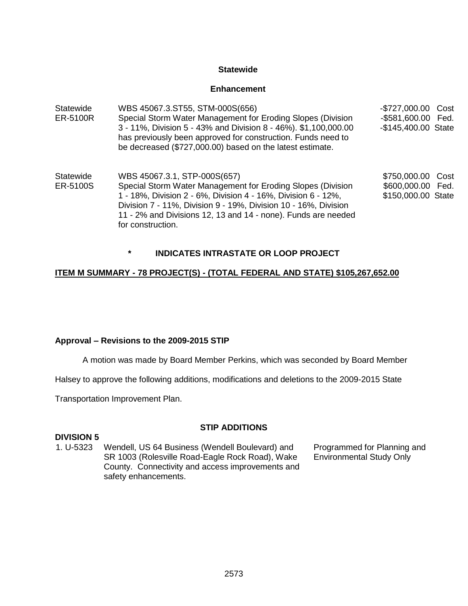## **Statewide**

### **Enhancement**

| <b>Statewide</b><br>ER-5100R | WBS 45067.3.ST55, STM-000S(656)<br>Special Storm Water Management for Eroding Slopes (Division<br>3 - 11%, Division 5 - 43% and Division 8 - 46%). \$1,100,000.00<br>has previously been approved for construction. Funds need to<br>be decreased (\$727,000.00) based on the latest estimate.                        | -\$727,000.00 Cost<br>-\$581,600.00 Fed.<br>-\$145,400.00 State |
|------------------------------|-----------------------------------------------------------------------------------------------------------------------------------------------------------------------------------------------------------------------------------------------------------------------------------------------------------------------|-----------------------------------------------------------------|
| Statewide<br>ER-5100S        | WBS 45067.3.1, STP-000S(657)<br>Special Storm Water Management for Eroding Slopes (Division<br>1 - 18%, Division 2 - 6%, Division 4 - 16%, Division 6 - 12%,<br>Division 7 - 11%, Division 9 - 19%, Division 10 - 16%, Division<br>11 - 2% and Divisions 12, 13 and 14 - none). Funds are needed<br>for construction. | \$750,000.00 Cost<br>\$600,000.00 Fed.<br>\$150,000.00 State    |

**\* INDICATES INTRASTATE OR LOOP PROJECT**

# **ITEM M SUMMARY - 78 PROJECT(S) - (TOTAL FEDERAL AND STATE) \$105,267,652.00**

### **Approval – Revisions to the 2009-2015 STIP**

A motion was made by Board Member Perkins, which was seconded by Board Member

Halsey to approve the following additions, modifications and deletions to the 2009-2015 State

Transportation Improvement Plan.

# **STIP ADDITIONS**

### **DIVISION 5**

1. U-5323 Wendell, US 64 Business (Wendell Boulevard) and SR 1003 (Rolesville Road-Eagle Rock Road), Wake County. Connectivity and access improvements and safety enhancements.

Programmed for Planning and Environmental Study Only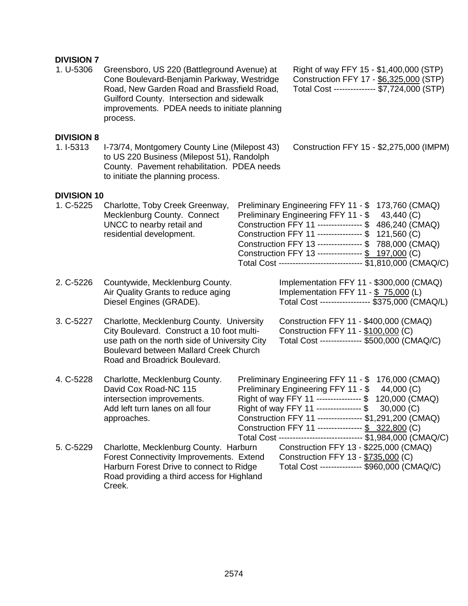## **DIVISION 7**

1. U-5306 Greensboro, US 220 (Battleground Avenue) at Cone Boulevard-Benjamin Parkway, Westridge Road, New Garden Road and Brassfield Road, Guilford County. Intersection and sidewalk improvements. PDEA needs to initiate planning process.

Right of way FFY 15 - \$1,400,000 (STP) Construction FFY 17 - \$6,325,000 (STP) Total Cost --------------- \$7,724,000 (STP)

#### **DIVISION 8**

1. I-5313 I-73/74, Montgomery County Line (Milepost 43) to US 220 Business (Milepost 51), Randolph County. Pavement rehabilitation. PDEA needs to initiate the planning process.

# Construction FFY 15 - \$2,275,000 (IMPM)

### **DIVISION 10**

| 1. C-5225 | Charlotte, Toby Creek Greenway,<br>Mecklenburg County. Connect<br>UNCC to nearby retail and<br>residential development.                                                                                             | Preliminary Engineering FFY 11 - \$ 173,760 (CMAQ)<br>Preliminary Engineering FFY 11 - \$43,440 (C)<br>Construction FFY 11 --------------- \$ 486,240 (CMAQ)<br>Construction FFY 11 --------------- \$ 121,560 (C)<br>Construction FFY 13 --------------- \$788,000 (CMAQ)<br>Construction FFY 13 --------------- \$ 197,000 (C)<br>Total Cost ---------------------------- \$1,810,000 (CMAQ/C)      |
|-----------|---------------------------------------------------------------------------------------------------------------------------------------------------------------------------------------------------------------------|-------------------------------------------------------------------------------------------------------------------------------------------------------------------------------------------------------------------------------------------------------------------------------------------------------------------------------------------------------------------------------------------------------|
| 2. C-5226 | Countywide, Mecklenburg County.<br>Air Quality Grants to reduce aging<br>Diesel Engines (GRADE).                                                                                                                    | Implementation FFY 11 - \$300,000 (CMAQ)<br>Implementation FFY 11 - $$75,000$ (L)<br>Total Cost ----------------- \$375,000 (CMAQ/L)                                                                                                                                                                                                                                                                  |
| 3. C-5227 | Charlotte, Mecklenburg County. University<br>City Boulevard. Construct a 10 foot multi-<br>use path on the north side of University City<br>Boulevard between Mallard Creek Church<br>Road and Broadrick Boulevard. | Construction FFY 11 - \$400,000 (CMAQ)<br>Construction FFY 11 - \$100,000 (C)<br>Total Cost -------------- \$500,000 (CMAQ/C)                                                                                                                                                                                                                                                                         |
| 4. C-5228 | Charlotte, Mecklenburg County.<br>David Cox Road-NC 115<br>intersection improvements.<br>Add left turn lanes on all four<br>approaches.                                                                             | Preliminary Engineering FFY 11 - \$ 176,000 (CMAQ)<br>Preliminary Engineering FFY 11 - \$ 44,000 (C)<br>Right of way FFY 11 --------------- \$ 120,000 (CMAQ)<br>Right of way FFY 11 ---------------- \$<br>30,000(C)<br>Construction FFY 11 --------------- \$1,291,200 (CMAQ)<br>Construction FFY 11 --------------- \$ 322,800 (C)<br>Total Cost ---------------------------- \$1,984,000 (CMAQ/C) |
| 5. C-5229 | Charlotte, Mecklenburg County. Harburn<br>Forest Connectivity Improvements. Extend<br>Harburn Forest Drive to connect to Ridge<br>Road providing a third access for Highland<br>Creek.                              | Construction FFY 13 - \$225,000 (CMAQ)<br>Construction FFY 13 - \$735,000 (C)<br>Total Cost -------------- \$960,000 (CMAQ/C)                                                                                                                                                                                                                                                                         |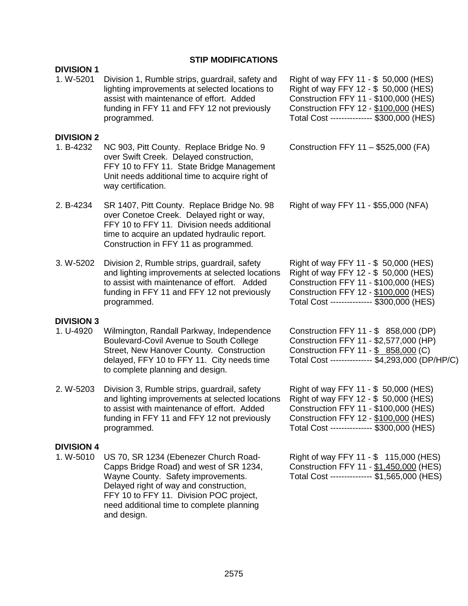# **STIP MODIFICATIONS**

| <b>DIVISION 1</b>              |                                                                                                                                                                                                                                                                         |                                                                                                                                                                                                                |
|--------------------------------|-------------------------------------------------------------------------------------------------------------------------------------------------------------------------------------------------------------------------------------------------------------------------|----------------------------------------------------------------------------------------------------------------------------------------------------------------------------------------------------------------|
| 1. W-5201                      | Division 1, Rumble strips, guardrail, safety and<br>lighting improvements at selected locations to<br>assist with maintenance of effort. Added<br>funding in FFY 11 and FFY 12 not previously<br>programmed.                                                            | Right of way FFY 11 - \$ 50,000 (HES)<br>Right of way FFY 12 - \$ 50,000 (HES)<br>Construction FFY 11 - \$100,000 (HES)<br>Construction FFY 12 - \$100,000 (HES)<br>Total Cost --------------- \$300,000 (HES) |
| <b>DIVISION 2</b><br>1. B-4232 | NC 903, Pitt County. Replace Bridge No. 9<br>over Swift Creek. Delayed construction,<br>FFY 10 to FFY 11. State Bridge Management<br>Unit needs additional time to acquire right of<br>way certification.                                                               | Construction FFY 11 - \$525,000 (FA)                                                                                                                                                                           |
| 2. B-4234                      | SR 1407, Pitt County. Replace Bridge No. 98<br>over Conetoe Creek. Delayed right or way,<br>FFY 10 to FFY 11. Division needs additional<br>time to acquire an updated hydraulic report.<br>Construction in FFY 11 as programmed.                                        | Right of way FFY 11 - \$55,000 (NFA)                                                                                                                                                                           |
| 3. W-5202                      | Division 2, Rumble strips, guardrail, safety<br>and lighting improvements at selected locations<br>to assist with maintenance of effort. Added<br>funding in FFY 11 and FFY 12 not previously<br>programmed.                                                            | Right of way FFY 11 - \$ 50,000 (HES)<br>Right of way FFY 12 - \$ 50,000 (HES)<br>Construction FFY 11 - \$100,000 (HES)<br>Construction FFY 12 - \$100,000 (HES)<br>Total Cost --------------- \$300,000 (HES) |
| <b>DIVISION 3</b><br>1. U-4920 | Wilmington, Randall Parkway, Independence<br>Boulevard-Covil Avenue to South College<br>Street, New Hanover County. Construction<br>delayed, FFY 10 to FFY 11. City needs time<br>to complete planning and design.                                                      | Construction FFY 11 - \$ 858,000 (DP)<br>Construction FFY 11 - \$2,577,000 (HP)<br>Construction FFY 11 - \$ 858,000 (C)<br>Total Cost -------------- \$4,293,000 (DP/HP/C)                                     |
| 2. W-5203                      | Division 3, Rumble strips, guardrail, safety<br>and lighting improvements at selected locations<br>to assist with maintenance of effort. Added<br>funding in FFY 11 and FFY 12 not previously<br>programmed.                                                            | Right of way FFY 11 - \$ 50,000 (HES)<br>Right of way FFY 12 - \$ 50,000 (HES)<br>Construction FFY 11 - \$100,000 (HES)<br>Construction FFY 12 - \$100,000 (HES)<br>Total Cost -------------- \$300,000 (HES)  |
| <b>DIVISION 4</b><br>1. W-5010 | US 70, SR 1234 (Ebenezer Church Road-<br>Capps Bridge Road) and west of SR 1234,<br>Wayne County. Safety improvements.<br>Delayed right of way and construction,<br>FFY 10 to FFY 11. Division POC project,<br>need additional time to complete planning<br>and design. | Right of way FFY 11 - \$ 115,000 (HES)<br>Construction FFY 11 - \$1,450,000 (HES)<br>Total Cost -------------- \$1,565,000 (HES)                                                                               |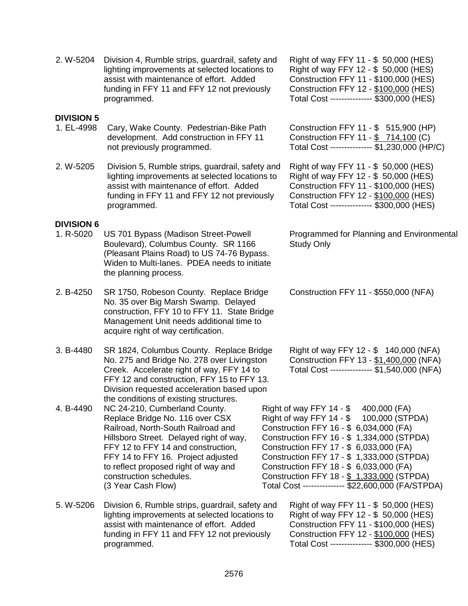|                                 | lighting improvements at selected locations to<br>assist with maintenance of effort. Added<br>funding in FFY 11 and FFY 12 not previously<br>programmed.                                                                                                                                                                                                         |  | Right of way FFY 12 - \$ 50,000 (HES)<br>Construction FFY 11 - \$100,000 (HES)<br>Construction FFY 12 - \$100,000 (HES)<br>Total Cost --------------- \$300,000 (HES)                                                                                                                                                                                                                                            |
|---------------------------------|------------------------------------------------------------------------------------------------------------------------------------------------------------------------------------------------------------------------------------------------------------------------------------------------------------------------------------------------------------------|--|------------------------------------------------------------------------------------------------------------------------------------------------------------------------------------------------------------------------------------------------------------------------------------------------------------------------------------------------------------------------------------------------------------------|
| <b>DIVISION 5</b><br>1. EL-4998 | Cary, Wake County. Pedestrian-Bike Path<br>development. Add construction in FFY 11<br>not previously programmed.                                                                                                                                                                                                                                                 |  | Construction FFY 11 - \$ 515,900 (HP)<br>Construction FFY 11 - \$ 714,100 (C)<br>Total Cost -------------- \$1,230,000 (HP/C)                                                                                                                                                                                                                                                                                    |
| 2. W-5205                       | Division 5, Rumble strips, guardrail, safety and<br>lighting improvements at selected locations to<br>assist with maintenance of effort. Added<br>funding in FFY 11 and FFY 12 not previously<br>programmed.                                                                                                                                                     |  | Right of way FFY 11 - \$ 50,000 (HES)<br>Right of way FFY 12 - \$ 50,000 (HES)<br>Construction FFY 11 - \$100,000 (HES)<br>Construction FFY 12 - \$100,000 (HES)<br>Total Cost --------------- \$300,000 (HES)                                                                                                                                                                                                   |
| <b>DIVISION 6</b><br>1. R-5020  | US 701 Bypass (Madison Street-Powell<br>Boulevard), Columbus County. SR 1166<br>(Pleasant Plains Road) to US 74-76 Bypass.<br>Widen to Multi-lanes. PDEA needs to initiate<br>the planning process.                                                                                                                                                              |  | Programmed for Planning and Environmental<br><b>Study Only</b>                                                                                                                                                                                                                                                                                                                                                   |
| 2. B-4250                       | SR 1750, Robeson County. Replace Bridge<br>No. 35 over Big Marsh Swamp. Delayed<br>construction, FFY 10 to FFY 11. State Bridge<br>Management Unit needs additional time to<br>acquire right of way certification.                                                                                                                                               |  | Construction FFY 11 - \$550,000 (NFA)                                                                                                                                                                                                                                                                                                                                                                            |
| 3. B-4480                       | SR 1824, Columbus County. Replace Bridge<br>No. 275 and Bridge No. 278 over Livingston<br>Creek. Accelerate right of way, FFY 14 to<br>FFY 12 and construction, FFY 15 to FFY 13.<br>Division requested acceleration based upon                                                                                                                                  |  | Right of way FFY 12 - \$ 140,000 (NFA)<br>Construction FFY 13 - \$1,400,000 (NFA)<br>Total Cost -------------- \$1,540,000 (NFA)                                                                                                                                                                                                                                                                                 |
| 4. B-4490                       | the conditions of existing structures.<br>NC 24-210, Cumberland County.<br>Replace Bridge No. 116 over CSX<br>Railroad, North-South Railroad and<br>Hillsboro Street. Delayed right of way,<br>FFY 12 to FFY 14 and construction,<br>FFY 14 to FFY 16. Project adjusted<br>to reflect proposed right of way and<br>construction schedules.<br>(3 Year Cash Flow) |  | Right of way FFY 14 - \$ 400,000 (FA)<br>Right of way FFY 14 - \$ 100,000 (STPDA)<br>Construction FFY 16 - \$ 6,034,000 (FA)<br>Construction FFY 16 - \$1,334,000 (STPDA)<br>Construction FFY 17 - \$ 6,033,000 (FA)<br>Construction FFY 17 - \$ 1,333,000 (STPDA)<br>Construction FFY 18 - \$ 6,033,000 (FA)<br>Construction FFY 18 - \$ 1,333,000 (STPDA)<br>Total Cost -------------- \$22,600,000 (FA/STPDA) |
| 5. W-5206                       | Division 6, Rumble strips, guardrail, safety and<br>lighting improvements at selected locations to<br>assist with maintenance of effort. Added<br>funding in FFY 11 and FFY 12 not previously<br>programmed.                                                                                                                                                     |  | Right of way FFY 11 - \$ 50,000 (HES)<br>Right of way FFY 12 - \$ 50,000 (HES)<br>Construction FFY 11 - \$100,000 (HES)<br>Construction FFY 12 - \$100,000 (HES)<br>Total Cost --------------- \$300,000 (HES)                                                                                                                                                                                                   |

Right of way FFY 11 - \$ 50,000 (HES)

2. W-5204 Division 4, Rumble strips, guardrail, safety and

# 2576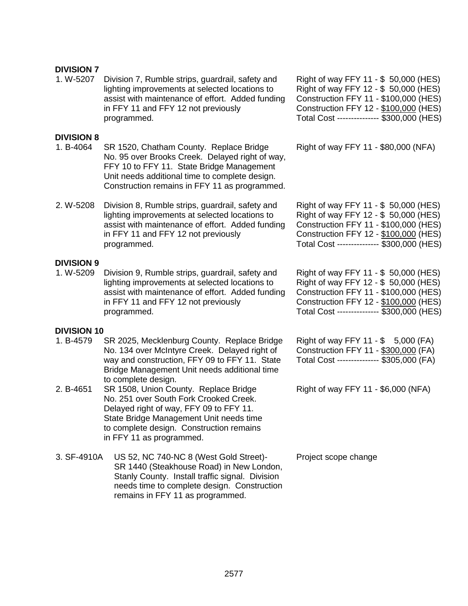## **DIVISION 7**

1. W-5207 Division 7, Rumble strips, guardrail, safety and lighting improvements at selected locations to assist with maintenance of effort. Added funding in FFY 11 and FFY 12 not previously programmed.

### **DIVISION 8**

- 1. B-4064 SR 1520, Chatham County. Replace Bridge No. 95 over Brooks Creek. Delayed right of way, FFY 10 to FFY 11. State Bridge Management Unit needs additional time to complete design. Construction remains in FFY 11 as programmed.
- 2. W-5208 Division 8, Rumble strips, guardrail, safety and lighting improvements at selected locations to assist with maintenance of effort. Added funding in FFY 11 and FFY 12 not previously programmed.

#### **DIVISION 9**

1. W-5209 Division 9, Rumble strips, guardrail, safety and lighting improvements at selected locations to assist with maintenance of effort. Added funding in FFY 11 and FFY 12 not previously programmed.

Right of way FFY 11 - \$ 50,000 (HES) Right of way FFY 12 - \$ 50,000 (HES) Construction FFY 11 - \$100,000 (HES) Construction FFY 12 - \$100,000 (HES) Total Cost --------------- \$300,000 (HES)

Right of way FFY 11 - \$80,000 (NFA)

Right of way FFY 11 - \$ 50,000 (HES) Right of way FFY 12 - \$ 50,000 (HES) Construction FFY 11 - \$100,000 (HES) Construction FFY 12 - \$100,000 (HES) Total Cost --------------- \$300,000 (HES)

Right of way FFY 11 - \$ 50,000 (HES) Right of way FFY 12 - \$ 50,000 (HES) Construction FFY 11 - \$100,000 (HES) Construction FFY 12 - \$100,000 (HES) Total Cost --------------- \$300,000 (HES)

| <b>DIVISION 10</b> |  |  |
|--------------------|--|--|
|--------------------|--|--|

- 1. B-4579 SR 2025, Mecklenburg County. Replace Bridge No. 134 over McIntyre Creek. Delayed right of way and construction, FFY 09 to FFY 11. State Bridge Management Unit needs additional time to complete design.
- 2. B-4651 SR 1508, Union County. Replace Bridge No. 251 over South Fork Crooked Creek. Delayed right of way, FFY 09 to FFY 11. State Bridge Management Unit needs time to complete design. Construction remains in FFY 11 as programmed.
- 3. SF-4910A US 52, NC 740-NC 8 (West Gold Street)- SR 1440 (Steakhouse Road) in New London, Stanly County. Install traffic signal. Division needs time to complete design. Construction remains in FFY 11 as programmed.

Right of way FFY 11 - \$ 5,000 (FA) Construction FFY 11 - \$300,000 (FA) Total Cost --------------- \$305,000 (FA)

Right of way FFY 11 - \$6,000 (NFA)

Project scope change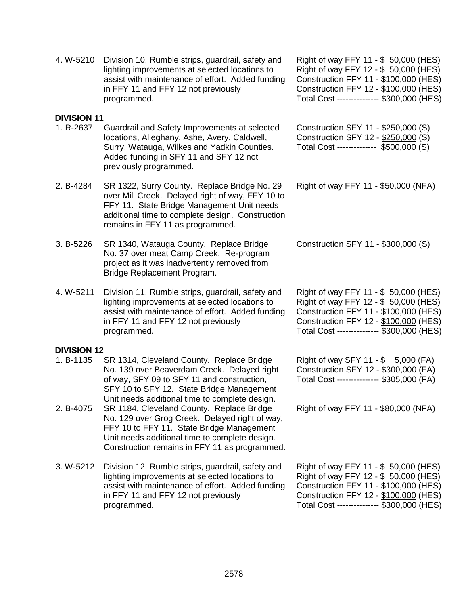|                    | Surry, Watauga, Wilkes and Yadkin Counties.<br>Added funding in SFY 11 and SFY 12 not<br>previously programmed.                                                                                                                        | Total Cost -------------                                                                                                           |
|--------------------|----------------------------------------------------------------------------------------------------------------------------------------------------------------------------------------------------------------------------------------|------------------------------------------------------------------------------------------------------------------------------------|
| 2. B-4284          | SR 1322, Surry County. Replace Bridge No. 29<br>over Mill Creek. Delayed right of way, FFY 10 to<br>FFY 11. State Bridge Management Unit needs<br>additional time to complete design. Construction<br>remains in FFY 11 as programmed. | Right of way FFY 11                                                                                                                |
| 3. B-5226          | SR 1340, Watauga County. Replace Bridge<br>No. 37 over meat Camp Creek. Re-program<br>project as it was inadvertently removed from<br>Bridge Replacement Program.                                                                      | <b>Construction SFY 11</b>                                                                                                         |
| 4.W-5211           | Division 11, Rumble strips, guardrail, safety and<br>lighting improvements at selected locations to<br>assist with maintenance of effort. Added funding<br>in FFY 11 and FFY 12 not previously<br>programmed.                          | Right of way FFY 11<br>Right of way FFY 12<br><b>Construction FFY 11</b><br><b>Construction FFY 12</b><br>Total Cost ------------- |
| <b>DIVISION 12</b> |                                                                                                                                                                                                                                        |                                                                                                                                    |
| 1. B-1135          | SR 1314, Cleveland County. Replace Bridge<br>No. 139 over Beaverdam Creek. Delayed right<br>of way, SFY 09 to SFY 11 and construction,<br>SFY 10 to SFY 12. State Bridge Management                                                    | Right of way SFY 11<br><b>Construction SFY 12</b><br>Total Cost -------------                                                      |

- Unit needs additional time to complete design. 2. B-4075 SR 1184, Cleveland County. Replace Bridge No. 129 over Grog Creek. Delayed right of way, FFY 10 to FFY 11. State Bridge Management Unit needs additional time to complete design. Construction remains in FFY 11 as programmed.
- 3. W-5212 Division 12, Rumble strips, guardrail, safety and lighting improvements at selected locations to assist with maintenance of effort. Added funding in FFY 11 and FFY 12 not previously programmed.

Right of way FFY 11 - \$ 50,000 (HES) Right of way FFY 12 - \$ 50,000 (HES) Construction FFY 11 - \$100,000 (HES) Construction FFY 12 - \$100,000 (HES) Total Cost --------------- \$300,000 (HES)

Right of way FFY 11 - \$ 50,000 (HES) Right of way FFY 12 - \$ 50,000 (HES) Construction FFY 11 - \$100,000 (HES) Construction FFY 12 - \$100,000 (HES) Total Cost --------------- \$300,000 (HES)

Construction SFY 11 - \$250,000 (S) Construction SFY 12 - \$250,000 (S)  $-$  \$500,000 (S)

 $-$  \$50,000 (NFA)

 $-$  \$300,000 (S)

 $-$  \$ 50,000 (HES)  $-$  \$ 50,000 (HES)  $-$  \$100,000 (HES)  $-$  \$100,000 (HES) -- \$300,000 (HES)

 $-$  \$ 5,000 (FA)  $-$  \$300,000 (FA) -- \$305,000 (FA)

Right of way FFY 11 - \$80,000 (NFA)

4. W-5210 Division 10, Rumble strips, guardrail, safety and

in FFY 11 and FFY 12 not previously

1. R-2637 Guardrail and Safety Improvements at selected

programmed.

lighting improvements at selected locations to assist with maintenance of effort. Added funding

locations, Alleghany, Ashe, Avery, Caldwell,

- 3. B-5226 SR 1340, Watauga County. Replace Bridge
- 4. W-5211 Division 11, Rumble strips, guardrail, safety and

# **DIVI**

**DIVISION 11**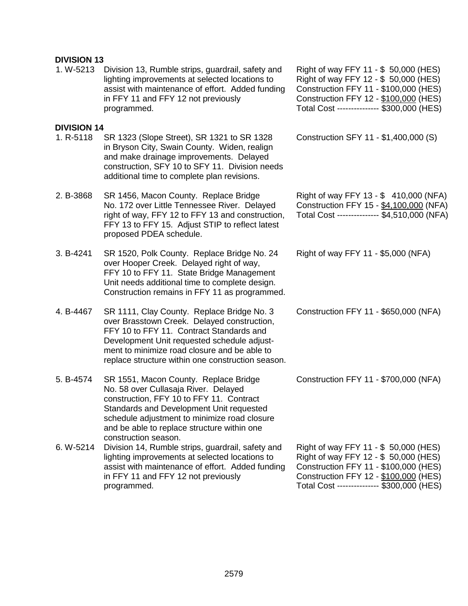## **DIVISION 13**

1. W-5213 Division 13, Rumble strips, guardrail, safety and lighting improvements at selected locations to assist with maintenance of effort. Added funding in FFY 11 and FFY 12 not previously programmed.

#### **DIVISION 14**

- 1. R-5118 SR 1323 (Slope Street), SR 1321 to SR 1328 in Bryson City, Swain County. Widen, realign and make drainage improvements. Delayed construction, SFY 10 to SFY 11. Division needs additional time to complete plan revisions.
- 2. B-3868 SR 1456, Macon County. Replace Bridge No. 172 over Little Tennessee River. Delayed right of way, FFY 12 to FFY 13 and construction, FFY 13 to FFY 15. Adjust STIP to reflect latest proposed PDEA schedule.
- 3. B-4241 SR 1520, Polk County. Replace Bridge No. 24 over Hooper Creek. Delayed right of way, FFY 10 to FFY 11. State Bridge Management Unit needs additional time to complete design. Construction remains in FFY 11 as programmed.
- 4. B-4467 SR 1111, Clay County. Replace Bridge No. 3 over Brasstown Creek. Delayed construction, FFY 10 to FFY 11. Contract Standards and Development Unit requested schedule adjustment to minimize road closure and be able to replace structure within one construction season.
- 5. B-4574 SR 1551, Macon County. Replace Bridge No. 58 over Cullasaja River. Delayed construction, FFY 10 to FFY 11. Contract Standards and Development Unit requested schedule adjustment to minimize road closure and be able to replace structure within one construction season.
- 6. W-5214 Division 14, Rumble strips, guardrail, safety and lighting improvements at selected locations to assist with maintenance of effort. Added funding in FFY 11 and FFY 12 not previously programmed.

Right of way FFY 11 - \$ 50,000 (HES) Right of way FFY 12 - \$ 50,000 (HES) Construction FFY 11 - \$100,000 (HES) Construction FFY 12 - \$100,000 (HES) Total Cost --------------- \$300,000 (HES)

Construction SFY 11 - \$1,400,000 (S)

Right of way FFY 13 - \$ 410,000 (NFA) Construction FFY 15 - \$4,100,000 (NFA) Total Cost --------------- \$4,510,000 (NFA)

Right of way FFY 11 - \$5,000 (NFA)

Construction FFY 11 - \$650,000 (NFA)

Construction FFY 11 - \$700,000 (NFA)

Right of way FFY 11 - \$ 50,000 (HES) Right of way FFY 12 - \$ 50,000 (HES) Construction FFY 11 - \$100,000 (HES) Construction FFY 12 - \$100,000 (HES) Total Cost --------------- \$300,000 (HES)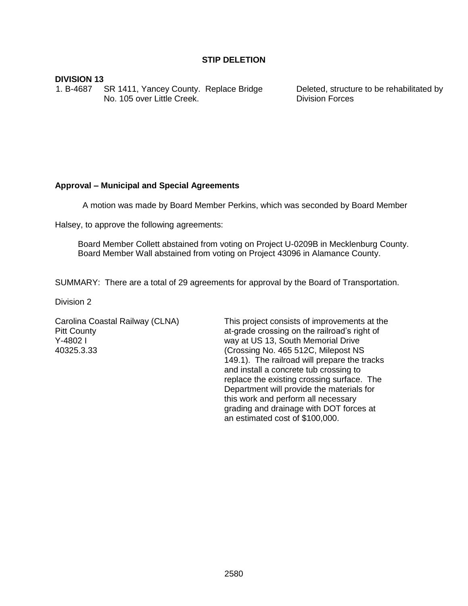### **DIVISION 13**

1. B-4687 SR 1411, Yancey County. Replace Bridge No. 105 over Little Creek.

Deleted, structure to be rehabilitated by Division Forces

# **Approval – Municipal and Special Agreements**

A motion was made by Board Member Perkins, which was seconded by Board Member

Halsey, to approve the following agreements:

Board Member Collett abstained from voting on Project U-0209B in Mecklenburg County. Board Member Wall abstained from voting on Project 43096 in Alamance County.

SUMMARY: There are a total of 29 agreements for approval by the Board of Transportation.

Division 2

Carolina Coastal Railway (CLNA) Pitt County Y-4802 I 40325.3.33

This project consists of improvements at the at-grade crossing on the railroad's right of way at US 13, South Memorial Drive (Crossing No. 465 512C, Milepost NS 149.1). The railroad will prepare the tracks and install a concrete tub crossing to replace the existing crossing surface. The Department will provide the materials for this work and perform all necessary grading and drainage with DOT forces at an estimated cost of \$100,000.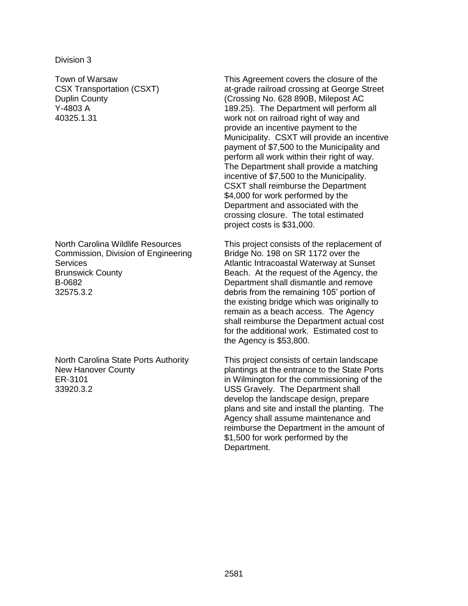Division 3

Town of Warsaw CSX Transportation (CSXT) Duplin County Y-4803 A 40325.1.31

North Carolina Wildlife Resources Commission, Division of Engineering **Services** Brunswick County B-0682 32575.3.2

North Carolina State Ports Authority New Hanover County ER-3101 33920.3.2

This Agreement covers the closure of the at-grade railroad crossing at George Street (Crossing No. 628 890B, Milepost AC 189.25). The Department will perform all work not on railroad right of way and provide an incentive payment to the Municipality. CSXT will provide an incentive payment of \$7,500 to the Municipality and perform all work within their right of way. The Department shall provide a matching incentive of \$7,500 to the Municipality. CSXT shall reimburse the Department \$4,000 for work performed by the Department and associated with the crossing closure. The total estimated project costs is \$31,000.

This project consists of the replacement of Bridge No. 198 on SR 1172 over the Atlantic Intracoastal Waterway at Sunset Beach. At the request of the Agency, the Department shall dismantle and remove debris from the remaining 105' portion of the existing bridge which was originally to remain as a beach access. The Agency shall reimburse the Department actual cost for the additional work. Estimated cost to the Agency is \$53,800.

This project consists of certain landscape plantings at the entrance to the State Ports in Wilmington for the commissioning of the USS Gravely. The Department shall develop the landscape design, prepare plans and site and install the planting. The Agency shall assume maintenance and reimburse the Department in the amount of \$1,500 for work performed by the Department.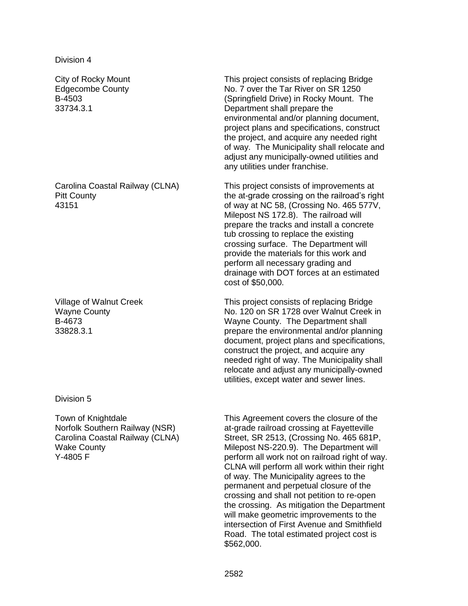City of Rocky Mount Edgecombe County B-4503 33734.3.1

Carolina Coastal Railway (CLNA) Pitt County 43151

Village of Walnut Creek Wayne County B-4673 33828.3.1

Division 5

Town of Knightdale Norfolk Southern Railway (NSR) Carolina Coastal Railway (CLNA) Wake County Y-4805 F

This project consists of replacing Bridge No. 7 over the Tar River on SR 1250 (Springfield Drive) in Rocky Mount. The Department shall prepare the environmental and/or planning document, project plans and specifications, construct the project, and acquire any needed right of way. The Municipality shall relocate and adjust any municipally-owned utilities and any utilities under franchise.

This project consists of improvements at the at-grade crossing on the railroad's right of way at NC 58, (Crossing No. 465 577V, Milepost NS 172.8). The railroad will prepare the tracks and install a concrete tub crossing to replace the existing crossing surface. The Department will provide the materials for this work and perform all necessary grading and drainage with DOT forces at an estimated cost of \$50,000.

This project consists of replacing Bridge No. 120 on SR 1728 over Walnut Creek in Wayne County. The Department shall prepare the environmental and/or planning document, project plans and specifications, construct the project, and acquire any needed right of way. The Municipality shall relocate and adjust any municipally-owned utilities, except water and sewer lines.

This Agreement covers the closure of the at-grade railroad crossing at Fayetteville Street, SR 2513, (Crossing No. 465 681P, Milepost NS-220.9). The Department will perform all work not on railroad right of way. CLNA will perform all work within their right of way. The Municipality agrees to the permanent and perpetual closure of the crossing and shall not petition to re-open the crossing. As mitigation the Department will make geometric improvements to the intersection of First Avenue and Smithfield Road. The total estimated project cost is \$562,000.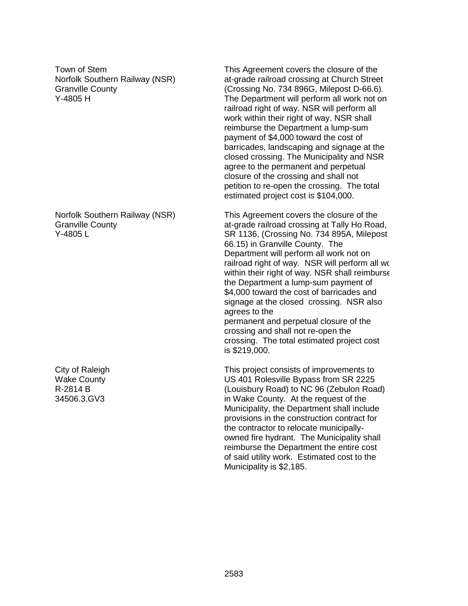Town of Stem Norfolk Southern Railway (NSR) Granville County Y-4805 H

Norfolk Southern Railway (NSR) Granville County Y-4805 L

City of Raleigh Wake County R-2814 B 34506.3.GV3

This Agreement covers the closure of the at-grade railroad crossing at Church Street (Crossing No. 734 896G, Milepost D-66.6). The Department will perform all work not on railroad right of way. NSR will perform all work within their right of way. NSR shall reimburse the Department a lump-sum payment of \$4,000 toward the cost of barricades, landscaping and signage at the closed crossing. The Municipality and NSR agree to the permanent and perpetual closure of the crossing and shall not petition to re-open the crossing. The total estimated project cost is \$104,000.

This Agreement covers the closure of the at-grade railroad crossing at Tally Ho Road, SR 1136, (Crossing No. 734 895A, Milepost 66.15) in Granville County. The Department will perform all work not on railroad right of way. NSR will perform all work within their right of way. NSR shall reimburse the Department a lump-sum payment of \$4,000 toward the cost of barricades and signage at the closed crossing. NSR also agrees to the permanent and perpetual closure of the

crossing and shall not re-open the crossing. The total estimated project cost is \$219,000.

This project consists of improvements to US 401 Rolesville Bypass from SR 2225 (Louisbury Road) to NC 96 (Zebulon Road) in Wake County. At the request of the Municipality, the Department shall include provisions in the construction contract for the contractor to relocate municipallyowned fire hydrant. The Municipality shall reimburse the Department the entire cost of said utility work. Estimated cost to the Municipality is \$2,185.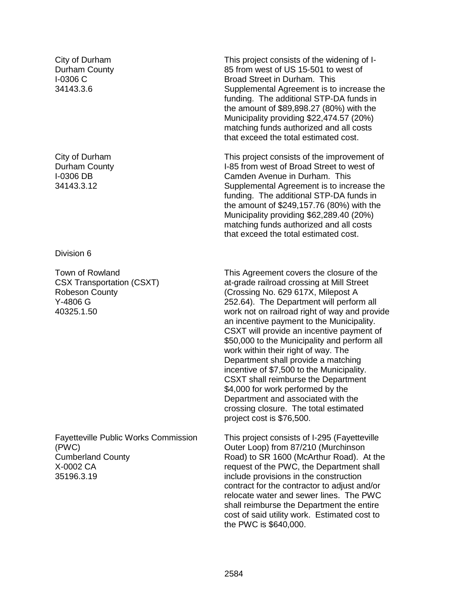City of Durham Durham County I-0306 C 34143.3.6

City of Durham Durham County I-0306 DB 34143.3.12

#### Division 6

Town of Rowland CSX Transportation (CSXT) Robeson County Y-4806 G 40325.1.50

Fayetteville Public Works Commission (PWC) Cumberland County X-0002 CA 35196.3.19

This project consists of the widening of I-85 from west of US 15-501 to west of Broad Street in Durham. This Supplemental Agreement is to increase the funding. The additional STP-DA funds in the amount of \$89,898.27 (80%) with the Municipality providing \$22,474.57 (20%) matching funds authorized and all costs that exceed the total estimated cost.

This project consists of the improvement of I-85 from west of Broad Street to west of Camden Avenue in Durham. This Supplemental Agreement is to increase the funding. The additional STP-DA funds in the amount of \$249,157.76 (80%) with the Municipality providing \$62,289.40 (20%) matching funds authorized and all costs that exceed the total estimated cost.

This Agreement covers the closure of the at-grade railroad crossing at Mill Street (Crossing No. 629 617X, Milepost A 252.64). The Department will perform all work not on railroad right of way and provide an incentive payment to the Municipality. CSXT will provide an incentive payment of \$50,000 to the Municipality and perform all work within their right of way. The Department shall provide a matching incentive of \$7,500 to the Municipality. CSXT shall reimburse the Department \$4,000 for work performed by the Department and associated with the crossing closure. The total estimated project cost is \$76,500.

This project consists of I-295 (Fayetteville Outer Loop) from 87/210 (Murchinson Road) to SR 1600 (McArthur Road). At the request of the PWC, the Department shall include provisions in the construction contract for the contractor to adjust and/or relocate water and sewer lines. The PWC shall reimburse the Department the entire cost of said utility work. Estimated cost to the PWC is \$640,000.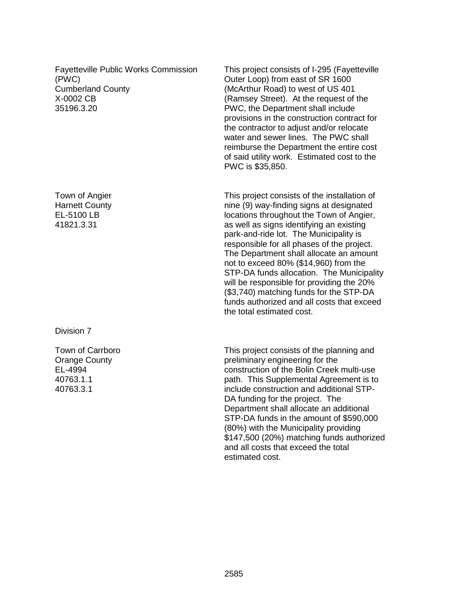Fayetteville Public Works Commission (PWC) Cumberland County X-0002 CB 35196.3.20

Town of Angier Harnett County EL-5100 LB 41821.3.31

Division 7

Town of Carrboro Orange County EL-4994 40763.1.1 40763.3.1

This project consists of I-295 (Fayetteville Outer Loop) from east of SR 1600 (McArthur Road) to west of US 401 (Ramsey Street). At the request of the PWC, the Department shall include provisions in the construction contract for the contractor to adjust and/or relocate water and sewer lines. The PWC shall reimburse the Department the entire cost of said utility work. Estimated cost to the PWC is \$35,850.

This project consists of the installation of nine (9) way-finding signs at designated locations throughout the Town of Angier, as well as signs identifying an existing park-and-ride lot. The Municipality is responsible for all phases of the project. The Department shall allocate an amount not to exceed 80% (\$14,960) from the STP-DA funds allocation. The Municipality will be responsible for providing the 20% (\$3,740) matching funds for the STP-DA funds authorized and all costs that exceed the total estimated cost.

This project consists of the planning and preliminary engineering for the construction of the Bolin Creek multi-use path. This Supplemental Agreement is to include construction and additional STP-DA funding for the project. The Department shall allocate an additional STP-DA funds in the amount of \$590,000 (80%) with the Municipality providing \$147,500 (20%) matching funds authorized and all costs that exceed the total estimated cost.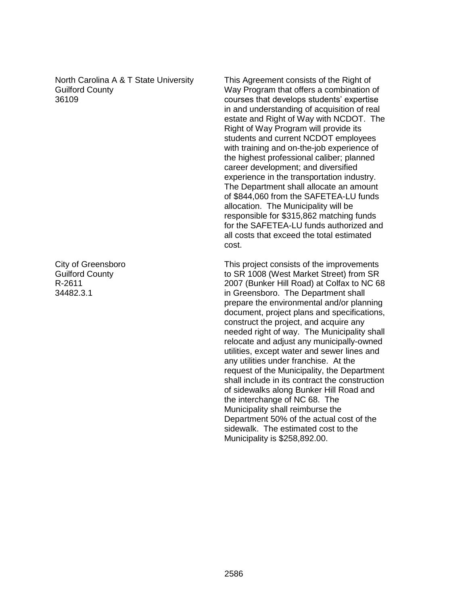North Carolina A & T State University Guilford County 36109

City of Greensboro Guilford County R-2611 34482.3.1

This Agreement consists of the Right of Way Program that offers a combination of courses that develops students' expertise in and understanding of acquisition of real estate and Right of Way with NCDOT. The Right of Way Program will provide its students and current NCDOT employees with training and on-the-job experience of the highest professional caliber; planned career development; and diversified experience in the transportation industry. The Department shall allocate an amount of \$844,060 from the SAFETEA-LU funds allocation. The Municipality will be responsible for \$315,862 matching funds for the SAFETEA-LU funds authorized and all costs that exceed the total estimated cost.

This project consists of the improvements to SR 1008 (West Market Street) from SR 2007 (Bunker Hill Road) at Colfax to NC 68 in Greensboro. The Department shall prepare the environmental and/or planning document, project plans and specifications, construct the project, and acquire any needed right of way. The Municipality shall relocate and adjust any municipally-owned utilities, except water and sewer lines and any utilities under franchise. At the request of the Municipality, the Department shall include in its contract the construction of sidewalks along Bunker Hill Road and the interchange of NC 68. The Municipality shall reimburse the Department 50% of the actual cost of the sidewalk. The estimated cost to the Municipality is \$258,892.00.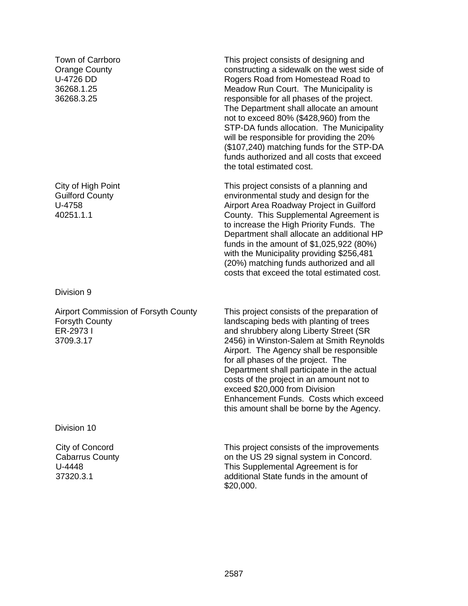Town of Carrboro Orange County U-4726 DD 36268.1.25 36268.3.25

City of High Point Guilford County U-4758 40251.1.1

Division 9

Airport Commission of Forsyth County Forsyth County ER-2973 I 3709.3.17

This project consists of the preparation of landscaping beds with planting of trees and shrubbery along Liberty Street (SR 2456) in Winston-Salem at Smith Reynolds Airport. The Agency shall be responsible for all phases of the project. The Department shall participate in the actual costs of the project in an amount not to exceed \$20,000 from Division Enhancement Funds. Costs which exceed this amount shall be borne by the Agency.

This project consists of designing and constructing a sidewalk on the west side of Rogers Road from Homestead Road to Meadow Run Court. The Municipality is responsible for all phases of the project. The Department shall allocate an amount not to exceed 80% (\$428,960) from the STP-DA funds allocation. The Municipality will be responsible for providing the 20% (\$107,240) matching funds for the STP-DA funds authorized and all costs that exceed

This project consists of a planning and environmental study and design for the Airport Area Roadway Project in Guilford County. This Supplemental Agreement is to increase the High Priority Funds. The Department shall allocate an additional HP funds in the amount of \$1,025,922 (80%) with the Municipality providing \$256,481 (20%) matching funds authorized and all costs that exceed the total estimated cost.

the total estimated cost.

Division 10

City of Concord Cabarrus County U-4448 37320.3.1

This project consists of the improvements on the US 29 signal system in Concord. This Supplemental Agreement is for additional State funds in the amount of \$20,000.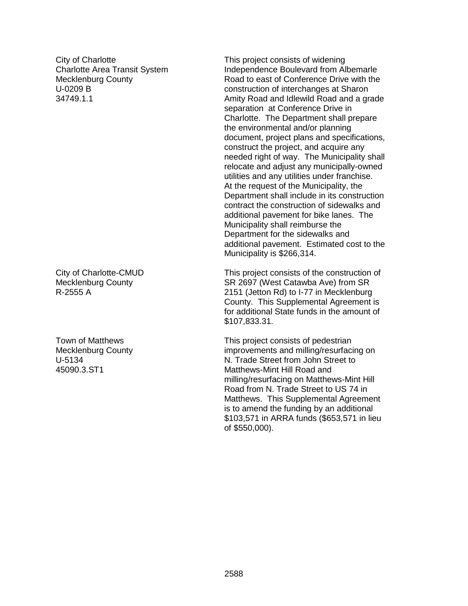City of Charlotte Charlotte Area Transit System Mecklenburg County U-0209 B 34749.1.1

City of Charlotte-CMUD Mecklenburg County R-2555 A

Town of Matthews Mecklenburg County U-5134 45090.3.ST1

This project consists of widening Independence Boulevard from Albemarle Road to east of Conference Drive with the construction of interchanges at Sharon Amity Road and Idlewild Road and a grade separation at Conference Drive in Charlotte. The Department shall prepare the environmental and/or planning document, project plans and specifications, construct the project, and acquire any needed right of way. The Municipality shall relocate and adjust any municipally-owned utilities and any utilities under franchise. At the request of the Municipality, the Department shall include in its construction contract the construction of sidewalks and additional pavement for bike lanes. The Municipality shall reimburse the Department for the sidewalks and additional pavement. Estimated cost to the Municipality is \$266,314.

This project consists of the construction of SR 2697 (West Catawba Ave) from SR 2151 (Jetton Rd) to I-77 in Mecklenburg County. This Supplemental Agreement is for additional State funds in the amount of \$107,833.31.

This project consists of pedestrian improvements and milling/resurfacing on N. Trade Street from John Street to Matthews-Mint Hill Road and milling/resurfacing on Matthews-Mint Hill Road from N. Trade Street to US 74 in Matthews. This Supplemental Agreement is to amend the funding by an additional \$103,571 in ARRA funds (\$653,571 in lieu of \$550,000).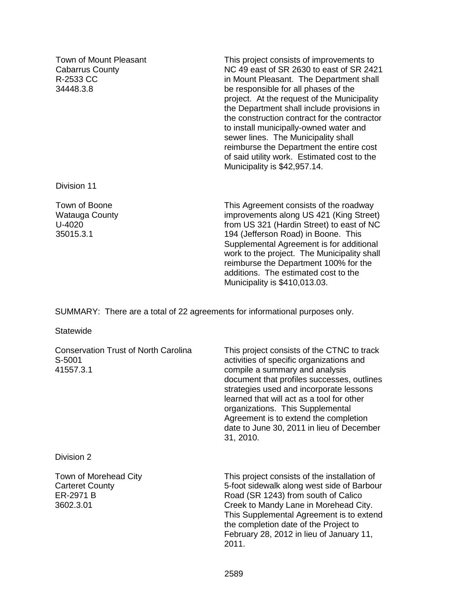Town of Mount Pleasant Cabarrus County R-2533 CC 34448.3.8

This project consists of improvements to NC 49 east of SR 2630 to east of SR 2421 in Mount Pleasant. The Department shall be responsible for all phases of the project. At the request of the Municipality the Department shall include provisions in the construction contract for the contractor to install municipally-owned water and sewer lines. The Municipality shall reimburse the Department the entire cost of said utility work. Estimated cost to the Municipality is \$42,957.14.

Division 11

Town of Boone Watauga County U-4020 35015.3.1

This Agreement consists of the roadway improvements along US 421 (King Street) from US 321 (Hardin Street) to east of NC 194 (Jefferson Road) in Boone. This Supplemental Agreement is for additional work to the project. The Municipality shall reimburse the Department 100% for the additions. The estimated cost to the Municipality is \$410,013.03.

SUMMARY: There are a total of 22 agreements for informational purposes only.

**Statewide** 

| <b>Conservation Trust of North Carolina</b><br>S-5001<br>41557.3.1        | This project consists of the CTNC to track<br>activities of specific organizations and<br>compile a summary and analysis<br>document that profiles successes, outlines<br>strategies used and incorporate lessons<br>learned that will act as a tool for other<br>organizations. This Supplemental<br>Agreement is to extend the completion<br>date to June 30, 2011 in lieu of December<br>31, 2010. |
|---------------------------------------------------------------------------|-------------------------------------------------------------------------------------------------------------------------------------------------------------------------------------------------------------------------------------------------------------------------------------------------------------------------------------------------------------------------------------------------------|
| Division 2                                                                |                                                                                                                                                                                                                                                                                                                                                                                                       |
| Town of Morehead City<br><b>Carteret County</b><br>ER-2971 B<br>3602.3.01 | This project consists of the installation of<br>5-foot sidewalk along west side of Barbour<br>Road (SR 1243) from south of Calico<br>Creek to Mandy Lane in Morehead City.<br>This Supplemental Agreement is to extend<br>the completion date of the Project to<br>February 28, 2012 in lieu of January 11,<br>2011.                                                                                  |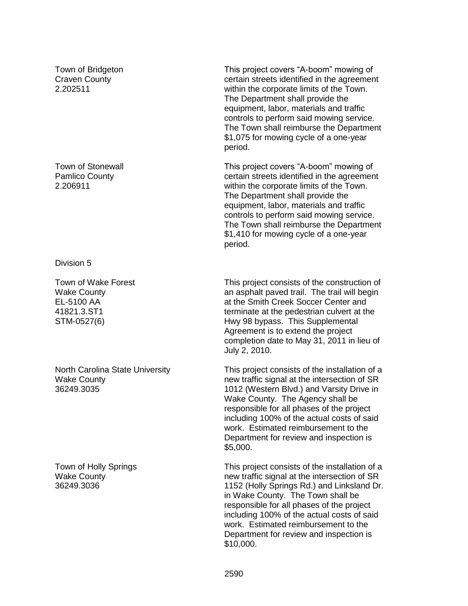Town of Bridgeton Craven County 2.202511

Town of Stonewall Pamlico County 2.206911

Division 5

Town of Wake Forest Wake County EL-5100 AA 41821.3.ST1 STM-0527(6)

North Carolina State University Wake County 36249.3035

Town of Holly Springs Wake County 36249.3036

This project covers "A-boom" mowing of certain streets identified in the agreement within the corporate limits of the Town. The Department shall provide the equipment, labor, materials and traffic controls to perform said mowing service. The Town shall reimburse the Department \$1,075 for mowing cycle of a one-year period.

This project covers "A-boom" mowing of certain streets identified in the agreement within the corporate limits of the Town. The Department shall provide the equipment, labor, materials and traffic controls to perform said mowing service. The Town shall reimburse the Department \$1,410 for mowing cycle of a one-year period.

This project consists of the construction of an asphalt paved trail. The trail will begin at the Smith Creek Soccer Center and terminate at the pedestrian culvert at the Hwy 98 bypass. This Supplemental Agreement is to extend the project completion date to May 31, 2011 in lieu of July 2, 2010.

This project consists of the installation of a new traffic signal at the intersection of SR 1012 (Western Blvd.) and Varsity Drive in Wake County. The Agency shall be responsible for all phases of the project including 100% of the actual costs of said work. Estimated reimbursement to the Department for review and inspection is \$5,000.

This project consists of the installation of a new traffic signal at the intersection of SR 1152 (Holly Springs Rd.) and Linksland Dr. in Wake County. The Town shall be responsible for all phases of the project including 100% of the actual costs of said work. Estimated reimbursement to the Department for review and inspection is \$10,000.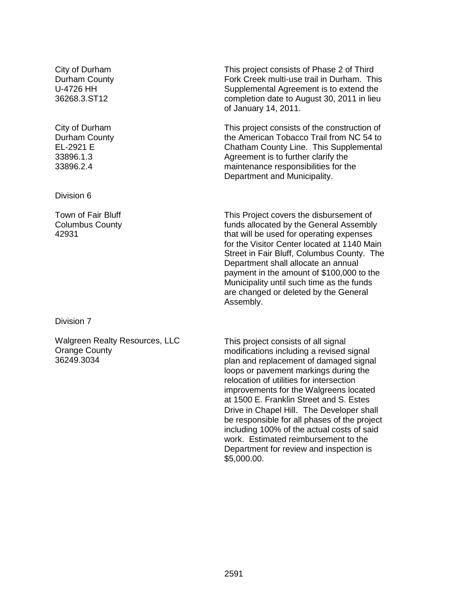City of Durham Durham County U-4726 HH 36268.3.ST12

City of Durham Durham County EL-2921 E 33896.1.3 33896.2.4

Division 6

Town of Fair Bluff Columbus County 42931

Division 7

Walgreen Realty Resources, LLC Orange County 36249.3034

This project consists of Phase 2 of Third Fork Creek multi-use trail in Durham. This Supplemental Agreement is to extend the completion date to August 30, 2011 in lieu of January 14, 2011.

This project consists of the construction of the American Tobacco Trail from NC 54 to Chatham County Line. This Supplemental Agreement is to further clarify the maintenance responsibilities for the Department and Municipality.

This Project covers the disbursement of funds allocated by the General Assembly that will be used for operating expenses for the Visitor Center located at 1140 Main Street in Fair Bluff, Columbus County. The Department shall allocate an annual payment in the amount of \$100,000 to the Municipality until such time as the funds are changed or deleted by the General Assembly.

This project consists of all signal modifications including a revised signal plan and replacement of damaged signal loops or pavement markings during the relocation of utilities for intersection improvements for the Walgreens located at 1500 E. Franklin Street and S. Estes Drive in Chapel Hill. The Developer shall be responsible for all phases of the project including 100% of the actual costs of said work. Estimated reimbursement to the Department for review and inspection is \$5,000.00.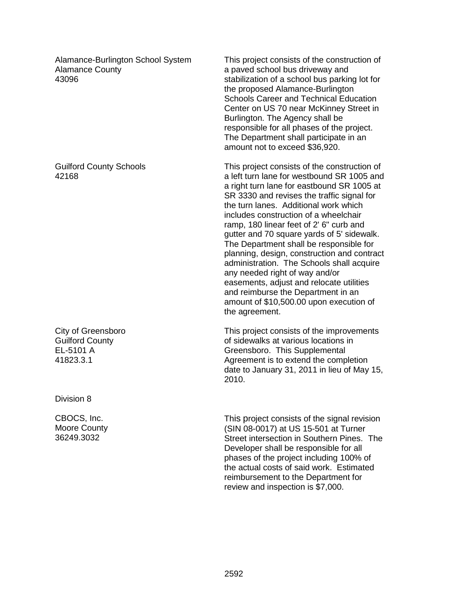Alamance-Burlington School System Alamance County 43096

Guilford County Schools 42168

City of Greensboro Guilford County EL-5101 A 41823.3.1

Division 8

CBOCS, Inc. Moore County 36249.3032

This project consists of the construction of a paved school bus driveway and stabilization of a school bus parking lot for the proposed Alamance-Burlington Schools Career and Technical Education Center on US 70 near McKinney Street in Burlington. The Agency shall be responsible for all phases of the project. The Department shall participate in an amount not to exceed \$36,920.

This project consists of the construction of a left turn lane for westbound SR 1005 and a right turn lane for eastbound SR 1005 at SR 3330 and revises the traffic signal for the turn lanes. Additional work which includes construction of a wheelchair ramp, 180 linear feet of 2' 6" curb and gutter and 70 square yards of 5' sidewalk. The Department shall be responsible for planning, design, construction and contract administration. The Schools shall acquire any needed right of way and/or easements, adjust and relocate utilities and reimburse the Department in an amount of \$10,500.00 upon execution of the agreement.

This project consists of the improvements of sidewalks at various locations in Greensboro. This Supplemental Agreement is to extend the completion date to January 31, 2011 in lieu of May 15, 2010.

This project consists of the signal revision (SIN 08-0017) at US 15-501 at Turner Street intersection in Southern Pines. The Developer shall be responsible for all phases of the project including 100% of the actual costs of said work. Estimated reimbursement to the Department for review and inspection is \$7,000.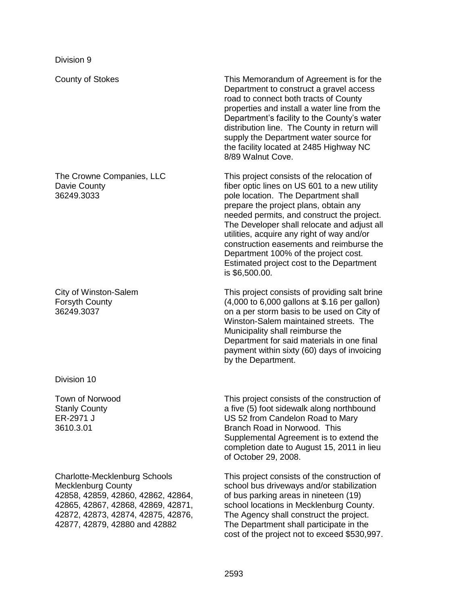The Crowne Companies, LLC Davie County 36249.3033

City of Winston-Salem Forsyth County 36249.3037

Division 10

Town of Norwood Stanly County ER-2971 J 3610.3.01

Charlotte-Mecklenburg Schools Mecklenburg County 42858, 42859, 42860, 42862, 42864, 42865, 42867, 42868, 42869, 42871, 42872, 42873, 42874, 42875, 42876, 42877, 42879, 42880 and 42882

County of Stokes This Memorandum of Agreement is for the Department to construct a gravel access road to connect both tracts of County properties and install a water line from the Department's facility to the County's water distribution line. The County in return will supply the Department water source for the facility located at 2485 Highway NC 8/89 Walnut Cove.

> This project consists of the relocation of fiber optic lines on US 601 to a new utility pole location. The Department shall prepare the project plans, obtain any needed permits, and construct the project. The Developer shall relocate and adjust all utilities, acquire any right of way and/or construction easements and reimburse the Department 100% of the project cost. Estimated project cost to the Department is \$6,500.00.

> This project consists of providing salt brine (4,000 to 6,000 gallons at \$.16 per gallon) on a per storm basis to be used on City of Winston-Salem maintained streets. The Municipality shall reimburse the Department for said materials in one final payment within sixty (60) days of invoicing by the Department.

> This project consists of the construction of a five (5) foot sidewalk along northbound US 52 from Candelon Road to Mary Branch Road in Norwood. This Supplemental Agreement is to extend the completion date to August 15, 2011 in lieu of October 29, 2008.

This project consists of the construction of school bus driveways and/or stabilization of bus parking areas in nineteen (19) school locations in Mecklenburg County. The Agency shall construct the project. The Department shall participate in the cost of the project not to exceed \$530,997.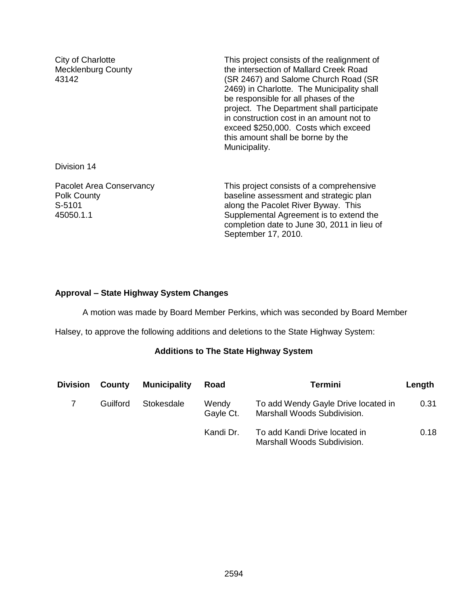City of Charlotte Mecklenburg County 43142

This project consists of the realignment of the intersection of Mallard Creek Road (SR 2467) and Salome Church Road (SR 2469) in Charlotte. The Municipality shall be responsible for all phases of the project. The Department shall participate in construction cost in an amount not to exceed \$250,000. Costs which exceed this amount shall be borne by the Municipality.

Division 14

Pacolet Area Conservancy Polk County S-5101 45050.1.1

This project consists of a comprehensive baseline assessment and strategic plan along the Pacolet River Byway. This Supplemental Agreement is to extend the completion date to June 30, 2011 in lieu of September 17, 2010.

# **Approval – State Highway System Changes**

A motion was made by Board Member Perkins, which was seconded by Board Member

Halsey, to approve the following additions and deletions to the State Highway System:

# **Additions to The State Highway System**

| <b>Division</b> | County   | <b>Municipality</b> | Road               | <b>Termini</b>                                                     | Length |
|-----------------|----------|---------------------|--------------------|--------------------------------------------------------------------|--------|
|                 | Guilford | Stokesdale          | Wendy<br>Gayle Ct. | To add Wendy Gayle Drive located in<br>Marshall Woods Subdivision. | 0.31   |
|                 |          |                     | Kandi Dr.          | To add Kandi Drive located in<br>Marshall Woods Subdivision.       | 0.18   |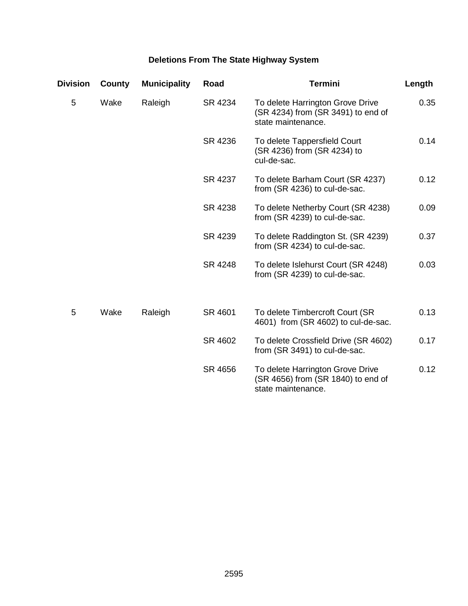# **Deletions From The State Highway System**

| <b>Division</b> | County | <b>Municipality</b> | Road    | <b>Termini</b>                                                                               | Length |
|-----------------|--------|---------------------|---------|----------------------------------------------------------------------------------------------|--------|
| 5               | Wake   | Raleigh             | SR 4234 | To delete Harrington Grove Drive<br>(SR 4234) from (SR 3491) to end of<br>state maintenance. | 0.35   |
|                 |        |                     | SR 4236 | To delete Tappersfield Court<br>(SR 4236) from (SR 4234) to<br>cul-de-sac.                   | 0.14   |
|                 |        |                     | SR 4237 | To delete Barham Court (SR 4237)<br>from (SR 4236) to cul-de-sac.                            | 0.12   |
|                 |        |                     | SR 4238 | To delete Netherby Court (SR 4238)<br>from (SR 4239) to cul-de-sac.                          | 0.09   |
|                 |        |                     | SR 4239 | To delete Raddington St. (SR 4239)<br>from (SR 4234) to cul-de-sac.                          | 0.37   |
|                 |        |                     | SR 4248 | To delete Islehurst Court (SR 4248)<br>from (SR 4239) to cul-de-sac.                         | 0.03   |
| 5               | Wake   | Raleigh             | SR 4601 | To delete Timbercroft Court (SR<br>4601) from (SR 4602) to cul-de-sac.                       | 0.13   |
|                 |        |                     | SR 4602 | To delete Crossfield Drive (SR 4602)<br>from (SR 3491) to cul-de-sac.                        | 0.17   |
|                 |        |                     | SR 4656 | To delete Harrington Grove Drive<br>(SR 4656) from (SR 1840) to end of<br>state maintenance. | 0.12   |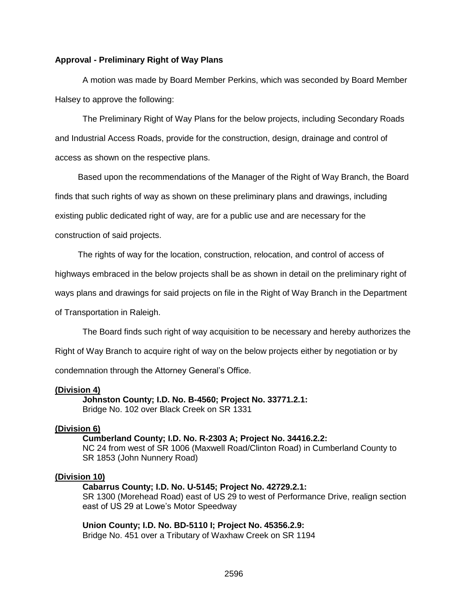#### **Approval - Preliminary Right of Way Plans**

A motion was made by Board Member Perkins, which was seconded by Board Member Halsey to approve the following:

The Preliminary Right of Way Plans for the below projects, including Secondary Roads and Industrial Access Roads, provide for the construction, design, drainage and control of access as shown on the respective plans.

Based upon the recommendations of the Manager of the Right of Way Branch, the Board finds that such rights of way as shown on these preliminary plans and drawings, including existing public dedicated right of way, are for a public use and are necessary for the construction of said projects.

The rights of way for the location, construction, relocation, and control of access of

highways embraced in the below projects shall be as shown in detail on the preliminary right of

ways plans and drawings for said projects on file in the Right of Way Branch in the Department

of Transportation in Raleigh.

The Board finds such right of way acquisition to be necessary and hereby authorizes the

Right of Way Branch to acquire right of way on the below projects either by negotiation or by

condemnation through the Attorney General's Office.

#### **(Division 4)**

**Johnston County; I.D. No. B-4560; Project No. 33771.2.1:** Bridge No. 102 over Black Creek on SR 1331

#### **(Division 6)**

**Cumberland County; I.D. No. R-2303 A; Project No. 34416.2.2:** NC 24 from west of SR 1006 (Maxwell Road/Clinton Road) in Cumberland County to SR 1853 (John Nunnery Road)

#### **(Division 10)**

**Cabarrus County; I.D. No. U-5145; Project No. 42729.2.1:** SR 1300 (Morehead Road) east of US 29 to west of Performance Drive, realign section east of US 29 at Lowe's Motor Speedway

**Union County; I.D. No. BD-5110 I; Project No. 45356.2.9:** Bridge No. 451 over a Tributary of Waxhaw Creek on SR 1194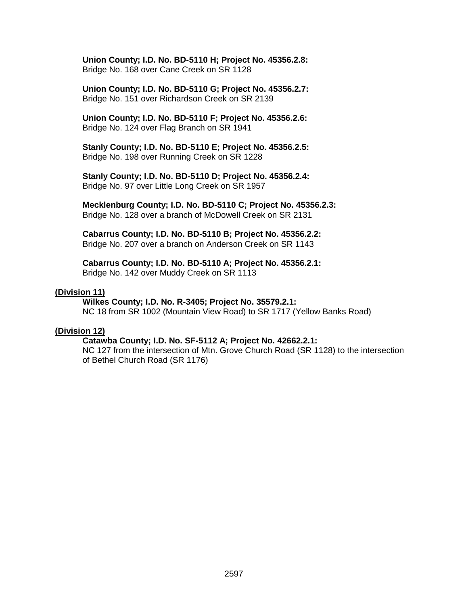**Union County; I.D. No. BD-5110 H; Project No. 45356.2.8:** Bridge No. 168 over Cane Creek on SR 1128

**Union County; I.D. No. BD-5110 G; Project No. 45356.2.7:** Bridge No. 151 over Richardson Creek on SR 2139

**Union County; I.D. No. BD-5110 F; Project No. 45356.2.6:** Bridge No. 124 over Flag Branch on SR 1941

**Stanly County; I.D. No. BD-5110 E; Project No. 45356.2.5:** Bridge No. 198 over Running Creek on SR 1228

**Stanly County; I.D. No. BD-5110 D; Project No. 45356.2.4:** Bridge No. 97 over Little Long Creek on SR 1957

**Mecklenburg County; I.D. No. BD-5110 C; Project No. 45356.2.3:** Bridge No. 128 over a branch of McDowell Creek on SR 2131

**Cabarrus County; I.D. No. BD-5110 B; Project No. 45356.2.2:** Bridge No. 207 over a branch on Anderson Creek on SR 1143

**Cabarrus County; I.D. No. BD-5110 A; Project No. 45356.2.1:** Bridge No. 142 over Muddy Creek on SR 1113

#### **(Division 11)**

#### **Wilkes County; I.D. No. R-3405; Project No. 35579.2.1:**

NC 18 from SR 1002 (Mountain View Road) to SR 1717 (Yellow Banks Road)

### **(Division 12)**

#### **Catawba County; I.D. No. SF-5112 A; Project No. 42662.2.1:**

NC 127 from the intersection of Mtn. Grove Church Road (SR 1128) to the intersection of Bethel Church Road (SR 1176)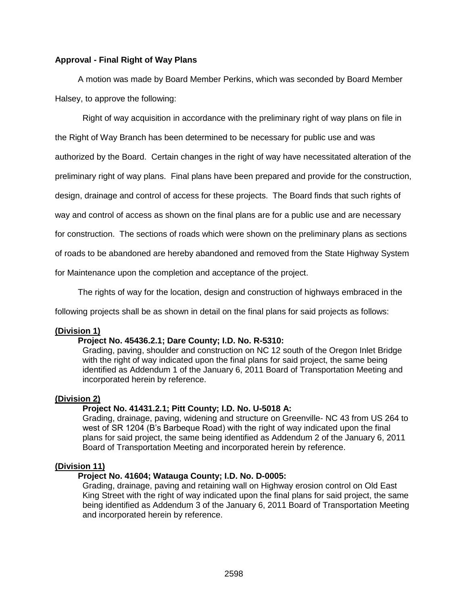## **Approval - Final Right of Way Plans**

A motion was made by Board Member Perkins, which was seconded by Board Member Halsey, to approve the following:

Right of way acquisition in accordance with the preliminary right of way plans on file in

the Right of Way Branch has been determined to be necessary for public use and was

authorized by the Board. Certain changes in the right of way have necessitated alteration of the

preliminary right of way plans. Final plans have been prepared and provide for the construction,

design, drainage and control of access for these projects. The Board finds that such rights of

way and control of access as shown on the final plans are for a public use and are necessary

for construction. The sections of roads which were shown on the preliminary plans as sections

of roads to be abandoned are hereby abandoned and removed from the State Highway System

for Maintenance upon the completion and acceptance of the project.

The rights of way for the location, design and construction of highways embraced in the

following projects shall be as shown in detail on the final plans for said projects as follows:

#### **(Division 1)**

#### **Project No. 45436.2.1; Dare County; I.D. No. R-5310:**

Grading, paving, shoulder and construction on NC 12 south of the Oregon Inlet Bridge with the right of way indicated upon the final plans for said project, the same being identified as Addendum 1 of the January 6, 2011 Board of Transportation Meeting and incorporated herein by reference.

#### **(Division 2)**

#### **Project No. 41431.2.1; Pitt County; I.D. No. U-5018 A:**

Grading, drainage, paving, widening and structure on Greenville- NC 43 from US 264 to west of SR 1204 (B's Barbeque Road) with the right of way indicated upon the final plans for said project, the same being identified as Addendum 2 of the January 6, 2011 Board of Transportation Meeting and incorporated herein by reference.

# **(Division 11)**

#### **Project No. 41604; Watauga County; I.D. No. D-0005:**

Grading, drainage, paving and retaining wall on Highway erosion control on Old East King Street with the right of way indicated upon the final plans for said project, the same being identified as Addendum 3 of the January 6, 2011 Board of Transportation Meeting and incorporated herein by reference.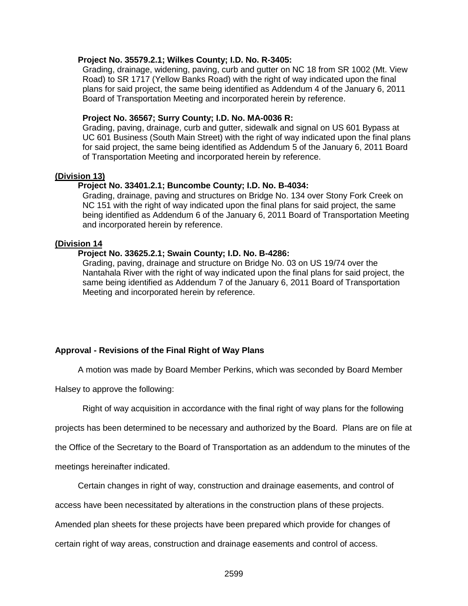#### **Project No. 35579.2.1; Wilkes County; I.D. No. R-3405:**

Grading, drainage, widening, paving, curb and gutter on NC 18 from SR 1002 (Mt. View Road) to SR 1717 (Yellow Banks Road) with the right of way indicated upon the final plans for said project, the same being identified as Addendum 4 of the January 6, 2011 Board of Transportation Meeting and incorporated herein by reference.

#### **Project No. 36567; Surry County; I.D. No. MA-0036 R:**

Grading, paving, drainage, curb and gutter, sidewalk and signal on US 601 Bypass at UC 601 Business (South Main Street) with the right of way indicated upon the final plans for said project, the same being identified as Addendum 5 of the January 6, 2011 Board of Transportation Meeting and incorporated herein by reference.

## **(Division 13)**

#### **Project No. 33401.2.1; Buncombe County; I.D. No. B-4034:**

Grading, drainage, paving and structures on Bridge No. 134 over Stony Fork Creek on NC 151 with the right of way indicated upon the final plans for said project, the same being identified as Addendum 6 of the January 6, 2011 Board of Transportation Meeting and incorporated herein by reference.

#### **(Division 14**

## **Project No. 33625.2.1; Swain County; I.D. No. B-4286:**

Grading, paving, drainage and structure on Bridge No. 03 on US 19/74 over the Nantahala River with the right of way indicated upon the final plans for said project, the same being identified as Addendum 7 of the January 6, 2011 Board of Transportation Meeting and incorporated herein by reference.

## **Approval - Revisions of the Final Right of Way Plans**

A motion was made by Board Member Perkins, which was seconded by Board Member

Halsey to approve the following:

Right of way acquisition in accordance with the final right of way plans for the following

projects has been determined to be necessary and authorized by the Board. Plans are on file at

the Office of the Secretary to the Board of Transportation as an addendum to the minutes of the

meetings hereinafter indicated.

Certain changes in right of way, construction and drainage easements, and control of

access have been necessitated by alterations in the construction plans of these projects.

Amended plan sheets for these projects have been prepared which provide for changes of

certain right of way areas, construction and drainage easements and control of access.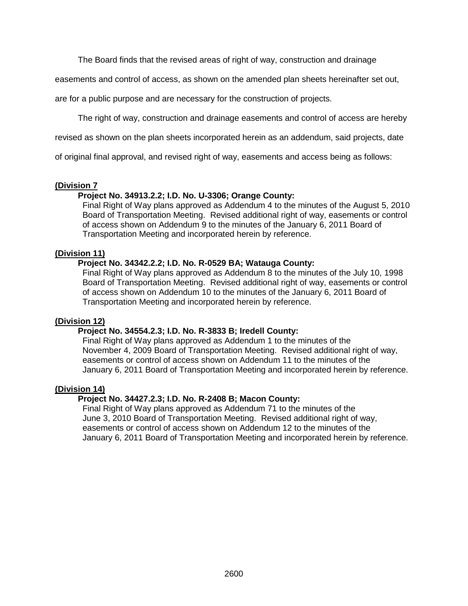The Board finds that the revised areas of right of way, construction and drainage

easements and control of access, as shown on the amended plan sheets hereinafter set out,

are for a public purpose and are necessary for the construction of projects.

The right of way, construction and drainage easements and control of access are hereby

revised as shown on the plan sheets incorporated herein as an addendum, said projects, date

of original final approval, and revised right of way, easements and access being as follows:

## **(Division 7**

## **Project No. 34913.2.2; I.D. No. U-3306; Orange County:**

Final Right of Way plans approved as Addendum 4 to the minutes of the August 5, 2010 Board of Transportation Meeting. Revised additional right of way, easements or control of access shown on Addendum 9 to the minutes of the January 6, 2011 Board of Transportation Meeting and incorporated herein by reference.

## **(Division 11)**

## **Project No. 34342.2.2; I.D. No. R-0529 BA; Watauga County:**

Final Right of Way plans approved as Addendum 8 to the minutes of the July 10, 1998 Board of Transportation Meeting. Revised additional right of way, easements or control of access shown on Addendum 10 to the minutes of the January 6, 2011 Board of Transportation Meeting and incorporated herein by reference.

## **(Division 12)**

# **Project No. 34554.2.3; I.D. No. R-3833 B; Iredell County:**

Final Right of Way plans approved as Addendum 1 to the minutes of the November 4, 2009 Board of Transportation Meeting. Revised additional right of way, easements or control of access shown on Addendum 11 to the minutes of the January 6, 2011 Board of Transportation Meeting and incorporated herein by reference.

## **(Division 14)**

## **Project No. 34427.2.3; I.D. No. R-2408 B; Macon County:**

Final Right of Way plans approved as Addendum 71 to the minutes of the June 3, 2010 Board of Transportation Meeting. Revised additional right of way, easements or control of access shown on Addendum 12 to the minutes of the January 6, 2011 Board of Transportation Meeting and incorporated herein by reference.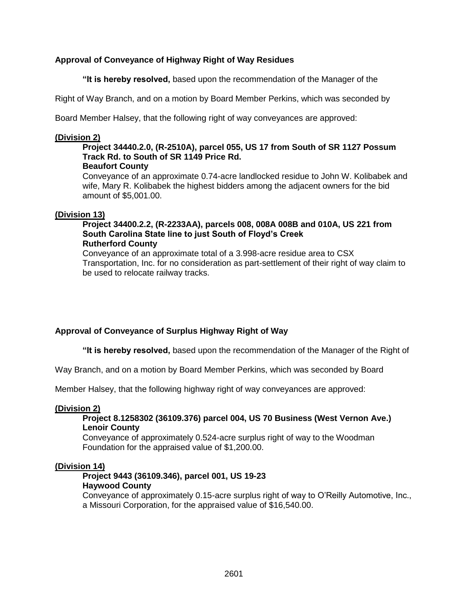# **Approval of Conveyance of Highway Right of Way Residues**

**"It is hereby resolved,** based upon the recommendation of the Manager of the

Right of Way Branch, and on a motion by Board Member Perkins, which was seconded by

Board Member Halsey, that the following right of way conveyances are approved:

## **(Division 2)**

#### **Project 34440.2.0, (R-2510A), parcel 055, US 17 from South of SR 1127 Possum Track Rd. to South of SR 1149 Price Rd. Beaufort County**

Conveyance of an approximate 0.74-acre landlocked residue to John W. Kolibabek and wife, Mary R. Kolibabek the highest bidders among the adjacent owners for the bid amount of \$5,001.00.

# **(Division 13)**

## **Project 34400.2.2, (R-2233AA), parcels 008, 008A 008B and 010A, US 221 from South Carolina State line to just South of Floyd's Creek Rutherford County**

Conveyance of an approximate total of a 3.998-acre residue area to CSX Transportation, Inc. for no consideration as part-settlement of their right of way claim to be used to relocate railway tracks.

# **Approval of Conveyance of Surplus Highway Right of Way**

**"It is hereby resolved,** based upon the recommendation of the Manager of the Right of

Way Branch, and on a motion by Board Member Perkins, which was seconded by Board

Member Halsey, that the following highway right of way conveyances are approved:

## **(Division 2)**

## **Project 8.1258302 (36109.376) parcel 004, US 70 Business (West Vernon Ave.) Lenoir County**

Conveyance of approximately 0.524-acre surplus right of way to the Woodman Foundation for the appraised value of \$1,200.00.

# **(Division 14)**

## **Project 9443 (36109.346), parcel 001, US 19-23 Haywood County**

Conveyance of approximately 0.15-acre surplus right of way to O'Reilly Automotive, Inc., a Missouri Corporation, for the appraised value of \$16,540.00.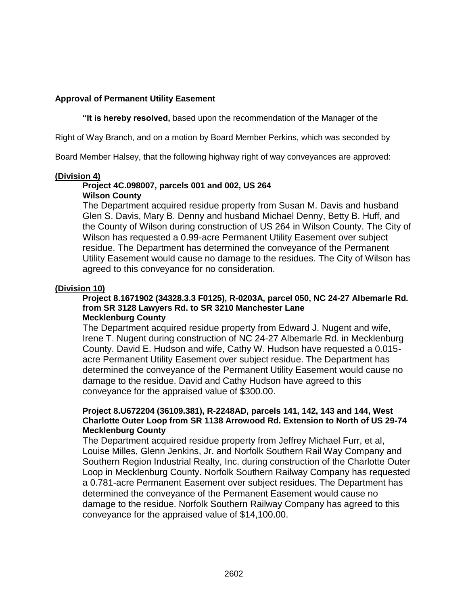# **Approval of Permanent Utility Easement**

**"It is hereby resolved,** based upon the recommendation of the Manager of the

Right of Way Branch, and on a motion by Board Member Perkins, which was seconded by

Board Member Halsey, that the following highway right of way conveyances are approved:

## **(Division 4)**

#### **Project 4C.098007, parcels 001 and 002, US 264 Wilson County**

The Department acquired residue property from Susan M. Davis and husband Glen S. Davis, Mary B. Denny and husband Michael Denny, Betty B. Huff, and the County of Wilson during construction of US 264 in Wilson County. The City of Wilson has requested a 0.99-acre Permanent Utility Easement over subject residue. The Department has determined the conveyance of the Permanent Utility Easement would cause no damage to the residues. The City of Wilson has agreed to this conveyance for no consideration.

## **(Division 10)**

#### **Project 8.1671902 (34328.3.3 F0125), R-0203A, parcel 050, NC 24-27 Albemarle Rd. from SR 3128 Lawyers Rd. to SR 3210 Manchester Lane Mecklenburg County**

The Department acquired residue property from Edward J. Nugent and wife, Irene T. Nugent during construction of NC 24-27 Albemarle Rd. in Mecklenburg County. David E. Hudson and wife, Cathy W. Hudson have requested a 0.015 acre Permanent Utility Easement over subject residue. The Department has determined the conveyance of the Permanent Utility Easement would cause no damage to the residue. David and Cathy Hudson have agreed to this conveyance for the appraised value of \$300.00.

## **Project 8.U672204 (36109.381), R-2248AD, parcels 141, 142, 143 and 144, West Charlotte Outer Loop from SR 1138 Arrowood Rd. Extension to North of US 29-74 Mecklenburg County**

The Department acquired residue property from Jeffrey Michael Furr, et al, Louise Milles, Glenn Jenkins, Jr. and Norfolk Southern Rail Way Company and Southern Region Industrial Realty, Inc. during construction of the Charlotte Outer Loop in Mecklenburg County. Norfolk Southern Railway Company has requested a 0.781-acre Permanent Easement over subject residues. The Department has determined the conveyance of the Permanent Easement would cause no damage to the residue. Norfolk Southern Railway Company has agreed to this conveyance for the appraised value of \$14,100.00.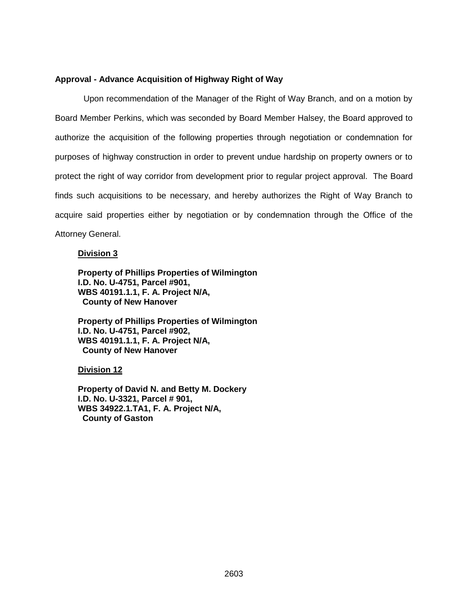## **Approval - Advance Acquisition of Highway Right of Way**

 Upon recommendation of the Manager of the Right of Way Branch, and on a motion by Board Member Perkins, which was seconded by Board Member Halsey, the Board approved to authorize the acquisition of the following properties through negotiation or condemnation for purposes of highway construction in order to prevent undue hardship on property owners or to protect the right of way corridor from development prior to regular project approval. The Board finds such acquisitions to be necessary, and hereby authorizes the Right of Way Branch to acquire said properties either by negotiation or by condemnation through the Office of the Attorney General.

#### **Division 3**

**Property of Phillips Properties of Wilmington I.D. No. U-4751, Parcel #901, WBS 40191.1.1, F. A. Project N/A, County of New Hanover**

**Property of Phillips Properties of Wilmington I.D. No. U-4751, Parcel #902, WBS 40191.1.1, F. A. Project N/A, County of New Hanover**

**Division 12**

**Property of David N. and Betty M. Dockery I.D. No. U-3321, Parcel # 901, WBS 34922.1.TA1, F. A. Project N/A, County of Gaston**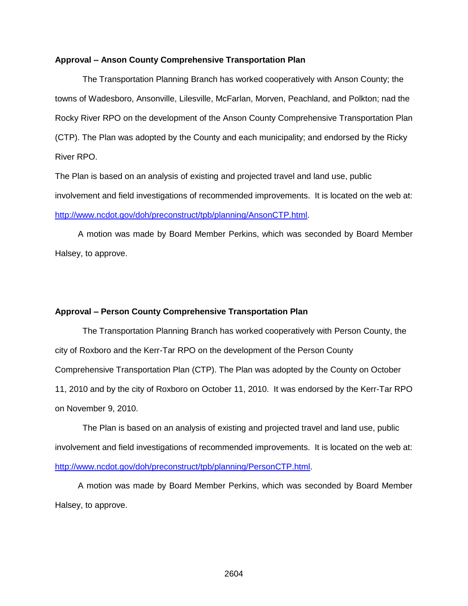#### **Approval – Anson County Comprehensive Transportation Plan**

The Transportation Planning Branch has worked cooperatively with Anson County; the towns of Wadesboro, Ansonville, Lilesville, McFarlan, Morven, Peachland, and Polkton; nad the Rocky River RPO on the development of the Anson County Comprehensive Transportation Plan (CTP). The Plan was adopted by the County and each municipality; and endorsed by the Ricky River RPO.

The Plan is based on an analysis of existing and projected travel and land use, public involvement and field investigations of recommended improvements. It is located on the web at: [http://www.ncdot.gov/doh/preconstruct/tpb/planning/AnsonCTP.html.](http://www.ncdot.gov/doh/preconstruct/tpb/planning/AnsonCTP.html)

A motion was made by Board Member Perkins, which was seconded by Board Member Halsey, to approve.

## **Approval – Person County Comprehensive Transportation Plan**

The Transportation Planning Branch has worked cooperatively with Person County, the city of Roxboro and the Kerr-Tar RPO on the development of the Person County Comprehensive Transportation Plan (CTP). The Plan was adopted by the County on October 11, 2010 and by the city of Roxboro on October 11, 2010. It was endorsed by the Kerr-Tar RPO on November 9, 2010.

The Plan is based on an analysis of existing and projected travel and land use, public involvement and field investigations of recommended improvements. It is located on the web at: [http://www.ncdot.gov/doh/preconstruct/tpb/planning/PersonCTP.html.](http://www.ncdot.gov/doh/preconstruct/tpb/planning/PersonCTP.html)

A motion was made by Board Member Perkins, which was seconded by Board Member Halsey, to approve.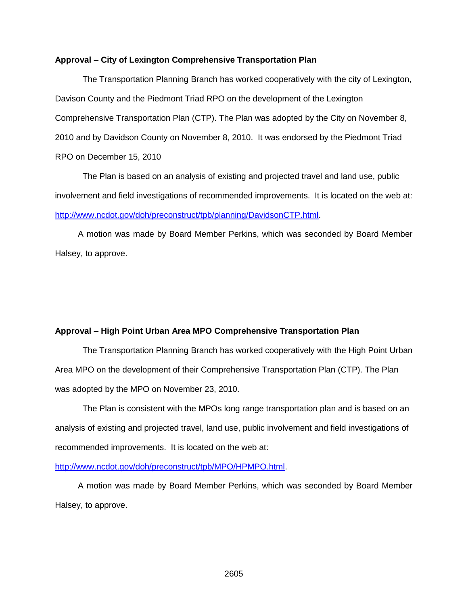#### **Approval – City of Lexington Comprehensive Transportation Plan**

The Transportation Planning Branch has worked cooperatively with the city of Lexington, Davison County and the Piedmont Triad RPO on the development of the Lexington Comprehensive Transportation Plan (CTP). The Plan was adopted by the City on November 8, 2010 and by Davidson County on November 8, 2010. It was endorsed by the Piedmont Triad RPO on December 15, 2010

The Plan is based on an analysis of existing and projected travel and land use, public involvement and field investigations of recommended improvements. It is located on the web at: [http://www.ncdot.gov/doh/preconstruct/tpb/planning/DavidsonCTP.html.](http://www.ncdot.gov/doh/preconstruct/tpb/planning/DavidsonCTP.html)

A motion was made by Board Member Perkins, which was seconded by Board Member Halsey, to approve.

#### **Approval – High Point Urban Area MPO Comprehensive Transportation Plan**

The Transportation Planning Branch has worked cooperatively with the High Point Urban Area MPO on the development of their Comprehensive Transportation Plan (CTP). The Plan was adopted by the MPO on November 23, 2010.

The Plan is consistent with the MPOs long range transportation plan and is based on an analysis of existing and projected travel, land use, public involvement and field investigations of recommended improvements. It is located on the web at:

#### [http://www.ncdot.gov/doh/preconstruct/tpb/MPO/HPMPO.html.](http://www.ncdot.gov/doh/preconstruct/tpb/MPO/HPMPO.html)

A motion was made by Board Member Perkins, which was seconded by Board Member Halsey, to approve.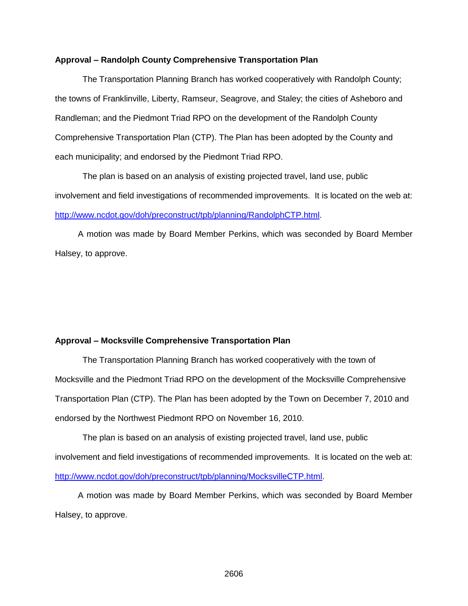#### **Approval – Randolph County Comprehensive Transportation Plan**

The Transportation Planning Branch has worked cooperatively with Randolph County; the towns of Franklinville, Liberty, Ramseur, Seagrove, and Staley; the cities of Asheboro and Randleman; and the Piedmont Triad RPO on the development of the Randolph County Comprehensive Transportation Plan (CTP). The Plan has been adopted by the County and each municipality; and endorsed by the Piedmont Triad RPO.

The plan is based on an analysis of existing projected travel, land use, public involvement and field investigations of recommended improvements. It is located on the web at: [http://www.ncdot.gov/doh/preconstruct/tpb/planning/RandolphCTP.html.](http://www.ncdot.gov/doh/preconstruct/tpb/planning/RandolphCTP.html)

A motion was made by Board Member Perkins, which was seconded by Board Member Halsey, to approve.

#### **Approval – Mocksville Comprehensive Transportation Plan**

The Transportation Planning Branch has worked cooperatively with the town of Mocksville and the Piedmont Triad RPO on the development of the Mocksville Comprehensive Transportation Plan (CTP). The Plan has been adopted by the Town on December 7, 2010 and endorsed by the Northwest Piedmont RPO on November 16, 2010.

The plan is based on an analysis of existing projected travel, land use, public involvement and field investigations of recommended improvements. It is located on the web at: [http://www.ncdot.gov/doh/preconstruct/tpb/planning/MocksvilleCTP.html.](http://www.ncdot.gov/doh/preconstruct/tpb/planning/MocksvilleCTP.html)

A motion was made by Board Member Perkins, which was seconded by Board Member Halsey, to approve.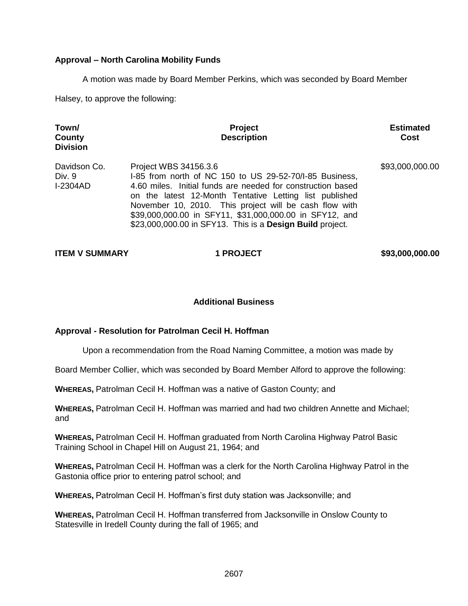# **Approval – North Carolina Mobility Funds**

A motion was made by Board Member Perkins, which was seconded by Board Member

Halsey, to approve the following:

| Town/<br>County<br><b>Division</b>        | <b>Project</b><br><b>Description</b>                                                                                                                                                                                                                                                                                                                                                                | <b>Estimated</b><br>Cost |
|-------------------------------------------|-----------------------------------------------------------------------------------------------------------------------------------------------------------------------------------------------------------------------------------------------------------------------------------------------------------------------------------------------------------------------------------------------------|--------------------------|
| Davidson Co.<br>Div. 9<br><b>I-2304AD</b> | Project WBS 34156.3.6<br>1-85 from north of NC 150 to US 29-52-70/1-85 Business,<br>4.60 miles. Initial funds are needed for construction based<br>on the latest 12-Month Tentative Letting list published<br>November 10, 2010. This project will be cash flow with<br>\$39,000,000.00 in SFY11, \$31,000,000.00 in SFY12, and<br>\$23,000,000.00 in SFY13. This is a <b>Design Build</b> project. | \$93,000,000.00          |

**ITEM V SUMMARY 1 PROJECT \$93,000,000.00** 

## **Additional Business**

## **Approval - Resolution for Patrolman Cecil H. Hoffman**

Upon a recommendation from the Road Naming Committee, a motion was made by

Board Member Collier, which was seconded by Board Member Alford to approve the following:

**WHEREAS,** Patrolman Cecil H. Hoffman was a native of Gaston County; and

**WHEREAS,** Patrolman Cecil H. Hoffman was married and had two children Annette and Michael; and

**WHEREAS,** Patrolman Cecil H. Hoffman graduated from North Carolina Highway Patrol Basic Training School in Chapel Hill on August 21, 1964; and

**WHEREAS,** Patrolman Cecil H. Hoffman was a clerk for the North Carolina Highway Patrol in the Gastonia office prior to entering patrol school; and

**WHEREAS,** Patrolman Cecil H. Hoffman's first duty station was Jacksonville; and

**WHEREAS,** Patrolman Cecil H. Hoffman transferred from Jacksonville in Onslow County to Statesville in Iredell County during the fall of 1965; and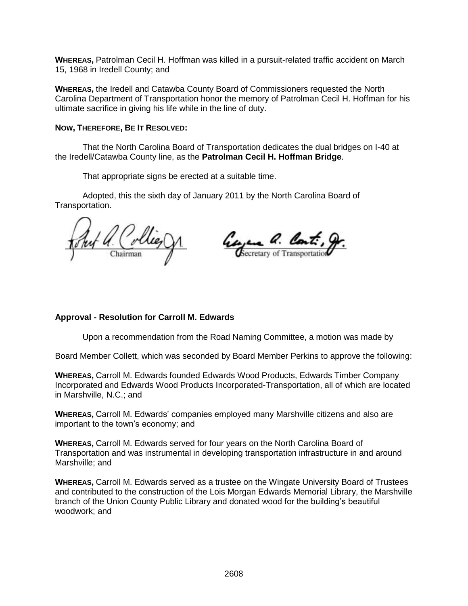**WHEREAS,** Patrolman Cecil H. Hoffman was killed in a pursuit-related traffic accident on March 15, 1968 in Iredell County; and

**WHEREAS,** the Iredell and Catawba County Board of Commissioners requested the North Carolina Department of Transportation honor the memory of Patrolman Cecil H. Hoffman for his ultimate sacrifice in giving his life while in the line of duty.

## **NOW, THEREFORE, BE IT RESOLVED:**

That the North Carolina Board of Transportation dedicates the dual bridges on I-40 at the Iredell/Catawba County line, as the **Patrolman Cecil H. Hoffman Bridge**.

That appropriate signs be erected at a suitable time.

Adopted, this the sixth day of January 2011 by the North Carolina Board of Transportation.

Georgene a. Cont. Chairman

## **Approval - Resolution for Carroll M. Edwards**

Upon a recommendation from the Road Naming Committee, a motion was made by

Board Member Collett, which was seconded by Board Member Perkins to approve the following:

**WHEREAS,** Carroll M. Edwards founded Edwards Wood Products, Edwards Timber Company Incorporated and Edwards Wood Products Incorporated-Transportation, all of which are located in Marshville, N.C.; and

**WHEREAS,** Carroll M. Edwards' companies employed many Marshville citizens and also are important to the town's economy; and

**WHEREAS,** Carroll M. Edwards served for four years on the North Carolina Board of Transportation and was instrumental in developing transportation infrastructure in and around Marshville; and

**WHEREAS,** Carroll M. Edwards served as a trustee on the Wingate University Board of Trustees and contributed to the construction of the Lois Morgan Edwards Memorial Library, the Marshville branch of the Union County Public Library and donated wood for the building's beautiful woodwork; and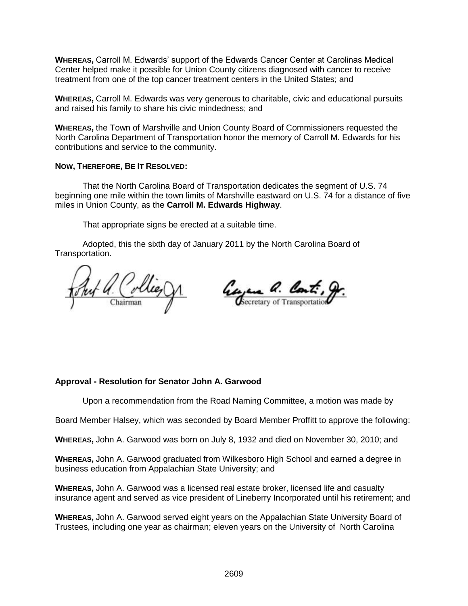**WHEREAS,** Carroll M. Edwards' support of the Edwards Cancer Center at Carolinas Medical Center helped make it possible for Union County citizens diagnosed with cancer to receive treatment from one of the top cancer treatment centers in the United States; and

**WHEREAS,** Carroll M. Edwards was very generous to charitable, civic and educational pursuits and raised his family to share his civic mindedness; and

**WHEREAS,** the Town of Marshville and Union County Board of Commissioners requested the North Carolina Department of Transportation honor the memory of Carroll M. Edwards for his contributions and service to the community.

## **NOW, THEREFORE, BE IT RESOLVED:**

That the North Carolina Board of Transportation dedicates the segment of U.S. 74 beginning one mile within the town limits of Marshville eastward on U.S. 74 for a distance of five miles in Union County, as the **Carroll M. Edwards Highway**.

That appropriate signs be erected at a suitable time.

Adopted, this the sixth day of January 2011 by the North Carolina Board of Transportation.

Collie Chairman

Georgen a. Cont.

## **Approval - Resolution for Senator John A. Garwood**

Upon a recommendation from the Road Naming Committee, a motion was made by

Board Member Halsey, which was seconded by Board Member Proffitt to approve the following:

**WHEREAS,** John A. Garwood was born on July 8, 1932 and died on November 30, 2010; and

**WHEREAS,** John A. Garwood graduated from Wilkesboro High School and earned a degree in business education from Appalachian State University; and

**WHEREAS,** John A. Garwood was a licensed real estate broker, licensed life and casualty insurance agent and served as vice president of Lineberry Incorporated until his retirement; and

**WHEREAS,** John A. Garwood served eight years on the Appalachian State University Board of Trustees, including one year as chairman; eleven years on the University of North Carolina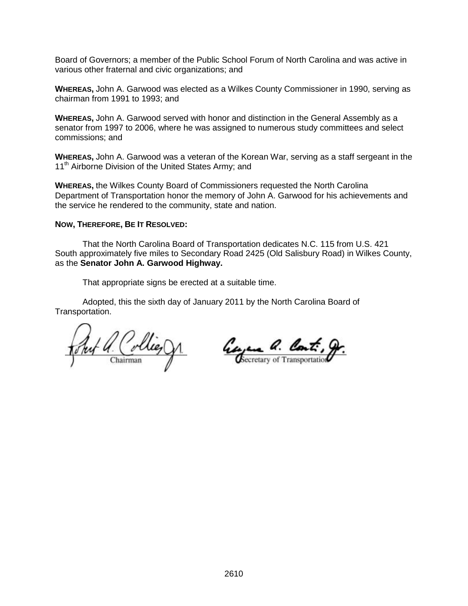Board of Governors; a member of the Public School Forum of North Carolina and was active in various other fraternal and civic organizations; and

**WHEREAS,** John A. Garwood was elected as a Wilkes County Commissioner in 1990, serving as chairman from 1991 to 1993; and

**WHEREAS,** John A. Garwood served with honor and distinction in the General Assembly as a senator from 1997 to 2006, where he was assigned to numerous study committees and select commissions; and

**WHEREAS,** John A. Garwood was a veteran of the Korean War, serving as a staff sergeant in the 11<sup>th</sup> Airborne Division of the United States Army; and

**WHEREAS,** the Wilkes County Board of Commissioners requested the North Carolina Department of Transportation honor the memory of John A. Garwood for his achievements and the service he rendered to the community, state and nation.

#### **NOW, THEREFORE, BE IT RESOLVED:**

That the North Carolina Board of Transportation dedicates N.C. 115 from U.S. 421 South approximately five miles to Secondary Road 2425 (Old Salisbury Road) in Wilkes County, as the **Senator John A. Garwood Highway.**

That appropriate signs be erected at a suitable time.

Adopted, this the sixth day of January 2011 by the North Carolina Board of Transportation.

<u> 4 (Collieg)</u>

George a. Cont., g.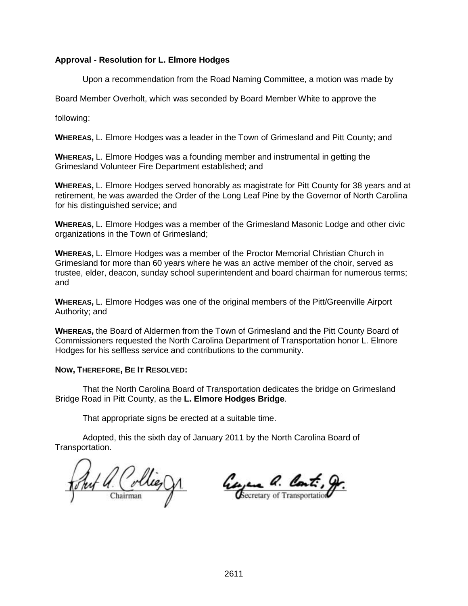# **Approval - Resolution for L. Elmore Hodges**

Upon a recommendation from the Road Naming Committee, a motion was made by

Board Member Overholt, which was seconded by Board Member White to approve the

following:

**WHEREAS,** L. Elmore Hodges was a leader in the Town of Grimesland and Pitt County; and

**WHEREAS,** L. Elmore Hodges was a founding member and instrumental in getting the Grimesland Volunteer Fire Department established; and

**WHEREAS,** L. Elmore Hodges served honorably as magistrate for Pitt County for 38 years and at retirement, he was awarded the Order of the Long Leaf Pine by the Governor of North Carolina for his distinguished service; and

**WHEREAS,** L. Elmore Hodges was a member of the Grimesland Masonic Lodge and other civic organizations in the Town of Grimesland;

**WHEREAS,** L. Elmore Hodges was a member of the Proctor Memorial Christian Church in Grimesland for more than 60 years where he was an active member of the choir, served as trustee, elder, deacon, sunday school superintendent and board chairman for numerous terms; and

**WHEREAS,** L. Elmore Hodges was one of the original members of the Pitt/Greenville Airport Authority; and

**WHEREAS,** the Board of Aldermen from the Town of Grimesland and the Pitt County Board of Commissioners requested the North Carolina Department of Transportation honor L. Elmore Hodges for his selfless service and contributions to the community.

# **NOW, THEREFORE, BE IT RESOLVED:**

That the North Carolina Board of Transportation dedicates the bridge on Grimesland Bridge Road in Pitt County, as the **L. Elmore Hodges Bridge**.

That appropriate signs be erected at a suitable time.

Adopted, this the sixth day of January 2011 by the North Carolina Board of Transportation.

Auf a. Collie, Jr.

Georgene a. Cont.